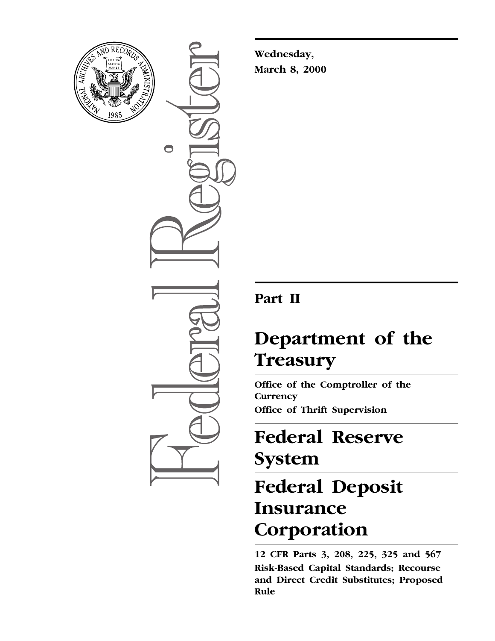

 $\bigcirc$ 

**Wednesday, March 8, 2000**

### **Part II**

### **Department of the Treasury**

**Office of the Comptroller of the Currency Office of Thrift Supervision**

# **Federal Reserve System**

# **Federal Deposit Insurance Corporation**

**12 CFR Parts 3, 208, 225, 325 and 567 Risk-Based Capital Standards; Recourse and Direct Credit Substitutes; Proposed Rule**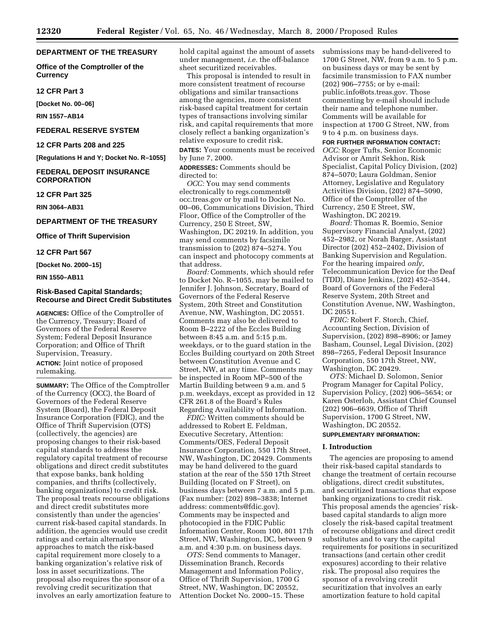#### **DEPARTMENT OF THE TREASURY**

**Office of the Comptroller of the Currency**

**12 CFR Part 3**

**[Docket No. 00–06]**

**RIN 1557–AB14**

#### **FEDERAL RESERVE SYSTEM**

**12 CFR Parts 208 and 225**

**[Regulations H and Y; Docket No. R–1055]**

#### **FEDERAL DEPOSIT INSURANCE CORPORATION**

**12 CFR Part 325**

**RIN 3064–AB31**

#### **DEPARTMENT OF THE TREASURY**

**Office of Thrift Supervision**

**12 CFR Part 567**

**[Docket No. 2000–15]**

**RIN 1550–AB11**

#### **Risk-Based Capital Standards; Recourse and Direct Credit Substitutes**

**AGENCIES:** Office of the Comptroller of the Currency, Treasury; Board of Governors of the Federal Reserve System; Federal Deposit Insurance Corporation; and Office of Thrift Supervision, Treasury.

**ACTION:** Joint notice of proposed rulemaking.

**SUMMARY:** The Office of the Comptroller of the Currency (OCC), the Board of Governors of the Federal Reserve System (Board), the Federal Deposit Insurance Corporation (FDIC), and the Office of Thrift Supervision (OTS) (collectively, the agencies) are proposing changes to their risk-based capital standards to address the regulatory capital treatment of recourse obligations and direct credit substitutes that expose banks, bank holding companies, and thrifts (collectively, banking organizations) to credit risk. The proposal treats recourse obligations and direct credit substitutes more consistently than under the agencies' current risk-based capital standards. In addition, the agencies would use credit ratings and certain alternative approaches to match the risk-based capital requirement more closely to a banking organization's relative risk of loss in asset securitizations. The proposal also requires the sponsor of a revolving credit securitization that involves an early amortization feature to hold capital against the amount of assets under management, *i.e.* the off-balance sheet securitized receivables.

This proposal is intended to result in more consistent treatment of recourse obligations and similar transactions among the agencies, more consistent risk-based capital treatment for certain types of transactions involving similar risk, and capital requirements that more closely reflect a banking organization's relative exposure to credit risk. **DATES:** Your comments must be received

by June 7, 2000.

**ADDRESSES:** Comments should be directed to:

*OCC:* You may send comments electronically to regs.comments@ occ.treas.gov or by mail to Docket No. 00–06, Communications Division, Third Floor, Office of the Comptroller of the Currency, 250 E Street, SW, Washington, DC 20219. In addition, you may send comments by facsimile transmission to (202) 874–5274. You can inspect and photocopy comments at that address.

*Board:* Comments, which should refer to Docket No. R–1055, may be mailed to Jennifer J. Johnson, Secretary, Board of Governors of the Federal Reserve System, 20th Street and Constitution Avenue, NW, Washington, DC 20551. Comments may also be delivered to Room B–2222 of the Eccles Building between 8:45 a.m. and 5:15 p.m. weekdays, or to the guard station in the Eccles Building courtyard on 20th Street between Constitution Avenue and C Street, NW, at any time. Comments may be inspected in Room MP–500 of the Martin Building between 9 a.m. and 5 p.m. weekdays, except as provided in 12 CFR 261.8 of the Board's Rules Regarding Availability of Information.

*FDIC:* Written comments should be addressed to Robert E. Feldman, Executive Secretary, Attention: Comments/OES, Federal Deposit Insurance Corporation, 550 17th Street, NW, Washington, DC 20429. Comments may be hand delivered to the guard station at the rear of the 550 17th Street Building (located on F Street), on business days between 7 a.m. and 5 p.m. (Fax number: (202) 898–3838; Internet address: comments@fdic.gov). Comments may be inspected and photocopied in the FDIC Public Information Center, Room 100, 801 17th Street, NW, Washington, DC, between 9 a.m. and 4:30 p.m. on business days.

*OTS:* Send comments to Manager, Dissemination Branch, Records Management and Information Policy, Office of Thrift Supervision, 1700 G Street, NW, Washington, DC 20552, Attention Docket No. 2000–15. These submissions may be hand-delivered to 1700 G Street, NW, from 9 a.m. to 5 p.m. on business days or may be sent by facsimile transmission to FAX number (202) 906–7755; or by e-mail: public.info@ots.treas.gov. Those commenting by e-mail should include their name and telephone number. Comments will be available for inspection at 1700 G Street, NW, from 9 to 4 p.m. on business days.

#### **FOR FURTHER INFORMATION CONTACT:**

*OCC:* Roger Tufts, Senior Economic Advisor or Amrit Sekhon, Risk Specialist, Capital Policy Division, (202) 874–5070; Laura Goldman, Senior Attorney, Legislative and Regulatory Activities Division, (202) 874–5090, Office of the Comptroller of the Currency, 250 E Street, SW, Washington, DC 20219.

*Board:* Thomas R. Boemio, Senior Supervisory Financial Analyst, (202) 452–2982, or Norah Barger, Assistant Director (202) 452–2402, Division of Banking Supervision and Regulation. For the hearing impaired *only,* Telecommunication Device for the Deaf (TDD), Diane Jenkins, (202) 452–3544, Board of Governors of the Federal Reserve System, 20th Street and Constitution Avenue, NW, Washington, DC 20551.

*FDIC:* Robert F. Storch, Chief, Accounting Section, Division of Supervision, (202) 898–8906; or Jamey Basham, Counsel, Legal Division, (202) 898–7265, Federal Deposit Insurance Corporation, 550 17th Street, NW, Washington, DC 20429.

*OTS:* Michael D. Solomon, Senior Program Manager for Capital Policy, Supervision Policy, (202) 906–5654; or Karen Osterloh, Assistant Chief Counsel (202) 906–6639, Office of Thrift Supervision, 1700 G Street, NW, Washington, DC 20552.

#### **SUPPLEMENTARY INFORMATION:**

#### **I. Introduction**

The agencies are proposing to amend their risk-based capital standards to change the treatment of certain recourse obligations, direct credit substitutes, and securitized transactions that expose banking organizations to credit risk. This proposal amends the agencies' riskbased capital standards to align more closely the risk-based capital treatment of recourse obligations and direct credit substitutes and to vary the capital requirements for positions in securitized transactions (and certain other credit exposures) according to their relative risk. The proposal also requires the sponsor of a revolving credit securitization that involves an early amortization feature to hold capital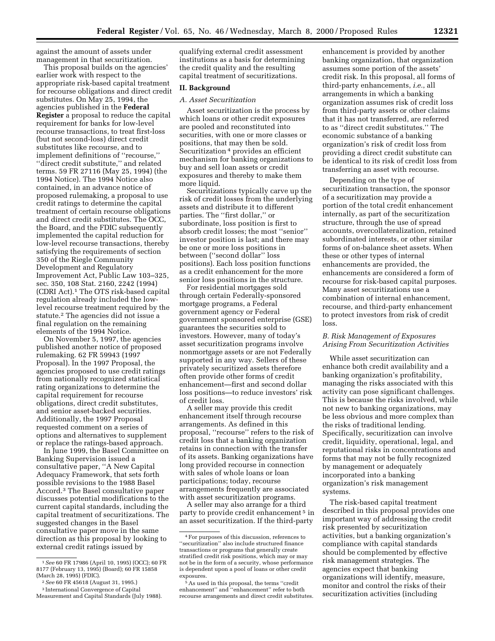against the amount of assets under management in that securitization.

This proposal builds on the agencies' earlier work with respect to the appropriate risk-based capital treatment for recourse obligations and direct credit substitutes. On May 25, 1994, the agencies published in the **Federal Register** a proposal to reduce the capital requirement for banks for low-level recourse transactions, to treat first-loss (but not second-loss) direct credit substitutes like recourse, and to implement definitions of ''recourse,'' ''direct credit substitute,'' and related terms. 59 FR 27116 (May 25, 1994) (the 1994 Notice). The 1994 Notice also contained, in an advance notice of proposed rulemaking, a proposal to use credit ratings to determine the capital treatment of certain recourse obligations and direct credit substitutes. The OCC, the Board, and the FDIC subsequently implemented the capital reduction for low-level recourse transactions, thereby satisfying the requirements of section 350 of the Riegle Community Development and Regulatory Improvement Act, Public Law 103–325, sec. 350, 108 Stat. 2160, 2242 (1994) (CDRI Act).1 The OTS risk-based capital regulation already included the lowlevel recourse treatment required by the statute.2 The agencies did not issue a final regulation on the remaining elements of the 1994 Notice.

On November 5, 1997, the agencies published another notice of proposed rulemaking. 62 FR 59943 (1997 Proposal). In the 1997 Proposal, the agencies proposed to use credit ratings from nationally recognized statistical rating organizations to determine the capital requirement for recourse obligations, direct credit substitutes, and senior asset-backed securities. Additionally, the 1997 Proposal requested comment on a series of options and alternatives to supplement or replace the ratings-based approach.

In June 1999, the Basel Committee on Banking Supervision issued a consultative paper, ''A New Capital Adequacy Framework, that sets forth possible revisions to the 1988 Basel Accord.3 The Basel consultative paper discusses potential modifications to the current capital standards, including the capital treatment of securitizations. The suggested changes in the Basel consultative paper move in the same direction as this proposal by looking to external credit ratings issued by

qualifying external credit assessment institutions as a basis for determining the credit quality and the resulting capital treatment of securitizations.

#### **II. Background**

#### *A. Asset Securitization*

Asset securitization is the process by which loans or other credit exposures are pooled and reconstituted into securities, with one or more classes or positions, that may then be sold. Securitization 4 provides an efficient mechanism for banking organizations to buy and sell loan assets or credit exposures and thereby to make them more liquid.

Securitizations typically carve up the risk of credit losses from the underlying assets and distribute it to different parties. The ''first dollar,'' or subordinate, loss position is first to absorb credit losses; the most ''senior'' investor position is last; and there may be one or more loss positions in between (''second dollar'' loss positions). Each loss position functions as a credit enhancement for the more senior loss positions in the structure.

For residential mortgages sold through certain Federally-sponsored mortgage programs, a Federal government agency or Federal government sponsored enterprise (GSE) guarantees the securities sold to investors. However, many of today's asset securitization programs involve nonmortgage assets or are not Federally supported in any way. Sellers of these privately securitized assets therefore often provide other forms of credit enhancement—first and second dollar loss positions—to reduce investors' risk of credit loss.

A seller may provide this credit enhancement itself through recourse arrangements. As defined in this proposal, ''recourse'' refers to the risk of credit loss that a banking organization retains in connection with the transfer of its assets. Banking organizations have long provided recourse in connection with sales of whole loans or loan participations; today, recourse arrangements frequently are associated with asset securitization programs.

A seller may also arrange for a third party to provide credit enhancement 5 in an asset securitization. If the third-party

enhancement is provided by another banking organization, that organization assumes some portion of the assets' credit risk. In this proposal, all forms of third-party enhancements, *i.e.*, all arrangements in which a banking organization assumes risk of credit loss from third-party assets or other claims that it has not transferred, are referred to as ''direct credit substitutes.'' The economic substance of a banking organization's risk of credit loss from providing a direct credit substitute can be identical to its risk of credit loss from transferring an asset with recourse.

Depending on the type of securitization transaction, the sponsor of a securitization may provide a portion of the total credit enhancement internally, as part of the securitization structure, through the use of spread accounts, overcollateralization, retained subordinated interests, or other similar forms of on-balance sheet assets. When these or other types of internal enhancements are provided, the enhancements are considered a form of recourse for risk-based capital purposes. Many asset securitizations use a combination of internal enhancement, recourse, and third-party enhancement to protect investors from risk of credit loss.

#### *B. Risk Management of Exposures Arising From Securitization Activities*

While asset securitization can enhance both credit availability and a banking organization's profitability, managing the risks associated with this activity can pose significant challenges. This is because the risks involved, while not new to banking organizations, may be less obvious and more complex than the risks of traditional lending. Specifically, securitization can involve credit, liquidity, operational, legal, and reputational risks in concentrations and forms that may not be fully recognized by management or adequately incorporated into a banking organization's risk management systems.

The risk-based capital treatment described in this proposal provides one important way of addressing the credit risk presented by securitization activities, but a banking organization's compliance with capital standards should be complemented by effective risk management strategies. The agencies expect that banking organizations will identify, measure, monitor and control the risks of their securitization activities (including

<sup>1</sup>*See* 60 FR 17986 (April 10, 1995) (OCC); 60 FR 8177 (February 13, 1995) (Board); 60 FR 15858 (March 28, 1995) (FDIC).

<sup>2</sup>*See* 60 FR 45618 (August 31, 1995.)

<sup>3</sup> International Convergence of Capital Measurement and Capital Standards (July 1988).

<sup>4</sup>For purposes of this discussion, references to ''securitization'' also include structured finance transactions or programs that generally create stratified credit risk positions, which may or may not be in the form of a security, whose performance is dependent upon a pool of loans or other credit exposures.

<sup>5</sup>As used in this proposal, the terms ''credit enhancement'' and ''enhancement'' refer to both recourse arrangements and direct credit substitutes.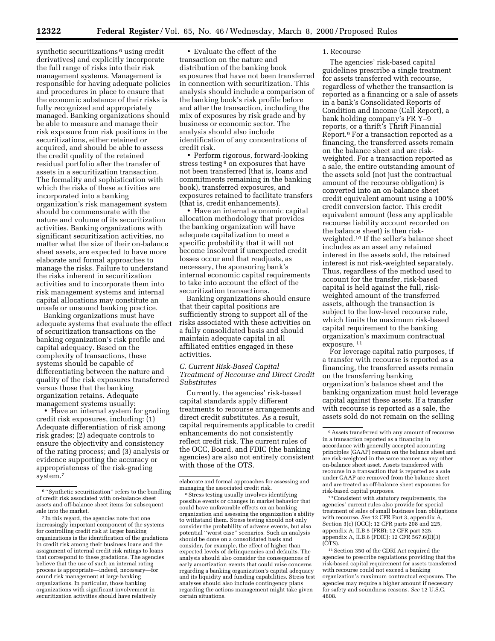synthetic securitizations<sup>6</sup> using credit derivatives) and explicitly incorporate the full range of risks into their risk management systems. Management is responsible for having adequate policies and procedures in place to ensure that the economic substance of their risks is fully recognized and appropriately managed. Banking organizations should be able to measure and manage their risk exposure from risk positions in the securitizations, either retained or acquired, and should be able to assess the credit quality of the retained residual portfolio after the transfer of assets in a securitization transaction. The formality and sophistication with which the risks of these activities are incorporated into a banking organization's risk management system should be commensurate with the nature and volume of its securitization activities. Banking organizations with significant securitization activities, no matter what the size of their on-balance sheet assets, are expected to have more elaborate and formal approaches to manage the risks. Failure to understand the risks inherent in securitization activities and to incorporate them into risk management systems and internal capital allocations may constitute an unsafe or unsound banking practice.

Banking organizations must have adequate systems that evaluate the effect of securitization transactions on the banking organization's risk profile and capital adequacy. Based on the complexity of transactions, these systems should be capable of differentiating between the nature and quality of the risk exposures transferred versus those that the banking organization retains. Adequate management systems usually:

• Have an internal system for grading credit risk exposures, including: (1) Adequate differentiation of risk among risk grades; (2) adequate controls to ensure the objectivity and consistency of the rating process; and (3) analysis or evidence supporting the accuracy or appropriateness of the risk-grading system.7

• Evaluate the effect of the transaction on the nature and distribution of the banking book exposures that have not been transferred in connection with securitization. This analysis should include a comparison of the banking book's risk profile before and after the transaction, including the mix of exposures by risk grade and by business or economic sector. The analysis should also include identification of any concentrations of credit risk.

• Perform rigorous, forward-looking stress testing 8 on exposures that have not been transferred (that is, loans and commitments remaining in the banking book), transferred exposures, and exposures retained to facilitate transfers (that is, credit enhancements).

• Have an internal economic capital allocation methodology that provides the banking organization will have adequate capitalization to meet a specific probability that it will not become insolvent if unexpected credit losses occur and that readjusts, as necessary, the sponsoring bank's internal economic capital requirements to take into account the effect of the securitization transactions.

Banking organizations should ensure that their capital positions are sufficiently strong to support all of the risks associated with these activities on a fully consolidated basis and should maintain adequate capital in all affiliated entities engaged in these activities.

#### *C. Current Risk-Based Capital Treatment of Recourse and Direct Credit Substitutes*

Currently, the agencies' risk-based capital standards apply different treatments to recourse arrangements and direct credit substitutes. As a result, capital requirements applicable to credit enhancements do not consistently reflect credit risk. The current rules of the OCC, Board, and FDIC (the banking agencies) are also not entirely consistent with those of the OTS.

#### 1. Recourse

The agencies' risk-based capital guidelines prescribe a single treatment for assets transferred with recourse, regardless of whether the transaction is reported as a financing or a sale of assets in a bank's Consolidated Reports of Condition and Income (Call Report), a bank holding company's FR Y–9 reports, or a thrift's Thrift Financial Report.9 For a transaction reported as a financing, the transferred assets remain on the balance sheet and are riskweighted. For a transaction reported as a sale, the entire outstanding amount of the assets sold (not just the contractual amount of the recourse obligation) is converted into an on-balance sheet credit equivalent amount using a 100% credit conversion factor. This credit equivalent amount (less any applicable recourse liability account recorded on the balance sheet) is then riskweighted.10 If the seller's balance sheet includes as an asset any retained interest in the assets sold, the retained interest is not risk-weighted separately. Thus, regardless of the method used to account for the transfer, risk-based capital is held against the full, riskweighted amount of the transferred assets, although the transaction is subject to the low-level recourse rule, which limits the maximum risk-based capital requirement to the banking organization's maximum contractual exposure. 11

For leverage capital ratio purposes, if a transfer with recourse is reported as a financing, the transferred assets remain on the transferring banking organization's balance sheet and the banking organization must hold leverage capital against these assets. If a transfer with recourse is reported as a sale, the assets sold do not remain on the selling

10Consistent with statutory requirements, the agencies' current rules also provide for special treatment of sales of small business loan obligations with recourse. *See* 12 CFR Part 3, appendix A, Section 3(c) (OCC); 12 CFR parts 208 and 225, appendix A, II.B.5 (FRB); 12 CFR part 325, appendix A, II.B.6 (FDIC); 12 CFR 567.6(E)(3) (OTS).

11Section 350 of the CDRI Act required the agencies to prescribe regulations providing that the risk-based capital requirement for assets transferred with recourse could not exceed a banking organization's maximum contractual exposure. The agencies may require a higher amount if necessary for safety and soundness reasons. *See* 12 U.S.C. 4808.

<sup>6</sup> ''Synthetic securitization'' refers to the bundling of credit risk associated with on-balance sheet assets and off-balance sheet items for subsequent sale into the market.

<sup>7</sup> In this regard, the agencies note that one increasingly important component of the systems for controlling credit risk at larger banking organizations is the identification of the gradations in credit risk among their business loans and the assignment of internal credit risk ratings to loans that correspond to these gradations. The agencies believe that the use of such an internal rating process is appropriate—indeed, necessary—for sound risk management at large banking organizations. In particular, those banking organizations with significant involvement in securitization activities should have relatively

elaborate and formal approaches for assessing and managing the associated credit risk.

<sup>8</sup>Stress testing usually involves identifying possible events or changes in market behavior that could have unfavorable effects on an banking organization and assessing the organization's ability to withstand them. Stress testing should not only consider the probability of adverse events, but also potential ''worst case'' scenarios. Such an analysis should be done on a consolidated basis and consider, for example, the effect of higher than expected levels of delinquencies and defaults. The analysis should also consider the consequences of early amortization events that could raise concerns regarding a banking organization's capital adequacy and its liquidity and funding capabilities. Stress test analyses should also include contingency plans regarding the actions management might take given certain situations.

<sup>9</sup>Assets transferred with any amount of recourse in a transaction reported as a financing in accordance with generally accepted accounting principles (GAAP) remain on the balance sheet and are risk-weighted in the same manner as any other on-balance sheet asset. Assets transferred with recourse in a transaction that is reported as a sale under GAAP are removed from the balance sheet and are treated as off-balance sheet exposures for risk-based capital purposes.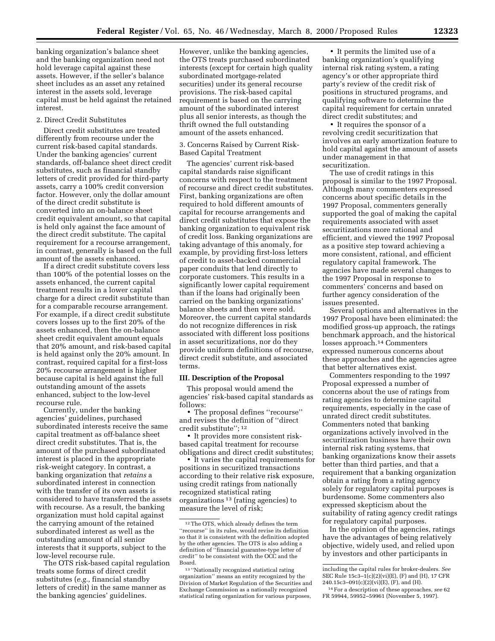banking organization's balance sheet and the banking organization need not hold leverage capital against these assets. However, if the seller's balance sheet includes as an asset any retained interest in the assets sold, leverage capital must be held against the retained interest.

#### 2. Direct Credit Substitutes

Direct credit substitutes are treated differently from recourse under the current risk-based capital standards. Under the banking agencies' current standards, off-balance sheet direct credit substitutes, such as financial standby letters of credit provided for third-party assets, carry a 100% credit conversion factor. However, only the dollar amount of the direct credit substitute is converted into an on-balance sheet credit equivalent amount, so that capital is held only against the face amount of the direct credit substitute. The capital requirement for a recourse arrangement, in contrast, generally is based on the full amount of the assets enhanced.

If a direct credit substitute covers less than 100% of the potential losses on the assets enhanced, the current capital treatment results in a lower capital charge for a direct credit substitute than for a comparable recourse arrangement. For example, if a direct credit substitute covers losses up to the first 20% of the assets enhanced, then the on-balance sheet credit equivalent amount equals that 20% amount, and risk-based capital is held against only the 20% amount. In contrast, required capital for a first-loss 20% recourse arrangement is higher because capital is held against the full outstanding amount of the assets enhanced, subject to the low-level recourse rule.

Currently, under the banking agencies' guidelines, purchased subordinated interests receive the same capital treatment as off-balance sheet direct credit substitutes. That is, the amount of the purchased subordinated interest is placed in the appropriate risk-weight category. In contrast, a banking organization that *retains* a subordinated interest in connection with the transfer of its own assets is considered to have transferred the assets with recourse. As a result, the banking organization must hold capital against the carrying amount of the retained subordinated interest as well as the outstanding amount of all senior interests that it supports, subject to the low-level recourse rule.

The OTS risk-based capital regulation treats some forms of direct credit substitutes (*e.g.,* financial standby letters of credit) in the same manner as the banking agencies' guidelines.

However, unlike the banking agencies, the OTS treats purchased subordinated interests (except for certain high quality subordinated mortgage-related securities) under its general recourse provisions. The risk-based capital requirement is based on the carrying amount of the subordinated interest plus all senior interests, as though the thrift owned the full outstanding amount of the assets enhanced.

#### 3. Concerns Raised by Current Risk-Based Capital Treatment

The agencies' current risk-based capital standards raise significant concerns with respect to the treatment of recourse and direct credit substitutes. First, banking organizations are often required to hold different amounts of capital for recourse arrangements and direct credit substitutes that expose the banking organization to equivalent risk of credit loss. Banking organizations are taking advantage of this anomaly, for example, by providing first-loss letters of credit to asset-backed commercial paper conduits that lend directly to corporate customers. This results in a significantly lower capital requirement than if the loans had originally been carried on the banking organizations' balance sheets and then were sold. Moreover, the current capital standards do not recognize differences in risk associated with different loss positions in asset securitizations, nor do they provide uniform definitions of recourse, direct credit substitute, and associated terms.

#### **III. Description of the Proposal**

This proposal would amend the agencies' risk-based capital standards as follows:

• The proposal defines ''recourse'' and revises the definition of ''direct credit substitute''; 12

• It provides more consistent riskbased capital treatment for recourse obligations and direct credit substitutes;

• It varies the capital requirements for positions in securitized transactions according to their relative risk exposure, using credit ratings from nationally recognized statistical rating organizations 13 (rating agencies) to measure the level of risk;

• It permits the limited use of a banking organization's qualifying internal risk rating system, a rating agency's or other appropriate third party's review of the credit risk of positions in structured programs, and qualifying software to determine the capital requirement for certain unrated direct credit substitutes; and

• It requires the sponsor of a revolving credit securitization that involves an early amortization feature to hold capital against the amount of assets under management in that securitization.

The use of credit ratings in this proposal is similar to the 1997 Proposal. Although many commenters expressed concerns about specific details in the 1997 Proposal, commenters generally supported the goal of making the capital requirements associated with asset securitizations more rational and efficient, and viewed the 1997 Proposal as a positive step toward achieving a more consistent, rational, and efficient regulatory capital framework. The agencies have made several changes to the 1997 Proposal in response to commenters' concerns and based on further agency consideration of the issues presented.

Several options and alternatives in the 1997 Proposal have been eliminated: the modified gross-up approach, the ratings benchmark approach, and the historical losses approach.14 Commenters expressed numerous concerns about these approaches and the agencies agree that better alternatives exist.

Commenters responding to the 1997 Proposal expressed a number of concerns about the use of ratings from rating agencies to determine capital requirements, especially in the case of unrated direct credit substitutes. Commenters noted that banking organizations actively involved in the securitization business have their own internal risk rating systems, that banking organizations know their assets better than third parties, and that a requirement that a banking organization obtain a rating from a rating agency solely for regulatory capital purposes is burdensome. Some commenters also expressed skepticism about the suitability of rating agency credit ratings for regulatory capital purposes.

In the opinion of the agencies, ratings have the advantages of being relatively objective, widely used, and relied upon by investors and other participants in

<sup>12</sup>The OTS, which already defines the term ''recourse'' in its rules, would revise its definition so that it is consistent with the definition adopted by the other agencies. The OTS is also adding a definition of ''financial guarantee-type letter of credit'' to be consistent with the OCC and the Board.

<sup>13</sup> ''Nationally recognized statistical rating organization'' means an entity recognized by the Division of Market Regulation of the Securities and Exchange Commission as a nationally recognized statistical rating organization for various purposes,

including the capital rules for broker-dealers. *See* SEC Rule 15c3–1(c)(2)(vi)(E), (F) and (H), 17 CFR 240.15c3–091(c)(2)(vi)(E), (F), and (H).

<sup>14</sup>For a description of these approaches, *see* 62 FR 59944, 59952–59961 (November 5, 1997).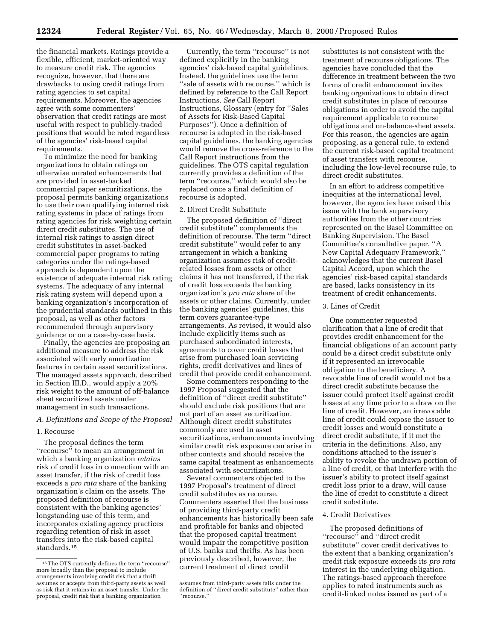the financial markets. Ratings provide a flexible, efficient, market-oriented way to measure credit risk. The agencies recognize, however, that there are drawbacks to using credit ratings from rating agencies to set capital requirements. Moreover, the agencies agree with some commenters' observation that credit ratings are most useful with respect to publicly-traded positions that would be rated regardless of the agencies' risk-based capital requirements.

To minimize the need for banking organizations to obtain ratings on otherwise unrated enhancements that are provided in asset-backed commercial paper securitizations, the proposal permits banking organizations to use their own qualifying internal risk rating systems in place of ratings from rating agencies for risk weighting certain direct credit substitutes. The use of internal risk ratings to assign direct credit substitutes in asset-backed commercial paper programs to rating categories under the ratings-based approach is dependent upon the existence of adequate internal risk rating systems. The adequacy of any internal risk rating system will depend upon a banking organization's incorporation of the prudential standards outlined in this proposal, as well as other factors recommended through supervisory guidance or on a case-by-case basis.

Finally, the agencies are proposing an additional measure to address the risk associated with early amortization features in certain asset securitizations. The managed assets approach, described in Section III.D., would apply a 20% risk weight to the amount of off-balance sheet securitized assets under management in such transactions.

#### *A. Definitions and Scope of the Proposal*

#### 1. Recourse

The proposal defines the term ''recourse'' to mean an arrangement in which a banking organization *retains* risk of credit loss in connection with an asset transfer, if the risk of credit loss exceeds a *pro rata* share of the banking organization's claim on the assets. The proposed definition of recourse is consistent with the banking agencies' longstanding use of this term, and incorporates existing agency practices regarding retention of risk in asset transfers into the risk-based capital standards.15

Currently, the term ''recourse'' is not defined explicitly in the banking agencies' risk-based capital guidelines. Instead, the guidelines use the term "sale of assets with recourse," which is defined by reference to the Call Report Instructions. *See* Call Report Instructions, Glossary (entry for ''Sales of Assets for Risk-Based Capital Purposes''). Once a definition of recourse is adopted in the risk-based capital guidelines, the banking agencies would remove the cross-reference to the Call Report instructions from the guidelines. The OTS capital regulation currently provides a definition of the term ''recourse,'' which would also be replaced once a final definition of recourse is adopted.

#### 2. Direct Credit Substitute

The proposed definition of ''direct credit substitute'' complements the definition of recourse. The term ''direct credit substitute'' would refer to any arrangement in which a banking organization assumes risk of creditrelated losses from assets or other claims it has not transferred, if the risk of credit loss exceeds the banking organization's *pro rata* share of the assets or other claims. Currently, under the banking agencies' guidelines, this term covers guarantee-type arrangements. As revised, it would also include explicitly items such as purchased subordinated interests, agreements to cover credit losses that arise from purchased loan servicing rights, credit derivatives and lines of credit that provide credit enhancement.

Some commenters responding to the 1997 Proposal suggested that the definition of ''direct credit substitute'' should exclude risk positions that are not part of an asset securitization. Although direct credit substitutes commonly are used in asset securitizations, enhancements involving similar credit risk exposure can arise in other contexts and should receive the same capital treatment as enhancements associated with securitizations.

Several commenters objected to the 1997 Proposal's treatment of direct credit substitutes as recourse. Commenters asserted that the business of providing third-party credit enhancements has historically been safe and profitable for banks and objected that the proposed capital treatment would impair the competitive position of U.S. banks and thrifts. As has been previously described, however, the current treatment of direct credit

substitutes is not consistent with the treatment of recourse obligations. The agencies have concluded that the difference in treatment between the two forms of credit enhancement invites banking organizations to obtain direct credit substitutes in place of recourse obligations in order to avoid the capital requirement applicable to recourse obligations and on-balance-sheet assets. For this reason, the agencies are again proposing, as a general rule, to extend the current risk-based capital treatment of asset transfers with recourse, including the low-level recourse rule, to direct credit substitutes.

In an effort to address competitive inequities at the international level, however, the agencies have raised this issue with the bank supervisory authorities from the other countries represented on the Basel Committee on Banking Supervision. The Basel Committee's consultative paper, ''A New Capital Adequacy Framework,'' acknowledges that the current Basel Capital Accord, upon which the agencies' risk-based capital standards are based, lacks consistency in its treatment of credit enhancements.

#### 3. Lines of Credit

One commenter requested clarification that a line of credit that provides credit enhancement for the financial obligations of an account party could be a direct credit substitute only if it represented an irrevocable obligation to the beneficiary. A revocable line of credit would not be a direct credit substitute because the issuer could protect itself against credit losses at any time prior to a draw on the line of credit. However, an irrevocable line of credit could expose the issuer to credit losses and would constitute a direct credit substitute, if it met the criteria in the definitions. Also, any conditions attached to the issuer's ability to revoke the undrawn portion of a line of credit, or that interfere with the issuer's ability to protect itself against credit loss prior to a draw, will cause the line of credit to constitute a direct credit substitute.

#### 4. Credit Derivatives

The proposed definitions of ''recourse'' and ''direct credit substitute'' cover credit derivatives to the extent that a banking organization's credit risk exposure exceeds its *pro rata* interest in the underlying obligation. The ratings-based approach therefore applies to rated instruments such as credit-linked notes issued as part of a

<sup>15</sup>The OTS currently defines the term ''recourse'' more broadly than the proposal to include arrangements involving credit risk that a thrift assumes or accepts from third-party assets as well as risk that it retains in an asset transfer. Under the proposal, credit risk that a banking organization

assumes from third-party assets falls under the definition of ''direct credit substitute'' rather than ''recourse.''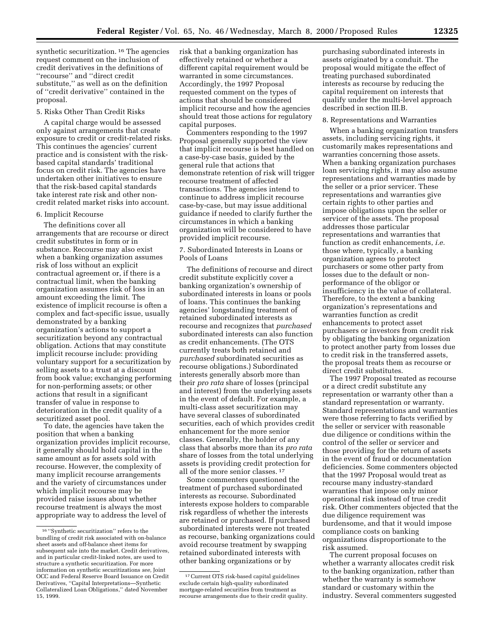synthetic securitization.<sup>16</sup> The agencies request comment on the inclusion of credit derivatives in the definitions of ''recourse'' and ''direct credit substitute,'' as well as on the definition of ''credit derivative'' contained in the proposal.

#### 5. Risks Other Than Credit Risks

A capital charge would be assessed only against arrangements that create exposure to credit or credit-related risks. This continues the agencies' current practice and is consistent with the riskbased capital standards' traditional focus on credit risk. The agencies have undertaken other initiatives to ensure that the risk-based capital standards take interest rate risk and other noncredit related market risks into account.

#### 6. Implicit Recourse

The definitions cover all arrangements that are recourse or direct credit substitutes in form or in substance. Recourse may also exist when a banking organization assumes risk of loss without an explicit contractual agreement or, if there is a contractual limit, when the banking organization assumes risk of loss in an amount exceeding the limit. The existence of implicit recourse is often a complex and fact-specific issue, usually demonstrated by a banking organization's actions to support a securitization beyond any contractual obligation. Actions that may constitute implicit recourse include: providing voluntary support for a securitization by selling assets to a trust at a discount from book value; exchanging performing for non-performing assets; or other actions that result in a significant transfer of value in response to deterioration in the credit quality of a securitized asset pool.

To date, the agencies have taken the position that when a banking organization provides implicit recourse, it generally should hold capital in the same amount as for assets sold with recourse. However, the complexity of many implicit recourse arrangements and the variety of circumstances under which implicit recourse may be provided raise issues about whether recourse treatment is always the most appropriate way to address the level of

risk that a banking organization has effectively retained or whether a different capital requirement would be warranted in some circumstances. Accordingly, the 1997 Proposal requested comment on the types of actions that should be considered implicit recourse and how the agencies should treat those actions for regulatory capital purposes.

Commenters responding to the 1997 Proposal generally supported the view that implicit recourse is best handled on a case-by-case basis, guided by the general rule that actions that demonstrate retention of risk will trigger recourse treatment of affected transactions. The agencies intend to continue to address implicit recourse case-by-case, but may issue additional guidance if needed to clarify further the circumstances in which a banking organization will be considered to have provided implicit recourse.

#### 7. Subordinated Interests in Loans or Pools of Loans

The definitions of recourse and direct credit substitute explicitly cover a banking organization's ownership of subordinated interests in loans or pools of loans. This continues the banking agencies' longstanding treatment of retained subordinated interests as recourse and recognizes that *purchased* subordinated interests can also function as credit enhancements. (The OTS currently treats both retained and *purchased* subordinated securities as recourse obligations.) Subordinated interests generally absorb more than their *pro rata* share of losses (principal and interest) from the underlying assets in the event of default. For example, a multi-class asset securitization may have several classes of subordinated securities, each of which provides credit enhancement for the more senior classes. Generally, the holder of any class that absorbs more than its *pro rata* share of losses from the total underlying assets is providing credit protection for all of the more senior classes. 17

Some commenters questioned the treatment of purchased subordinated interests as recourse. Subordinated interests expose holders to comparable risk regardless of whether the interests are retained or purchased. If purchased subordinated interests were not treated as recourse, banking organizations could avoid recourse treatment by swapping retained subordinated interests with other banking organizations or by

purchasing subordinated interests in assets originated by a conduit. The proposal would mitigate the effect of treating purchased subordinated interests as recourse by reducing the capital requirement on interests that qualify under the multi-level approach described in section III.B.

#### 8. Representations and Warranties

When a banking organization transfers assets, including servicing rights, it customarily makes representations and warranties concerning those assets. When a banking organization purchases loan servicing rights, it may also assume representations and warranties made by the seller or a prior servicer. These representations and warranties give certain rights to other parties and impose obligations upon the seller or servicer of the assets. The proposal addresses those particular representations and warranties that function as credit enhancements, *i.e.* those where, typically, a banking organization agrees to protect purchasers or some other party from losses due to the default or nonperformance of the obligor or insufficiency in the value of collateral. Therefore, to the extent a banking organization's representations and warranties function as credit enhancements to protect asset purchasers or investors from credit risk by obligating the banking organization to protect another party from losses due to credit risk in the transferred assets, the proposal treats them as recourse or direct credit substitutes.

The 1997 Proposal treated as recourse or a direct credit substitute any representation or warranty other than a standard representation or warranty. Standard representations and warranties were those referring to facts verified by the seller or servicer with reasonable due diligence or conditions within the control of the seller or servicer and those providing for the return of assets in the event of fraud or documentation deficiencies. Some commenters objected that the 1997 Proposal would treat as recourse many industry-standard warranties that impose only minor operational risk instead of true credit risk. Other commenters objected that the due diligence requirement was burdensome, and that it would impose compliance costs on banking organizations disproportionate to the risk assumed.

The current proposal focuses on whether a warranty allocates credit risk to the banking organization, rather than whether the warranty is somehow standard or customary within the industry. Several commenters suggested

<sup>16</sup> ''Synthetic securitization'' refers to the bundling of credit risk associated with on-balance sheet assets and off-balance sheet items for subsequent sale into the market. Credit derivatives, and in particular credit-linked notes, are used to structure a synthetic securitization. For more information on synthetic securitizations *see,* Joint OCC and Federal Reserve Board Issuance on Credit Derivatives, ''Capital Interpretations—Synthetic Collateralized Loan Obligations,'' dated November 15, 1999.

<sup>17</sup>Current OTS risk-based capital guidelines exclude certain high-quality subordinated mortgage-related securities from treatment as recourse arrangements due to their credit quality.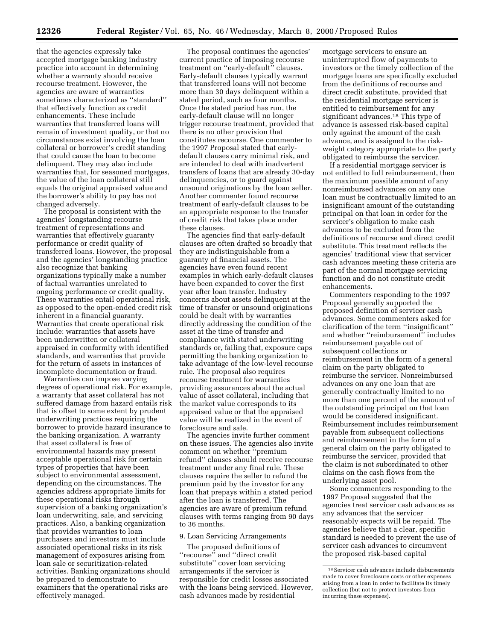that the agencies expressly take accepted mortgage banking industry practice into account in determining whether a warranty should receive recourse treatment. However, the agencies are aware of warranties sometimes characterized as ''standard'' that effectively function as credit enhancements. These include warranties that transferred loans will remain of investment quality, or that no circumstances exist involving the loan collateral or borrower's credit standing that could cause the loan to become delinquent. They may also include warranties that, for seasoned mortgages, the value of the loan collateral still equals the original appraised value and the borrower's ability to pay has not changed adversely.

The proposal is consistent with the agencies' longstanding recourse treatment of representations and warranties that effectively guaranty performance or credit quality of transferred loans. However, the proposal and the agencies' longstanding practice also recognize that banking organizations typically make a number of factual warranties unrelated to ongoing performance or credit quality. These warranties entail operational risk, as opposed to the open-ended credit risk inherent in a financial guaranty. Warranties that create operational risk include: warranties that assets have been underwritten or collateral appraised in conformity with identified standards, and warranties that provide for the return of assets in instances of incomplete documentation or fraud.

Warranties can impose varying degrees of operational risk. For example, a warranty that asset collateral has not suffered damage from hazard entails risk that is offset to some extent by prudent underwriting practices requiring the borrower to provide hazard insurance to the banking organization. A warranty that asset collateral is free of environmental hazards may present acceptable operational risk for certain types of properties that have been subject to environmental assessment, depending on the circumstances. The agencies address appropriate limits for these operational risks through supervision of a banking organization's loan underwriting, sale, and servicing practices. Also, a banking organization that provides warranties to loan purchasers and investors must include associated operational risks in its risk management of exposures arising from loan sale or securitization-related activities. Banking organizations should be prepared to demonstrate to examiners that the operational risks are effectively managed.

The proposal continues the agencies' current practice of imposing recourse treatment on ''early-default'' clauses. Early-default clauses typically warrant that transferred loans will not become more than 30 days delinquent within a stated period, such as four months. Once the stated period has run, the early-default clause will no longer trigger recourse treatment, provided that there is no other provision that constitutes recourse. One commenter to the 1997 Proposal stated that earlydefault clauses carry minimal risk, and are intended to deal with inadvertent transfers of loans that are already 30-day delinquencies, or to guard against unsound originations by the loan seller. Another commenter found recourse treatment of early-default clauses to be an appropriate response to the transfer of credit risk that takes place under these clauses.

The agencies find that early-default clauses are often drafted so broadly that they are indistinguishable from a guaranty of financial assets. The agencies have even found recent examples in which early-default clauses have been expanded to cover the first year after loan transfer. Industry concerns about assets delinquent at the time of transfer or unsound originations could be dealt with by warranties directly addressing the condition of the asset at the time of transfer and compliance with stated underwriting standards or, failing that, exposure caps permitting the banking organization to take advantage of the low-level recourse rule. The proposal also requires recourse treatment for warranties providing assurances about the actual value of asset collateral, including that the market value corresponds to its appraised value or that the appraised value will be realized in the event of foreclosure and sale.

The agencies invite further comment on these issues. The agencies also invite comment on whether ''premium refund'' clauses should receive recourse treatment under any final rule. These clauses require the seller to refund the premium paid by the investor for any loan that prepays within a stated period after the loan is transferred. The agencies are aware of premium refund clauses with terms ranging from 90 days to 36 months.

#### 9. Loan Servicing Arrangements

The proposed definitions of ''recourse'' and ''direct credit substitute'' cover loan servicing arrangements if the servicer is responsible for credit losses associated with the loans being serviced. However, cash advances made by residential

mortgage servicers to ensure an uninterrupted flow of payments to investors or the timely collection of the mortgage loans are specifically excluded from the definitions of recourse and direct credit substitute, provided that the residential mortgage servicer is entitled to reimbursement for any significant advances.<sup>18</sup> This type of advance is assessed risk-based capital only against the amount of the cash advance, and is assigned to the riskweight category appropriate to the party obligated to reimburse the servicer.

If a residential mortgage servicer is not entitled to full reimbursement, then the maximum possible amount of any nonreimbursed advances on any one loan must be contractually limited to an insignificant amount of the outstanding principal on that loan in order for the servicer's obligation to make cash advances to be excluded from the definitions of recourse and direct credit substitute. This treatment reflects the agencies' traditional view that servicer cash advances meeting these criteria are part of the normal mortgage servicing function and do not constitute credit enhancements.

Commenters responding to the 1997 Proposal generally supported the proposed definition of servicer cash advances. Some commenters asked for clarification of the term ''insignificant'' and whether ''reimbursement'' includes reimbursement payable out of subsequent collections or reimbursement in the form of a general claim on the party obligated to reimburse the servicer. Nonreimbursed advances on any one loan that are generally contractually limited to no more than one percent of the amount of the outstanding principal on that loan would be considered insignificant. Reimbursement includes reimbursement payable from subsequent collections and reimbursement in the form of a general claim on the party obligated to reimburse the servicer, provided that the claim is not subordinated to other claims on the cash flows from the underlying asset pool.

Some commenters responding to the 1997 Proposal suggested that the agencies treat servicer cash advances as any advances that the servicer reasonably expects will be repaid. The agencies believe that a clear, specific standard is needed to prevent the use of servicer cash advances to circumvent the proposed risk-based capital

 $^{\rm 18}$  Servicer cash advances include disbursements made to cover foreclosure costs or other expenses arising from a loan in order to facilitate its timely collection (but not to protect investors from incurring these expenses).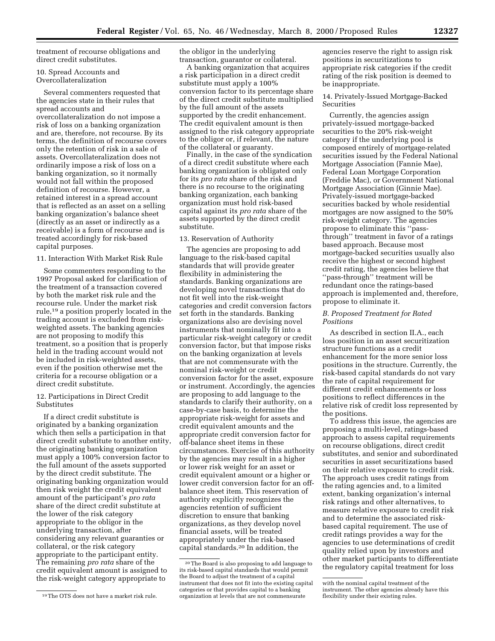treatment of recourse obligations and direct credit substitutes.

#### 10. Spread Accounts and Overcollateralization

Several commenters requested that the agencies state in their rules that spread accounts and overcollateralization do not impose a risk of loss on a banking organization and are, therefore, not recourse. By its terms, the definition of recourse covers only the retention of risk in a sale of assets. Overcollateralization does not ordinarily impose a risk of loss on a banking organization, so it normally would not fall within the proposed definition of recourse. However, a retained interest in a spread account that is reflected as an asset on a selling banking organization's balance sheet (directly as an asset or indirectly as a receivable) is a form of recourse and is treated accordingly for risk-based capital purposes.

#### 11. Interaction With Market Risk Rule

Some commenters responding to the 1997 Proposal asked for clarification of the treatment of a transaction covered by both the market risk rule and the recourse rule. Under the market risk rule,19 a position properly located in the trading account is excluded from riskweighted assets. The banking agencies are not proposing to modify this treatment, so a position that is properly held in the trading account would not be included in risk-weighted assets, even if the position otherwise met the criteria for a recourse obligation or a direct credit substitute.

#### 12. Participations in Direct Credit **Substitutes**

If a direct credit substitute is originated by a banking organization which then sells a participation in that direct credit substitute to another entity, the originating banking organization must apply a 100% conversion factor to the full amount of the assets supported by the direct credit substitute. The originating banking organization would then risk weight the credit equivalent amount of the participant's *pro rata* share of the direct credit substitute at the lower of the risk category appropriate to the obligor in the underlying transaction, after considering any relevant guaranties or collateral, or the risk category appropriate to the participant entity. The remaining *pro rata* share of the credit equivalent amount is assigned to the risk-weight category appropriate to

the obligor in the underlying transaction, guarantor or collateral.

A banking organization that acquires a risk participation in a direct credit substitute must apply a 100% conversion factor to its percentage share of the direct credit substitute multiplied by the full amount of the assets supported by the credit enhancement. The credit equivalent amount is then assigned to the risk category appropriate to the obligor or, if relevant, the nature of the collateral or guaranty.

Finally, in the case of the syndication of a direct credit substitute where each banking organization is obligated only for its *pro rata* share of the risk and there is no recourse to the originating banking organization, each banking organization must hold risk-based capital against its *pro rata* share of the assets supported by the direct credit substitute.

#### 13. Reservation of Authority

The agencies are proposing to add language to the risk-based capital standards that will provide greater flexibility in administering the standards. Banking organizations are developing novel transactions that do not fit well into the risk-weight categories and credit conversion factors set forth in the standards. Banking organizations also are devising novel instruments that nominally fit into a particular risk-weight category or credit conversion factor, but that impose risks on the banking organization at levels that are not commensurate with the nominal risk-weight or credit conversion factor for the asset, exposure or instrument. Accordingly, the agencies are proposing to add language to the standards to clarify their authority, on a case-by-case basis, to determine the appropriate risk-weight for assets and credit equivalent amounts and the appropriate credit conversion factor for off-balance sheet items in these circumstances. Exercise of this authority by the agencies may result in a higher or lower risk weight for an asset or credit equivalent amount or a higher or lower credit conversion factor for an offbalance sheet item. This reservation of authority explicitly recognizes the agencies retention of sufficient discretion to ensure that banking organizations, as they develop novel financial assets, will be treated appropriately under the risk-based capital standards.20 In addition, the

agencies reserve the right to assign risk positions in securitizations to appropriate risk categories if the credit rating of the risk position is deemed to be inappropriate.

14. Privately-Issued Mortgage-Backed Securities

Currently, the agencies assign privately-issued mortgage-backed securities to the 20% risk-weight category if the underlying pool is composed entirely of mortgage-related securities issued by the Federal National Mortgage Association (Fannie Mae), Federal Loan Mortgage Corporation (Freddie Mac), or Government National Mortgage Association (Ginnie Mae). Privately-issued mortgage-backed securities backed by whole residential mortgages are now assigned to the 50% risk-weight category. The agencies propose to eliminate this ''passthrough'' treatment in favor of a ratings based approach. Because most mortgage-backed securities usually also receive the highest or second highest credit rating, the agencies believe that ''pass-through'' treatment will be redundant once the ratings-based approach is implemented and, therefore, propose to eliminate it.

#### *B. Proposed Treatment for Rated Positions*

As described in section II.A., each loss position in an asset securitization structure functions as a credit enhancement for the more senior loss positions in the structure. Currently, the risk-based capital standards do not vary the rate of capital requirement for different credit enhancements or loss positions to reflect differences in the relative risk of credit loss represented by the positions.

To address this issue, the agencies are proposing a multi-level, ratings-based approach to assess capital requirements on recourse obligations, direct credit substitutes, and senior and subordinated securities in asset securitizations based on their relative exposure to credit risk. The approach uses credit ratings from the rating agencies and, to a limited extent, banking organization's internal risk ratings and other alternatives, to measure relative exposure to credit risk and to determine the associated riskbased capital requirement. The use of credit ratings provides a way for the agencies to use determinations of credit quality relied upon by investors and other market participants to differentiate the regulatory capital treatment for loss

<sup>19</sup>The OTS does not have a market risk rule.

<sup>20</sup>The Board is also proposing to add language to its risk-based capital standards that would permit the Board to adjust the treatment of a capital instrument that does not fit into the existing capital categories or that provides capital to a banking organization at levels that are not commensurate

with the nominal capital treatment of the instrument. The other agencies already have this flexibility under their existing rules.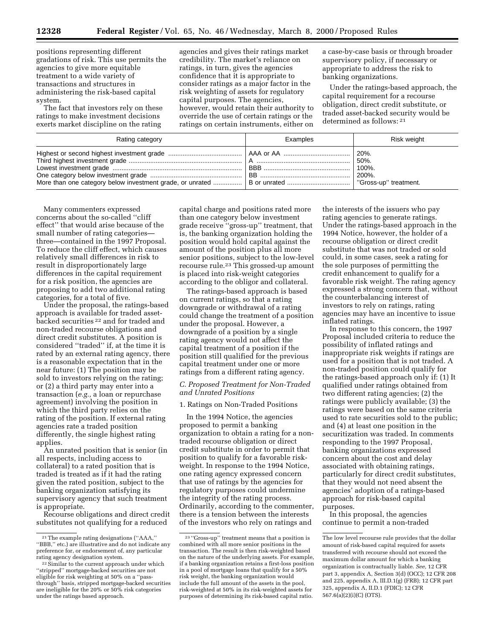positions representing different gradations of risk. This use permits the agencies to give more equitable treatment to a wide variety of transactions and structures in administering the risk-based capital system.

The fact that investors rely on these ratings to make investment decisions exerts market discipline on the rating

agencies and gives their ratings market credibility. The market's reliance on ratings, in turn, gives the agencies confidence that it is appropriate to consider ratings as a major factor in the risk weighting of assets for regulatory capital purposes. The agencies, however, would retain their authority to override the use of certain ratings or the ratings on certain instruments, either on

a case-by-case basis or through broader supervisory policy, if necessary or appropriate to address the risk to banking organizations.

Under the ratings-based approach, the capital requirement for a recourse obligation, direct credit substitute, or traded asset-backed security would be determined as follows: 21

| Rating category | Examples | Risk weight                                                 |
|-----------------|----------|-------------------------------------------------------------|
|                 |          | 20%.<br>50%.<br>100%.<br>$200\%$ .<br>"Gross-up" treatment. |
|                 |          |                                                             |

Many commenters expressed concerns about the so-called ''cliff effect'' that would arise because of the small number of rating categories three—contained in the 1997 Proposal. To reduce the cliff effect, which causes relatively small differences in risk to result in disproportionately large differences in the capital requirement for a risk position, the agencies are proposing to add two additional rating categories, for a total of five.

Under the proposal, the ratings-based approach is available for traded assetbacked securities<sup>22</sup> and for traded and non-traded recourse obligations and direct credit substitutes. A position is considered ''traded'' if, at the time it is rated by an external rating agency, there is a reasonable expectation that in the near future: (1) The position may be sold to investors relying on the rating; or (2) a third party may enter into a transaction (*e.g.,* a loan or repurchase agreement) involving the position in which the third party relies on the rating of the position. If external rating agencies rate a traded position differently, the single highest rating applies.

An unrated position that is senior (in all respects, including access to collateral) to a rated position that is traded is treated as if it had the rating given the rated position, subject to the banking organization satisfying its supervisory agency that such treatment is appropriate.

Recourse obligations and direct credit substitutes not qualifying for a reduced

capital charge and positions rated more than one category below investment grade receive ''gross-up'' treatment, that is, the banking organization holding the position would hold capital against the amount of the position plus all more senior positions, subject to the low-level recourse rule.23 This grossed-up amount is placed into risk-weight categories according to the obligor and collateral.

The ratings-based approach is based on current ratings, so that a rating downgrade or withdrawal of a rating could change the treatment of a position under the proposal. However, a downgrade of a position by a single rating agency would not affect the capital treatment of a position if the position still qualified for the previous capital treatment under one or more ratings from a different rating agency.

#### *C. Proposed Treatment for Non-Traded and Unrated Positions*

1. Ratings on Non-Traded Positions

In the 1994 Notice, the agencies proposed to permit a banking organization to obtain a rating for a nontraded recourse obligation or direct credit substitute in order to permit that position to qualify for a favorable riskweight. In response to the 1994 Notice, one rating agency expressed concern that use of ratings by the agencies for regulatory purposes could undermine the integrity of the rating process. Ordinarily, according to the commenter, there is a tension between the interests of the investors who rely on ratings and

the interests of the issuers who pay rating agencies to generate ratings. Under the ratings-based approach in the 1994 Notice, however, the holder of a recourse obligation or direct credit substitute that was not traded or sold could, in some cases, seek a rating for the sole purposes of permitting the credit enhancement to qualify for a favorable risk weight. The rating agency expressed a strong concern that, without the counterbalancing interest of investors to rely on ratings, rating agencies may have an incentive to issue inflated ratings.

In response to this concern, the 1997 Proposal included criteria to reduce the possibility of inflated ratings and inappropriate risk weights if ratings are used for a position that is not traded. A non-traded position could qualify for the ratings-based approach only if: (1) It qualified under ratings obtained from two different rating agencies; (2) the ratings were publicly available; (3) the ratings were based on the same criteria used to rate securities sold to the public; and (4) at least one position in the securitization was traded. In comments responding to the 1997 Proposal, banking organizations expressed concern about the cost and delay associated with obtaining ratings, particularly for direct credit substitutes, that they would not need absent the agencies' adoption of a ratings-based approach for risk-based capital purposes.

In this proposal, the agencies continue to permit a non-traded

<sup>21</sup>The example rating designations (''AAA,'' ''BBB,'' etc.) are illustrative and do not indicate any preference for, or endorsement of, any particular rating agency designation system.

<sup>22</sup>Similar to the current approach under which ''stripped'' mortgage-backed securities are not eligible for risk weighting at 50% on a ''passthrough'' basis, stripped mortgage-backed securities are ineligible for the 20% or 50% risk categories under the ratings based approach.

<sup>23</sup> ''Gross-up'' treatment means that a position is combined with all more senior positions in the transaction. The result is then risk-weighted based on the nature of the underlying assets. For example, if a banking organization retains a first-loss position in a pool of mortgage loans that qualify for a 50% risk weight, the banking organization would include the full amount of the assets in the pool, risk-weighted at 50% in its risk-weighted assets for purposes of determining its risk-based capital ratio.

The low level recourse rule provides that the dollar amount of risk-based capital required for assets transferred with recourse should not exceed the maximum dollar amount for which a banking organization is contractually liable. *See,* 12 CFR part 3, appendix A, Section 3(d) (OCC); 12 CFR 208 and 225, appendix A, III.D.1(g) (FRB); 12 CFR part 325, appendix A, II.D.1 (FDIC); 12 CFR 567.6(a)(2)(i)(C) (OTS).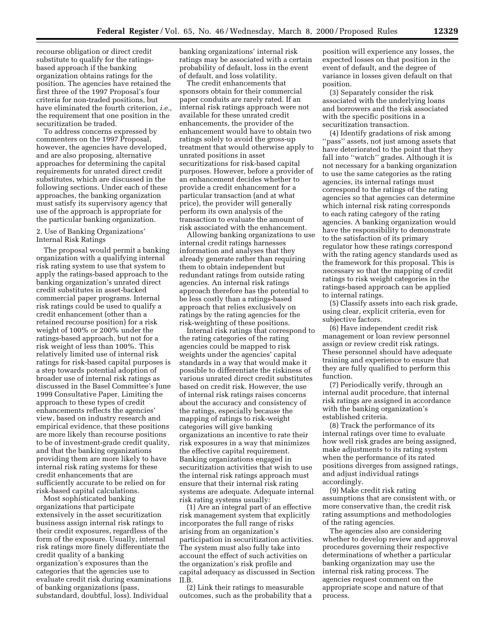recourse obligation or direct credit substitute to qualify for the ratingsbased approach if the banking organization obtains ratings for the position. The agencies have retained the first three of the 1997 Proposal's four criteria for non-traded positions, but have eliminated the fourth criterion, *i.e.,* the requirement that one position in the securitization be traded.

To address concerns expressed by commenters on the 1997 Proposal, however, the agencies have developed, and are also proposing, alternative approaches for determining the capital requirements for unrated direct credit substitutes, which are discussed in the following sections. Under each of these approaches, the banking organization must satisfy its supervisory agency that use of the approach is appropriate for the particular banking organization.

#### 2. Use of Banking Organizations' Internal Risk Ratings

The proposal would permit a banking organization with a qualifying internal risk rating system to use that system to apply the ratings-based approach to the banking organization's unrated direct credit substitutes in asset-backed commercial paper programs. Internal risk ratings could be used to qualify a credit enhancement (other than a retained recourse position) for a risk weight of 100% or 200% under the ratings-based approach, but not for a risk weight of less than 100%. This relatively limited use of internal risk ratings for risk-based capital purposes is a step towards potential adoption of broader use of internal risk ratings as discussed in the Basel Committee's June 1999 Consultative Paper. Limiting the approach to these types of credit enhancements reflects the agencies' view, based on industry research and empirical evidence, that these positions are more likely than recourse positions to be of investment-grade credit quality, and that the banking organizations providing them are more likely to have internal risk rating systems for these credit enhancements that are sufficiently accurate to be relied on for risk-based capital calculations.

Most sophisticated banking organizations that participate extensively in the asset securitization business assign internal risk ratings to their credit exposures, regardless of the form of the exposure. Usually, internal risk ratings more finely differentiate the credit quality of a banking organization's exposures than the categories that the agencies use to evaluate credit risk during examinations of banking organizations (pass, substandard, doubtful, loss). Individual

banking organizations' internal risk ratings may be associated with a certain probability of default, loss in the event of default, and loss volatility.

The credit enhancements that sponsors obtain for their commercial paper conduits are rarely rated. If an internal risk ratings approach were not available for these unrated credit enhancements, the provider of the enhancement would have to obtain two ratings solely to avoid the gross-up treatment that would otherwise apply to unrated positions in asset securitizations for risk-based capital purposes. However, before a provider of an enhancement decides whether to provide a credit enhancement for a particular transaction (and at what price), the provider will generally perform its own analysis of the transaction to evaluate the amount of risk associated with the enhancement.

Allowing banking organizations to use internal credit ratings harnesses information and analyses that they already generate rather than requiring them to obtain independent but redundant ratings from outside rating agencies. An internal risk ratings approach therefore has the potential to be less costly than a ratings-based approach that relies exclusively on ratings by the rating agencies for the risk-weighting of these positions.

Internal risk ratings that correspond to the rating categories of the rating agencies could be mapped to risk weights under the agencies' capital standards in a way that would make it possible to differentiate the riskiness of various unrated direct credit substitutes based on credit risk. However, the use of internal risk ratings raises concerns about the accuracy and consistency of the ratings, especially because the mapping of ratings to risk-weight categories will give banking organizations an incentive to rate their risk exposures in a way that minimizes the effective capital requirement. Banking organizations engaged in securitization activities that wish to use the internal risk ratings approach must ensure that their internal risk rating systems are adequate. Adequate internal risk rating systems usually:

(1) Are an integral part of an effective risk management system that explicitly incorporates the full range of risks arising from an organization's participation in securitization activities. The system must also fully take into account the effect of such activities on the organization's risk profile and capital adequacy as discussed in Section II.B.

(2) Link their ratings to measurable outcomes, such as the probability that a

position will experience any losses, the expected losses on that position in the event of default, and the degree of variance in losses given default on that position.

(3) Separately consider the risk associated with the underlying loans and borrowers and the risk associated with the specific positions in a securitization transaction.

(4) Identify gradations of risk among ''pass'' assets, not just among assets that have deteriorated to the point that they fall into "watch" grades. Although it is not necessary for a banking organization to use the same categories as the rating agencies, its internal ratings must correspond to the ratings of the rating agencies so that agencies can determine which internal risk rating corresponds to each rating category of the rating agencies. A banking organization would have the responsibility to demonstrate to the satisfaction of its primary regulator how these ratings correspond with the rating agency standards used as the framework for this proposal. This is necessary so that the mapping of credit ratings to risk weight categories in the ratings-based approach can be applied to internal ratings.

(5) Classify assets into each risk grade, using clear, explicit criteria, even for subjective factors.

(6) Have independent credit risk management or loan review personnel assign or review credit risk ratings. These personnel should have adequate training and experience to ensure that they are fully qualified to perform this function.

(7) Periodically verify, through an internal audit procedure, that internal risk ratings are assigned in accordance with the banking organization's established criteria.

(8) Track the performance of its internal ratings over time to evaluate how well risk grades are being assigned, make adjustments to its rating system when the performance of its rated positions diverges from assigned ratings, and adjust individual ratings accordingly.

(9) Make credit risk rating assumptions that are consistent with, or more conservative than, the credit risk rating assumptions and methodologies of the rating agencies.

The agencies also are considering whether to develop review and approval procedures governing their respective determinations of whether a particular banking organization may use the internal risk rating process. The agencies request comment on the appropriate scope and nature of that process.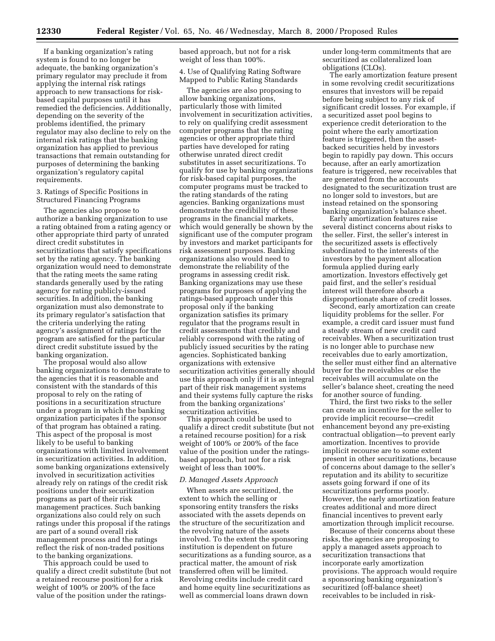If a banking organization's rating system is found to no longer be adequate, the banking organization's primary regulator may preclude it from applying the internal risk ratings approach to new transactions for riskbased capital purposes until it has remedied the deficiencies. Additionally, depending on the severity of the problems identified, the primary regulator may also decline to rely on the internal risk ratings that the banking organization has applied to previous transactions that remain outstanding for purposes of determining the banking organization's regulatory capital requirements.

#### 3. Ratings of Specific Positions in Structured Financing Programs

The agencies also propose to authorize a banking organization to use a rating obtained from a rating agency or other appropriate third party of unrated direct credit substitutes in securitizations that satisfy specifications set by the rating agency. The banking organization would need to demonstrate that the rating meets the same rating standards generally used by the rating agency for rating publicly-issued securities. In addition, the banking organization must also demonstrate to its primary regulator's satisfaction that the criteria underlying the rating agency's assignment of ratings for the program are satisfied for the particular direct credit substitute issued by the banking organization.

The proposal would also allow banking organizations to demonstrate to the agencies that it is reasonable and consistent with the standards of this proposal to rely on the rating of positions in a securitization structure under a program in which the banking organization participates if the sponsor of that program has obtained a rating. This aspect of the proposal is most likely to be useful to banking organizations with limited involvement in securitization activities. In addition, some banking organizations extensively involved in securitization activities already rely on ratings of the credit risk positions under their securitization programs as part of their risk management practices. Such banking organizations also could rely on such ratings under this proposal if the ratings are part of a sound overall risk management process and the ratings reflect the risk of non-traded positions to the banking organizations.

This approach could be used to qualify a direct credit substitute (but not a retained recourse position) for a risk weight of 100% or 200% of the face value of the position under the ratingsbased approach, but not for a risk weight of less than 100%.

4. Use of Qualifying Rating Software Mapped to Public Rating Standards

The agencies are also proposing to allow banking organizations, particularly those with limited involvement in securitization activities, to rely on qualifying credit assessment computer programs that the rating agencies or other appropriate third parties have developed for rating otherwise unrated direct credit substitutes in asset securitizations. To qualify for use by banking organizations for risk-based capital purposes, the computer programs must be tracked to the rating standards of the rating agencies. Banking organizations must demonstrate the credibility of these programs in the financial markets, which would generally be shown by the significant use of the computer program by investors and market participants for risk assessment purposes. Banking organizations also would need to demonstrate the reliability of the programs in assessing credit risk. Banking organizations may use these programs for purposes of applying the ratings-based approach under this proposal only if the banking organization satisfies its primary regulator that the programs result in credit assessments that credibly and reliably correspond with the rating of publicly issued securities by the rating agencies. Sophisticated banking organizations with extensive securitization activities generally should use this approach only if it is an integral part of their risk management systems and their systems fully capture the risks from the banking organizations' securitization activities.

This approach could be used to qualify a direct credit substitute (but not a retained recourse position) for a risk weight of 100% or 200% of the face value of the position under the ratingsbased approach, but not for a risk weight of less than 100%.

#### *D. Managed Assets Approach*

When assets are securitized, the extent to which the selling or sponsoring entity transfers the risks associated with the assets depends on the structure of the securitization and the revolving nature of the assets involved. To the extent the sponsoring institution is dependent on future securitizations as a funding source, as a practical matter, the amount of risk transferred often will be limited. Revolving credits include credit card and home equity line securitizations as well as commercial loans drawn down

under long-term commitments that are securitized as collateralized loan obligations (CLOs).

The early amortization feature present in some revolving credit securitizations ensures that investors will be repaid before being subject to any risk of significant credit losses. For example, if a securitized asset pool begins to experience credit deterioration to the point where the early amortization feature is triggered, then the assetbacked securities held by investors begin to rapidly pay down. This occurs because, after an early amortization feature is triggered, new receivables that are generated from the accounts designated to the securitization trust are no longer sold to investors, but are instead retained on the sponsoring banking organization's balance sheet.

Early amortization features raise several distinct concerns about risks to the seller. First, the seller's interest in the securitized assets is effectively subordinated to the interests of the investors by the payment allocation formula applied during early amortization. Investors effectively get paid first, and the seller's residual interest will therefore absorb a disproportionate share of credit losses.

Second, early amortization can create liquidity problems for the seller. For example, a credit card issuer must fund a steady stream of new credit card receivables. When a securitization trust is no longer able to purchase new receivables due to early amortization, the seller must either find an alternative buyer for the receivables or else the receivables will accumulate on the seller's balance sheet, creating the need for another source of funding.

Third, the first two risks to the seller can create an incentive for the seller to provide implicit recourse—credit enhancement beyond any pre-existing contractual obligation—to prevent early amortization. Incentives to provide implicit recourse are to some extent present in other securitizations, because of concerns about damage to the seller's reputation and its ability to securitize assets going forward if one of its securitizations performs poorly. However, the early amortization feature creates additional and more direct financial incentives to prevent early amortization through implicit recourse.

Because of their concerns about these risks, the agencies are proposing to apply a managed assets approach to securitization transactions that incorporate early amortization provisions. The approach would require a sponsoring banking organization's securitized (off-balance sheet) receivables to be included in risk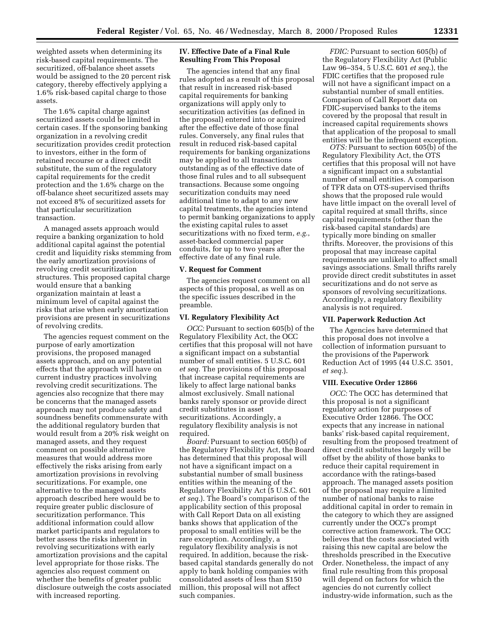weighted assets when determining its risk-based capital requirements. The securitized, off-balance sheet assets would be assigned to the 20 percent risk category, thereby effectively applying a 1.6% risk-based capital charge to those assets.

The 1.6% capital charge against securitized assets could be limited in certain cases. If the sponsoring banking organization in a revolving credit securitization provides credit protection to investors, either in the form of retained recourse or a direct credit substitute, the sum of the regulatory capital requirements for the credit protection and the 1.6% charge on the off-balance sheet securitized assets may not exceed 8% of securitized assets for that particular securitization transaction.

A managed assets approach would require a banking organization to hold additional capital against the potential credit and liquidity risks stemming from the early amortization provisions of revolving credit securitization structures. This proposed capital charge would ensure that a banking organization maintain at least a minimum level of capital against the risks that arise when early amortization provisions are present in securitizations of revolving credits.

The agencies request comment on the purpose of early amortization provisions, the proposed managed assets approach, and on any potential effects that the approach will have on current industry practices involving revolving credit securitizations. The agencies also recognize that there may be concerns that the managed assets approach may not produce safety and soundness benefits commensurate with the additional regulatory burden that would result from a 20% risk weight on managed assets, and they request comment on possible alternative measures that would address more effectively the risks arising from early amortization provisions in revolving securitizations. For example, one alternative to the managed assets approach described here would be to require greater public disclosure of securitization performance. This additional information could allow market participants and regulators to better assess the risks inherent in revolving securitizations with early amortization provisions and the capital level appropriate for those risks. The agencies also request comment on whether the benefits of greater public disclosure outweigh the costs associated with increased reporting.

#### **IV. Effective Date of a Final Rule Resulting From This Proposal**

The agencies intend that any final rules adopted as a result of this proposal that result in increased risk-based capital requirements for banking organizations will apply only to securitization activities (as defined in the proposal) entered into or acquired after the effective date of those final rules. Conversely, any final rules that result in reduced risk-based capital requirements for banking organizations may be applied to all transactions outstanding as of the effective date of those final rules and to all subsequent transactions. Because some ongoing securitization conduits may need additional time to adapt to any new capital treatments, the agencies intend to permit banking organizations to apply the existing capital rules to asset securitizations with no fixed term, *e.g.*, asset-backed commercial paper conduits, for up to two years after the effective date of any final rule.

#### **V. Request for Comment**

The agencies request comment on all aspects of this proposal, as well as on the specific issues described in the preamble.

#### **VI. Regulatory Flexibility Act**

*OCC:* Pursuant to section 605(b) of the Regulatory Flexibility Act, the OCC certifies that this proposal will not have a significant impact on a substantial number of small entities. 5 U.S.C. 601 *et seq.* The provisions of this proposal that increase capital requirements are likely to affect large national banks almost exclusively. Small national banks rarely sponsor or provide direct credit substitutes in asset securitizations. Accordingly, a regulatory flexibility analysis is not required.

*Board:* Pursuant to section 605(b) of the Regulatory Flexibility Act, the Board has determined that this proposal will not have a significant impact on a substantial number of small business entities within the meaning of the Regulatory Flexibility Act (5 U.S.C. 601 *et seq.*). The Board's comparison of the applicability section of this proposal with Call Report Data on all existing banks shows that application of the proposal to small entities will be the rare exception. Accordingly, a regulatory flexibility analysis is not required. In addition, because the riskbased capital standards generally do not apply to bank holding companies with consolidated assets of less than \$150 million, this proposal will not affect such companies.

*FDIC:* Pursuant to section 605(b) of the Regulatory Flexibility Act (Public Law 96–354, 5 U.S.C. 601 *et seq.*), the FDIC certifies that the proposed rule will not have a significant impact on a substantial number of small entities. Comparison of Call Report data on FDIC-supervised banks to the items covered by the proposal that result in increased capital requirements shows that application of the proposal to small entities will be the infrequent exception.

*OTS:* Pursuant to section 605(b) of the Regulatory Flexibility Act, the OTS certifies that this proposal will not have a significant impact on a substantial number of small entities. A comparison of TFR data on OTS-supervised thrifts shows that the proposed rule would have little impact on the overall level of capital required at small thrifts, since capital requirements (other than the risk-based capital standards) are typically more binding on smaller thrifts. Moreover, the provisions of this proposal that may increase capital requirements are unlikely to affect small savings associations. Small thrifts rarely provide direct credit substitutes in asset securitizations and do not serve as sponsors of revolving securitizations. Accordingly, a regulatory flexibility analysis is not required.

#### **VII. Paperwork Reduction Act**

The Agencies have determined that this proposal does not involve a collection of information pursuant to the provisions of the Paperwork Reduction Act of 1995 (44 U.S.C. 3501, *et seq.*).

#### **VIII. Executive Order 12866**

*OCC:* The OCC has determined that this proposal is not a significant regulatory action for purposes of Executive Order 12866. The OCC expects that any increase in national banks' risk-based capital requirement, resulting from the proposed treatment of direct credit substitutes largely will be offset by the ability of those banks to reduce their capital requirement in accordance with the ratings-based approach. The managed assets position of the proposal may require a limited number of national banks to raise additional capital in order to remain in the category to which they are assigned currently under the OCC's prompt corrective action framework. The OCC believes that the costs associated with raising this new capital are below the thresholds prescribed in the Executive Order. Nonetheless, the impact of any final rule resulting from this proposal will depend on factors for which the agencies do not currently collect industry-wide information, such as the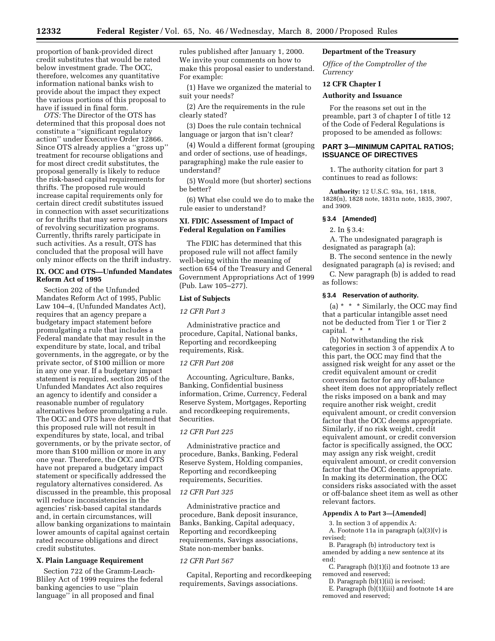proportion of bank-provided direct credit substitutes that would be rated below investment grade. The OCC, therefore, welcomes any quantitative information national banks wish to provide about the impact they expect the various portions of this proposal to have if issued in final form.

*OTS:* The Director of the OTS has determined that this proposal does not constitute a ''significant regulatory action'' under Executive Order 12866. Since OTS already applies a ''gross up'' treatment for recourse obligations and for most direct credit substitutes, the proposal generally is likely to reduce the risk-based capital requirements for thrifts. The proposed rule would increase capital requirements only for certain direct credit substitutes issued in connection with asset securitizations or for thrifts that may serve as sponsors of revolving securitization programs. Currently, thrifts rarely participate in such activities. As a result, OTS has concluded that the proposal will have only minor effects on the thrift industry.

#### **IX. OCC and OTS—Unfunded Mandates Reform Act of 1995**

Section 202 of the Unfunded Mandates Reform Act of 1995, Public Law 104–4, (Unfunded Mandates Act), requires that an agency prepare a budgetary impact statement before promulgating a rule that includes a Federal mandate that may result in the expenditure by state, local, and tribal governments, in the aggregate, or by the private sector, of \$100 million or more in any one year. If a budgetary impact statement is required, section 205 of the Unfunded Mandates Act also requires an agency to identify and consider a reasonable number of regulatory alternatives before promulgating a rule. The OCC and OTS have determined that this proposed rule will not result in expenditures by state, local, and tribal governments, or by the private sector, of more than \$100 million or more in any one year. Therefore, the OCC and OTS have not prepared a budgetary impact statement or specifically addressed the regulatory alternatives considered. As discussed in the preamble, this proposal will reduce inconsistencies in the agencies' risk-based capital standards and, in certain circumstances, will allow banking organizations to maintain lower amounts of capital against certain rated recourse obligations and direct credit substitutes.

#### **X. Plain Language Requirement**

Section 722 of the Gramm-Leach-Bliley Act of 1999 requires the federal banking agencies to use ''plain language'' in all proposed and final

rules published after January 1, 2000. We invite your comments on how to make this proposal easier to understand. For example:

(1) Have we organized the material to suit your needs?

(2) Are the requirements in the rule clearly stated?

(3) Does the rule contain technical language or jargon that isn't clear?

(4) Would a different format (grouping and order of sections, use of headings, paragraphing) make the rule easier to understand?

(5) Would more (but shorter) sections be better?

(6) What else could we do to make the rule easier to understand?

#### **XI. FDIC Assessment of Impact of Federal Regulation on Families**

The FDIC has determined that this proposed rule will not affect family well-being within the meaning of section 654 of the Treasury and General Government Appropriations Act of 1999 (Pub. Law 105–277).

#### **List of Subjects**

*12 CFR Part 3*

Administrative practice and procedure, Capital, National banks, Reporting and recordkeeping requirements, Risk.

#### *12 CFR Part 208*

Accounting, Agriculture, Banks, Banking, Confidential business information, Crime, Currency, Federal Reserve System, Mortgages, Reporting and recordkeeping requirements, Securities.

#### *12 CFR Part 225*

Administrative practice and procedure, Banks, Banking, Federal Reserve System, Holding companies, Reporting and recordkeeping requirements, Securities.

#### *12 CFR Part 325*

Administrative practice and procedure, Bank deposit insurance, Banks, Banking, Capital adequacy, Reporting and recordkeeping requirements, Savings associations, State non-member banks.

#### *12 CFR Part 567*

Capital, Reporting and recordkeeping requirements, Savings associations.

#### **Department of the Treasury**

*Office of the Comptroller of the Currency*

#### **12 CFR Chapter I**

#### **Authority and Issuance**

For the reasons set out in the preamble, part 3 of chapter I of title 12 of the Code of Federal Regulations is proposed to be amended as follows:

#### **PART 3—MINIMUM CAPITAL RATIOS; ISSUANCE OF DIRECTIVES**

1. The authority citation for part 3 continues to read as follows:

**Authority:** 12 U.S.C. 93a, 161, 1818, 1828(n), 1828 note, 1831n note, 1835, 3907, and 3909.

#### **§ 3.4 [Amended]**

2. In § 3.4:

A. The undesignated paragraph is designated as paragraph (a);

B. The second sentence in the newly designated paragraph (a) is revised; and

C. New paragraph (b) is added to read as follows:

#### **§ 3.4 Reservation of authority.**

(a) \* \* \* Similarly, the OCC may find that a particular intangible asset need not be deducted from Tier 1 or Tier 2 capital.\*\*\*

(b) Notwithstanding the risk categories in section 3 of appendix A to this part, the OCC may find that the assigned risk weight for any asset or the credit equivalent amount or credit conversion factor for any off-balance sheet item does not appropriately reflect the risks imposed on a bank and may require another risk weight, credit equivalent amount, or credit conversion factor that the OCC deems appropriate. Similarly, if no risk weight, credit equivalent amount, or credit conversion factor is specifically assigned, the OCC may assign any risk weight, credit equivalent amount, or credit conversion factor that the OCC deems appropriate. In making its determination, the OCC considers risks associated with the asset or off-balance sheet item as well as other relevant factors.

#### **Appendix A to Part 3—[Amended]**

3. In section 3 of appendix A:

A. Footnote 11a in paragraph (a)(3)(v) is revised;

B. Paragraph (b) introductory text is amended by adding a new sentence at its end;

C. Paragraph (b)(1)(i) and footnote 13 are removed and reserved;

D. Paragraph (b)(1)(ii) is revised;

E. Paragraph (b)(1)(iii) and footnote 14 are removed and reserved;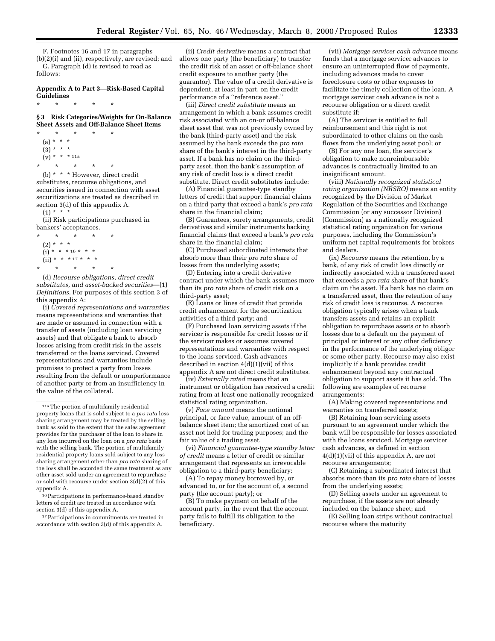F. Footnotes 16 and 17 in paragraphs (b)(2)(i) and (ii), respectively, are revised; and G. Paragraph (d) is revised to read as follows:

#### **Appendix A to Part 3—Risk-Based Capital Guidelines**

**§ 3 Risk Categories/Weights for On-Balance Sheet Assets and Off-Balance Sheet Items**

\* \* \* \* \* (a) \* \* \*  $(3) * * * *$  $(v) * * * 11a$ \* \* \* \* \*

\* \* \* \* \*

(b) \* \* \* However, direct credit substitutes, recourse obligations, and securities issued in connection with asset securitizations are treated as described in section 3(d) of this appendix A.  $(1) * * * *$ 

#### (ii) Risk participations purchased in bankers' acceptances.

\* \* \* \* \* (2) \* \* \*  $(i) * * * 16 * * * *$  $(iii) * * * 17 * *$ \* \* \* \* \*

(d) *Recourse obligations, direct credit substitutes, and asset-backed securities*—(1) *Definitions.* For purposes of this section 3 of this appendix A:

(i) *Covered representations and warranties* means representations and warranties that are made or assumed in connection with a transfer of assets (including loan servicing assets) and that obligate a bank to absorb losses arising from credit risk in the assets transferred or the loans serviced. Covered representations and warranties include promises to protect a party from losses resulting from the default or nonperformance of another party or from an insufficiency in the value of the collateral.

<sup>16</sup> Participations in performance-based standby letters of credit are treated in accordance with section 3(d) of this appendix A.

<sup>17</sup> Participations in commitments are treated in accordance with section 3(d) of this appendix A.

(ii) *Credit derivative* means a contract that allows one party (the beneficiary) to transfer the credit risk of an asset or off-balance sheet credit exposure to another party (the guarantor). The value of a credit derivative is dependent, at least in part, on the credit performance of a ''reference asset.''

(iii) *Direct credit substitute* means an arrangement in which a bank assumes credit risk associated with an on-or off-balance sheet asset that was not previously owned by the bank (third-party asset) and the risk assumed by the bank exceeds the *pro rata* share of the bank's interest in the third-party asset. If a bank has no claim on the thirdparty asset, then the bank's assumption of any risk of credit loss is a direct credit substitute. Direct credit substitutes include:

(A) Financial guarantee-type standby letters of credit that support financial claims on a third party that exceed a bank's *pro rata* share in the financial claim;

(B) Guarantees, surety arrangements, credit derivatives and similar instruments backing financial claims that exceed a bank's *pro rata* share in the financial claim;

(C) Purchased subordinated interests that absorb more than their *pro rata* share of losses from the underlying assets;

(D) Entering into a credit derivative contract under which the bank assumes more than its *pro rata* share of credit risk on a third-party asset;

(E) Loans or lines of credit that provide credit enhancement for the securitization activities of a third party; and

(F) Purchased loan servicing assets if the servicer is responsible for credit losses or if the servicer makes or assumes covered representations and warranties with respect to the loans serviced. Cash advances described in section 4(d)(1)(vii) of this appendix A are not direct credit substitutes.

(iv) *Externally rated* means that an instrument or obligation has received a credit rating from at least one nationally recognized statistical rating organization.

(v) *Face amount* means the notional principal, or face value, amount of an offbalance sheet item; the amortized cost of an asset not held for trading purposes; and the fair value of a trading asset.

(vi) *Financial guarantee-type standby letter of credit* means a letter of credit or similar arrangement that represents an irrevocable obligation to a third-party beneficiary:

(A) To repay money borrowed by, or advanced to, or for the account of, a second party (the account party); or

(B) To make payment on behalf of the account party, in the event that the account party fails to fulfill its obligation to the beneficiary.

(vii) *Mortgage servicer cash advance* means funds that a mortgage servicer advances to ensure an uninterrupted flow of payments, including advances made to cover foreclosure costs or other expenses to facilitate the timely collection of the loan. A mortgage servicer cash advance is not a recourse obligation or a direct credit substitute if:

(A) The servicer is entitled to full reimbursement and this right is not subordinated to other claims on the cash flows from the underlying asset pool; or

(B) For any one loan, the servicer's obligation to make nonreimbursable advances is contractually limited to an insignificant amount.

(viii) *Nationally recognized statistical rating organization (NRSRO)* means an entity recognized by the Division of Market Regulation of the Securities and Exchange Commission (or any successor Division) (Commission) as a nationally recognized statistical rating organization for various purposes, including the Commission's uniform net capital requirements for brokers and dealers.

(ix) *Recourse* means the retention, by a bank, of any risk of credit loss directly or indirectly associated with a transferred asset that exceeds a *pro rata* share of that bank's claim on the asset. If a bank has no claim on a transferred asset, then the retention of any risk of credit loss is recourse. A recourse obligation typically arises when a bank transfers assets and retains an explicit obligation to repurchase assets or to absorb losses due to a default on the payment of principal or interest or any other deficiency in the performance of the underlying obligor or some other party. Recourse may also exist implicitly if a bank provides credit enhancement beyond any contractual obligation to support assets it has sold. The following are examples of recourse arrangements:

(A) Making covered representations and warranties on transferred assets;

(B) Retaining loan servicing assets pursuant to an agreement under which the bank will be responsible for losses associated with the loans serviced. Mortgage servicer cash advances, as defined in section 4(d)(1)(vii) of this appendix A, are not recourse arrangements;

(C) Retaining a subordinated interest that absorbs more than its *pro rata* share of losses from the underlying assets;

(D) Selling assets under an agreement to repurchase, if the assets are not already included on the balance sheet; and

(E) Selling loan strips without contractual recourse where the maturity

<sup>11</sup>aThe portion of multifamily residential property loans that is sold subject to a *pro rata* loss sharing arrangement may be treated by the selling bank as sold to the extent that the sales agreement provides for the purchaser of the loan to share in any loss incurred on the loan on a *pro rata* basis with the selling bank. The portion of multifamily residential property loans sold subject to any loss sharing arrangement other than *pro rata* sharing of the loss shall be accorded the same treatment as any other asset sold under an agreement to repurchase or sold with recourse under section 3(d)(2) of this appendix A.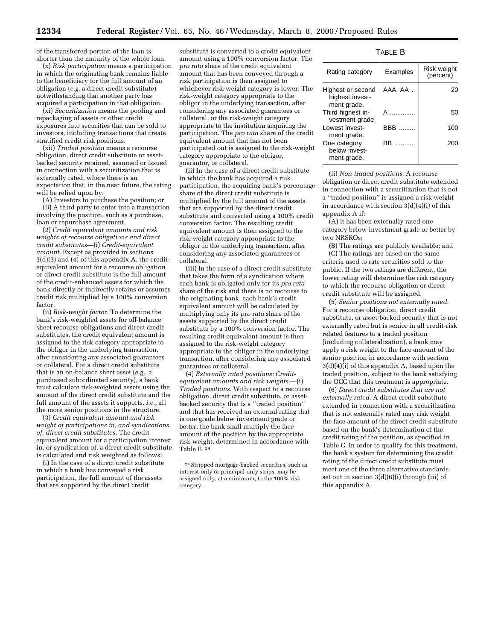of the transferred portion of the loan is shorter than the maturity of the whole loan.

(x) *Risk participation* means a participation in which the originating bank remains liable to the beneficiary for the full amount of an obligation (*e.g.* a direct credit substitute) notwithstanding that another party has acquired a participation in that obligation.

(xi) *Securitization* means the pooling and repackaging of assets or other credit exposures into securities that can be sold to investors, including transactions that create stratified credit risk positions.

(xii) *Traded position* means a recourse obligation, direct credit substitute or assetbacked security retained, assumed or issued in connection with a securitization that is externally rated, where there is an expectation that, in the near future, the rating will be relied upon by:

(A) Investors to purchase the position; or (B) A third party to enter into a transaction involving the position, such as a purchase, loan or repurchase agreement.

(2) *Credit equivalent amounts and risk weights of recourse obligations and direct credit substitutes*—(i) *Credit-equivalent amount.* Except as provided in sections 3(d)(3) and (4) of this appendix A, the creditequivalent amount for a recourse obligation or direct credit substitute is the full amount of the credit-enhanced assets for which the bank directly or indirectly retains or assumes credit risk multiplied by a 100% conversion factor.

(ii) *Risk-weight factor.* To determine the bank's risk-weighted assets for off-balance sheet recourse obligations and direct credit substitutes, the credit equivalent amount is assigned to the risk category appropriate to the obligor in the underlying transaction, after considering any associated guarantees or collateral. For a direct credit substitute that is an on-balance sheet asset (*e.g.,* a purchased subordinated security), a bank must calculate risk-weighted assets using the amount of the direct credit substitute and the full amount of the assets it supports, *i.e.,* all the more senior positions in the structure.

(3) *Credit equivalent amount and risk weight of participations in, and syndications of, direct credit substitutes.* The credit equivalent amount for a participation interest in, or syndication of, a direct credit substitute is calculated and risk weighted as follows:

(i) In the case of a direct credit substitute in which a bank has conveyed a risk participation, the full amount of the assets that are supported by the direct credit

substitute is converted to a credit equivalent amount using a 100% conversion factor. The *pro rata* share of the credit equivalent amount that has been conveyed through a risk participation is then assigned to whichever risk-weight category is lower: The risk-weight category appropriate to the obligor in the underlying transaction, after considering any associated guarantees or collateral, or the risk-weight category appropriate to the institution acquiring the participation. The *pro rata* share of the credit equivalent amount that has not been participated out is assigned to the risk-weight category appropriate to the obligor, guarantor, or collateral.

(ii) In the case of a direct credit substitute in which the bank has acquired a risk participation, the acquiring bank's percentage share of the direct credit substitute is multiplied by the full amount of the assets that are supported by the direct credit substitute and converted using a 100% credit conversion factor. The resulting credit equivalent amount is then assigned to the risk-weight category appropriate to the obligor in the underlying transaction, after considering any associated guarantees or collateral.

(iii) In the case of a direct credit substitute that takes the form of a syndication where each bank is obligated only for its *pro rata* share of the risk and there is no recourse to the originating bank, each bank's credit equivalent amount will be calculated by multiplying only its *pro rata* share of the assets supported by the direct credit substitute by a 100% conversion factor. The resulting credit equivalent amount is then assigned to the risk-weight category appropriate to the obligor in the underlying transaction, after considering any associated guarantees or collateral.

(4) *Externally rated positions: Creditequivalent amounts and risk weights.*—(i) *Traded positions.* With respect to a recourse obligation, direct credit substitute, or assetbacked security that is a ''traded position'' and that has received an external rating that is one grade below investment grade or better, the bank shall multiply the face amount of the position by the appropriate risk weight, determined in accordance with Table B. 24

#### TABLE B

| Rating category                                     | Examples        | Risk weight<br>(percent) |
|-----------------------------------------------------|-----------------|--------------------------|
| Highest or second<br>highest invest-<br>ment grade. | AAA, AA         | 20                       |
| Third highest in-<br>vestment grade.                | A               | 50                       |
| I owest invest-<br>ment grade.                      | <b>BBB</b><br>. | 100                      |
| One category<br>helow invest-<br>ment grade.        | ВB<br>.         | 200                      |

(ii) *Non-traded positions.* A recourse obligation or direct credit substitute extended in connection with a securitization that is not a ''traded position'' is assigned a risk weight in accordance with section 3(d)(4)(i) of this appendix A if:

(A) It has been externally rated one category below investment grade or better by two NRSROs;

(B) The ratings are publicly available; and (C) The ratings are based on the same criteria used to rate securities sold to the public. If the two ratings are different, the lower rating will determine the risk category to which the recourse obligation or direct credit substitute will be assigned.

(5) *Senior positions not externally rated.* For a recourse obligation, direct credit substitute, or asset-backed security that is not externally rated but is senior in all credit-risk related features to a traded position (including collateralization), a bank may apply a risk weight to the face amount of the senior position in accordance with section 3(d)(4)(i) of this appendix A, based upon the traded position, subject to the bank satisfying the OCC that this treatment is appropriate.

(6) *Direct credit substitutes that are not externally rated.* A direct credit substitute extended in connection with a securitization that is not externally rated may risk weight the face amount of the direct credit substitute based on the bank's determination of the credit rating of the position, as specified in Table C. In order to qualify for this treatment, the bank's system for determining the credit rating of the direct credit substitute must meet one of the three alternative standards set out in section 3(d)(6)(i) through (iii) of this appendix A.

<sup>24</sup>Stripped mortgage-backed securities, such as interest-only or principal-only strips, may be assigned only, at a minimum, to the 100% risk category.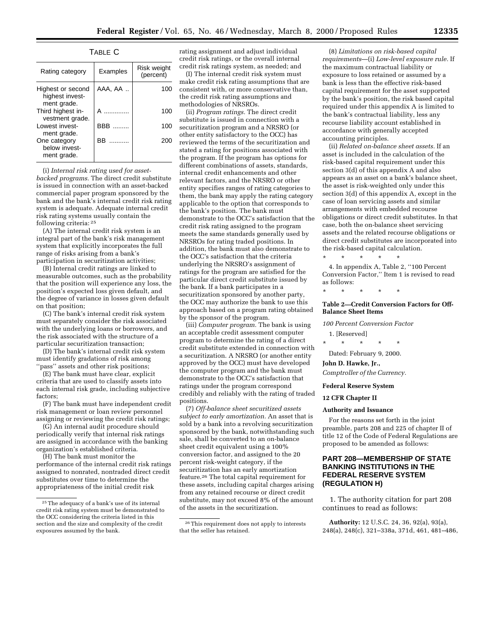TABLE C

| Rating category                                     | Examples | Risk weight<br>(percent) |
|-----------------------------------------------------|----------|--------------------------|
| Highest or second<br>highest invest-<br>ment grade. | AAA, AA  | 100                      |
| Third highest in-<br>vestment grade.                | A        | 100                      |
| I owest invest-<br>ment grade.                      | BBB      | 100                      |
| One category<br>helow invest-<br>ment grade.        | ВB<br>.  | 200                      |

(i) *Internal risk rating used for assetbacked programs.* The direct credit substitute is issued in connection with an asset-backed commercial paper program sponsored by the bank and the bank's internal credit risk rating system is adequate. Adequate internal credit risk rating systems usually contain the following criteria: 25

(A) The internal credit risk system is an integral part of the bank's risk management system that explicitly incorporates the full range of risks arising from a bank's participation in securitization activities;

(B) Internal credit ratings are linked to measurable outcomes, such as the probability that the position will experience any loss, the position's expected loss given default, and the degree of variance in losses given default on that position;

(C) The bank's internal credit risk system must separately consider the risk associated with the underlying loans or borrowers, and the risk associated with the structure of a particular securitization transaction;

(D) The bank's internal credit risk system must identify gradations of risk among ''pass'' assets and other risk positions;

(E) The bank must have clear, explicit criteria that are used to classify assets into each internal risk grade, including subjective factors;

(F) The bank must have independent credit risk management or loan review personnel assigning or reviewing the credit risk ratings;

(G) An internal audit procedure should periodically verify that internal risk ratings are assigned in accordance with the banking organization's established criteria.

(H) The bank must monitor the performance of the internal credit risk ratings assigned to nonrated, nontraded direct credit substitutes over time to determine the appropriateness of the initial credit risk

rating assignment and adjust individual credit risk ratings, or the overall internal credit risk ratings system, as needed; and

(I) The internal credit risk system must make credit risk rating assumptions that are consistent with, or more conservative than, the credit risk rating assumptions and methodologies of NRSROs.

(ii) *Program ratings.* The direct credit substitute is issued in connection with a securitization program and a NRSRO (or other entity satisfactory to the OCC) has reviewed the terms of the securitization and stated a rating for positions associated with the program. If the program has options for different combinations of assets, standards, internal credit enhancements and other relevant factors, and the NRSRO or other entity specifies ranges of rating categories to them, the bank may apply the rating category applicable to the option that corresponds to the bank's position. The bank must demonstrate to the OCC's satisfaction that the credit risk rating assigned to the program meets the same standards generally used by NRSROs for rating traded positions. In addition, the bank must also demonstrate to the OCC's satisfaction that the criteria underlying the NRSRO's assignment of ratings for the program are satisfied for the particular direct credit substitute issued by the bank. If a bank participates in a securitization sponsored by another party, the OCC may authorize the bank to use this approach based on a program rating obtained by the sponsor of the program.

(iii) *Computer program.* The bank is using an acceptable credit assessment computer program to determine the rating of a direct credit substitute extended in connection with a securitization. A NRSRO (or another entity approved by the OCC) must have developed the computer program and the bank must demonstrate to the OCC's satisfaction that ratings under the program correspond credibly and reliably with the rating of traded positions.

(7) *Off-balance sheet securitized assets subject to early amortization.* An asset that is sold by a bank into a revolving securitization sponsored by the bank, notwithstanding such sale, shall be converted to an on-balance sheet credit equivalent using a 100% conversion factor, and assigned to the 20 percent risk-weight category, if the securitization has an early amortization feature.26 The total capital requirement for these assets, including capital charges arising from any retained recourse or direct credit substitute, may not exceed 8% of the amount of the assets in the securitization.

(8) *Limitations on risk-based capital requirements*—(i) *Low-level exposure rule.* If the maximum contractual liability or exposure to loss retained or assumed by a bank is less than the effective risk-based capital requirement for the asset supported by the bank's position, the risk based capital required under this appendix A is limited to the bank's contractual liability, less any recourse liability account established in accordance with generally accepted accounting principles.

(ii) *Related on-balance sheet assets.* If an asset is included in the calculation of the risk-based capital requirement under this section 3(d) of this appendix A and also appears as an asset on a bank's balance sheet, the asset is risk-weighted only under this section 3(d) of this appendix A, except in the case of loan servicing assets and similar arrangements with embedded recourse obligations or direct credit substitutes. In that case, both the on-balance sheet servicing assets and the related recourse obligations or direct credit substitutes are incorporated into the risk-based capital calculation.

\* \* \* \* \* 4. In appendix A, Table 2, ''100 Percent Conversion Factor,'' Item 1 is revised to read as follows:

\* \* \* \* \*

#### **Table 2—Credit Conversion Factors for Off-Balance Sheet Items**

*100 Percent Conversion Factor*

1. [Reserved]

\* \* \* \* \* Dated: February 9, 2000.

**John D. Hawke, Jr.,**

*Comptroller of the Currency.*

**Federal Reserve System**

**12 CFR Chapter II**

#### **Authority and Issuance**

For the reasons set forth in the joint preamble, parts 208 and 225 of chapter II of title 12 of the Code of Federal Regulations are proposed to be amended as follows:

#### **PART 208—MEMBERSHIP OF STATE BANKING INSTITUTIONS IN THE FEDERAL RESERVE SYSTEM (REGULATION H)**

1. The authority citation for part 208 continues to read as follows:

**Authority:** 12 U.S.C. 24, 36, 92(a), 93(a), 248(a), 248(c), 321–338a, 371d, 461, 481–486,

<sup>25</sup>The adequacy of a bank's use of its internal credit risk rating system must be demonstrated to the OCC considering the criteria listed in this section and the size and complexity of the credit exposures assumed by the bank.

<sup>26</sup>This requirement does not apply to interests that the seller has retained.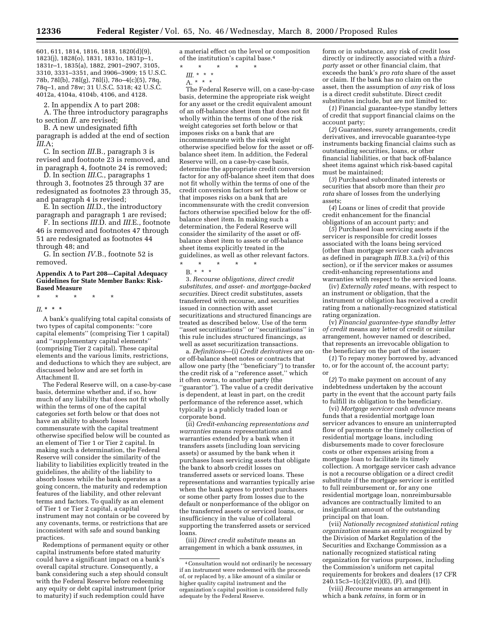601, 611, 1814, 1816, 1818, 1820(d)(9), 1823(j), 1828(o), 1831, 1831o, 1831p–1, 1831r–1, 1835(a), 1882, 2901–2907, 3105, 3310, 3331–3351, and 3906–3909; 15 U.S.C. 78b, 78l(b), 78l(g), 78l(i), 78o–4(c)(5), 78q, 78q–1, and 78w; 31 U.S.C. 5318; 42 U.S.C. 4012a, 4104a, 4104b, 4106, and 4128.

2. In appendix A to part 208:

A. The three introductory paragraphs to section *II*. are revised;

B. A new undesignated fifth paragraph is added at the end of section *III*.A;

C. In section *III.*B., paragraph 3 is revised and footnote 23 is removed, and in paragraph 4, footnote 24 is removed;

D. In section *III*.C., paragraphs 1 through 3, footnotes 25 through 37 are redesignated as footnotes 23 through 35, and paragraph 4 is revised;

E. In section *III*.D., the introductory paragraph and paragraph 1 are revised;

F. In sections *III.*D. and *III.*E., footnote 46 is removed and footnotes 47 through 51 are redesignated as footnotes 44 through 48; and

G. In section *IV*.B., footnote 52 is removed.

#### **Appendix A to Part 208—Capital Adequacy Guidelines for State Member Banks: Risk-Based Measure**

\* \* \* \* \*

*II***. \* \* \***

A bank's qualifying total capital consists of two types of capital components: ''core capital elements'' (comprising Tier 1 capital) and ''supplementary capital elements'' (comprising Tier 2 capital). These capital elements and the various limits, restrictions, and deductions to which they are subject, are discussed below and are set forth in Attachment II.

The Federal Reserve will, on a case-by-case basis, determine whether and, if so, how much of any liability that does not fit wholly within the terms of one of the capital categories set forth below or that does not have an ability to absorb losses commensurate with the capital treatment otherwise specified below will be counted as an element of Tier 1 or Tier 2 capital. In making such a determination, the Federal Reserve will consider the similarity of the liability to liabilities explicitly treated in the guidelines, the ability of the liability to absorb losses while the bank operates as a going concern, the maturity and redemption features of the liability, and other relevant terms and factors. To qualify as an element of Tier 1 or Tier 2 capital, a capital instrument may not contain or be covered by any covenants, terms, or restrictions that are inconsistent with safe and sound banking practices.

Redemptions of permanent equity or other capital instruments before stated maturity could have a significant impact on a bank's overall capital structure. Consequently, a bank considering such a step should consult with the Federal Reserve before redeeming any equity or debt capital instrument (prior to maturity) if such redemption could have

a material effect on the level or composition of the institution's capital base.4

- \* \* \* \* \*
- *III*. \* \* \*
- $A^{*}$  \* \*

The Federal Reserve will, on a case-by-case basis, determine the appropriate risk weight for any asset or the credit equivalent amount of an off-balance sheet item that does not fit wholly within the terms of one of the risk weight categories set forth below or that imposes risks on a bank that are incommensurate with the risk weight otherwise specified below for the asset or offbalance sheet item. In addition, the Federal Reserve will, on a case-by-case basis, determine the appropriate credit conversion factor for any off-balance sheet item that does not fit wholly within the terms of one of the credit conversion factors set forth below or that imposes risks on a bank that are incommensurate with the credit conversion factors otherwise specified below for the offbalance sheet item. In making such a determination, the Federal Reserve will consider the similarity of the asset or offbalance sheet item to assets or off-balance sheet items explicitly treated in the guidelines, as well as other relevant factors.

\* \* \* \* \*

B. \* \* \*

3. *Recourse obligations, direct credit substitutes, and asset- and mortgage-backed securities.* Direct credit substitutes, assets transferred with recourse, and securities issued in connection with asset securitizations and structured financings are treated as described below. Use of the term ''asset securitizations'' or ''securitizations'' in this rule includes structured financings, as well as asset securitization transactions.

a. *Definitions*—(i) *Credit derivatives* are onor off-balance sheet notes or contracts that allow one party (the ''beneficiary'') to transfer the credit risk of a ''reference asset,'' which it often owns, to another party (the ''guarantor''). The value of a credit derivative is dependent, at least in part, on the credit performance of the reference asset, which typically is a publicly traded loan or corporate bond.

(ii) *Credit-enhancing representations and warranties* means representations and warranties extended by a bank when it transfers assets (including loan servicing assets) or assumed by the bank when it purchases loan servicing assets that obligate the bank to absorb credit losses on transferred assets or serviced loans. These representations and warranties typically arise when the bank agrees to protect purchasers or some other party from losses due to the default or nonperformance of the obligor on the transferred assets or serviced loans, or insufficiency in the value of collateral supporting the transferred assets or serviced loans.

(iii) *Direct credit substitute* means an arrangement in which a bank *assumes,* in

form or in substance, any risk of credit loss directly or indirectly associated with a *thirdparty* asset or other financial claim, that exceeds the bank's *pro rata* share of the asset or claim. If the bank has no claim on the asset, then the assumption of *any* risk of loss is a direct credit substitute. Direct credit substitutes include, but are not limited to:

(*1*) Financial guarantee-type standby letters of credit that support financial claims on the account party;

(*2*) Guarantees, surety arrangements, credit derivatives, and irrevocable guarantee-type instruments backing financial claims such as outstanding securities, loans, or other financial liabilities, or that back off-balance sheet items against which risk-based capital must be maintained;

(*3*) Purchased subordinated interests or securities that absorb more than their *pro rata* share of losses from the underlying assets;

(*4*) Loans or lines of credit that provide credit enhancement for the financial obligations of an account party; and

(*5*) Purchased loan servicing assets if the servicer is responsible for credit losses associated with the loans being serviced (other than mortgage servicer cash advances as defined in paragraph *III*.B.3.a.(vi) of this section), or if the servicer makes or assumes credit-enhancing representations and warranties with respect to the serviced loans.

(iv) *Externally rated* means, with respect to an instrument or obligation, that the instrument or obligation has received a credit rating from a nationally-recognized statistical rating organization.

(v) *Financial guarantee-type standby letter of credit* means any letter of credit or similar arrangement, however named or described, that represents an irrevocable obligation to the beneficiary on the part of the issuer:

(*1*) To repay money borrowed by, advanced to, or for the account of, the account party; or

(*2*) To make payment on account of any indebtedness undertaken by the account party in the event that the account party fails to fulfill its obligation to the beneficiary.

(vi) *Mortgage servicer cash advance* means funds that a residential mortgage loan servicer advances to ensure an uninterrupted flow of payments or the timely collection of residential mortgage loans, including disbursements made to cover foreclosure costs or other expenses arising from a mortgage loan to facilitate its timely collection. A mortgage servicer cash advance is not a recourse obligation or a direct credit substitute if the mortgage servicer is entitled to full reimbursement or, for any one residential mortgage loan, nonreimbursable advances are contractually limited to an insignificant amount of the outstanding principal on that loan.

(vii) *Nationally recognized statistical rating organization* means an entity recognized by the Division of Market Regulation of the Securities and Exchange Commission as a nationally recognized statistical rating organization for various purposes, including the Commission's uniform net capital requirements for brokers and dealers (17 CFR  $240.15c3 - 1(c)(2)(vi)(E)$ , (F), and (H)).

(viii) *Recourse* means an arrangement in which a bank *retains,* in form or in

<sup>4</sup>Consultation would not ordinarily be necessary if an instrument were redeemed with the proceeds of, or replaced by, a like amount of a similar or higher quality capital instrument and the organization's capital position is considered fully adequate by the Federal Reserve.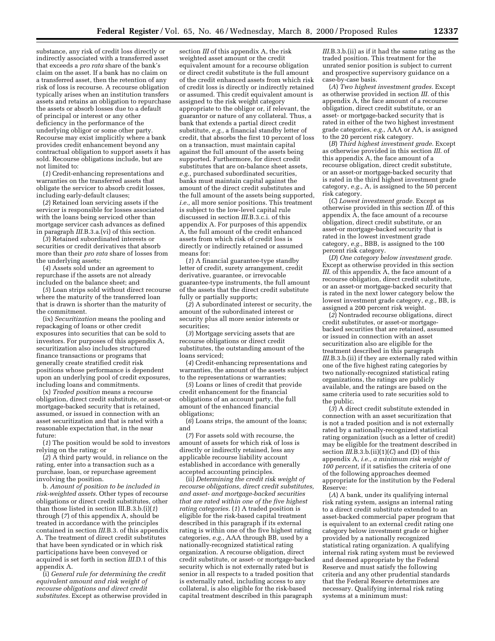substance, any risk of credit loss directly or indirectly associated with a transferred asset that exceeds a *pro rata* share of the bank's claim on the asset. If a bank has no claim on a transferred asset, then the retention of any risk of loss is recourse. A recourse obligation typically arises when an institution transfers assets and retains an obligation to repurchase the assets or absorb losses due to a default of principal or interest or any other deficiency in the performance of the underlying obligor or some other party. Recourse may exist implicitly where a bank provides credit enhancement beyond any contractual obligation to support assets it has sold. Recourse obligations include, but are not limited to:

(*1*) Credit-enhancing representations and warranties on the transferred assets that obligate the servicer to absorb credit losses, including early-default clauses;

(*2*) Retained loan servicing assets if the servicer is responsible for losses associated with the loans being serviced other than mortgage servicer cash advances as defined in paragraph *III*.B.3.a.(vi) of this section.

(*3*) Retained subordinated interests or securities or credit derivatives that absorb more than their *pro rata* share of losses from the underlying assets;

(*4*) Assets sold under an agreement to repurchase if the assets are not already included on the balance sheet; and

(*5*) Loan strips sold without direct recourse where the maturity of the transferred loan that is drawn is shorter than the maturity of the commitment.

(ix) *Securitization* means the pooling and repackaging of loans or other credit exposures into securities that can be sold to investors. For purposes of this appendix A, securitization also includes structured finance transactions or programs that generally create stratified credit risk positions whose performance is dependent upon an underlying pool of credit exposures, including loans and commitments.

(x) *Traded position* means a recourse obligation, direct credit substitute, or asset-or mortgage-backed security that is retained, assumed, or issued in connection with an asset securitization and that is rated with a reasonable expectation that, in the near future:

(*1*) The position would be sold to investors relying on the rating; or

(*2*) A third party would, in reliance on the rating, enter into a transaction such as a purchase, loan, or repurchase agreement involving the position.

b. *Amount of position to be included in risk-weighted assets.* Other types of recourse obligations or direct credit substitutes, other than those listed in section III.B.3.b.(i)(*1*) through (*7*) of this appendix A, should be treated in accordance with the principles contained in section *III*.B.3. of this appendix A. The treatment of direct credit substitutes that have been syndicated or in which risk participations have been conveyed or acquired is set forth in section *III*.D.1 of this appendix A.

(i) *General rule for determining the credit equivalent amount and risk weight of recourse obligations and direct credit substitutes.* Except as otherwise provided in

section *III* of this appendix A, the risk weighted asset amount or the credit equivalent amount for a recourse obligation or direct credit substitute is the full amount of the credit enhanced assets from which risk of credit loss is directly or indirectly retained or assumed. This credit equivalent amount is assigned to the risk weight category appropriate to the obligor or, if relevant, the guarantor or nature of any collateral. Thus, a bank that extends a partial direct credit substitute, *e.g.,* a financial standby letter of credit, that absorbs the first 10 percent of loss on a transaction, must maintain capital against the full amount of the assets being supported. Furthermore, for direct credit substitutes that are on-balance sheet assets, *e.g.,* purchased subordinated securities, banks must maintain capital against the amount of the direct credit substitutes and the full amount of the assets being supported, *i.e.,* all more senior positions. This treatment is subject to the low-level capital rule discussed in section *III*.B.3.c.i. of this appendix A. For purposes of this appendix A, the full amount of the credit enhanced assets from which risk of credit loss is directly or indirectly retained or assumed means for:

(*1*) A financial guarantee-type standby letter of credit, surety arrangement, credit derivative, guarantee, or irrevocable guarantee-type instruments, the full amount of the assets that the direct credit substitute fully or partially supports;

(*2*) A subordinated interest or security, the amount of the subordinated interest or security plus all more senior interests or securities;

(*3*) Mortgage servicing assets that are recourse obligations or direct credit substitutes, the outstanding amount of the loans serviced;

(*4*) Credit-enhancing representations and warranties, the amount of the assets subject to the representations or warranties;

(*5*) Loans or lines of credit that provide credit enhancement for the financial obligations of an account party, the full amount of the enhanced financial obligations;

(*6*) Loans strips, the amount of the loans; and

(*7*) For assets sold with recourse, the amount of assets for which risk of loss is directly or indirectly retained, less any applicable recourse liability account established in accordance with generally accepted accounting principles.

(ii) *Determining the credit risk weight of recourse obligations, direct credit substitutes, and asset- and mortgage-backed securities that are rated within one of the five highest rating categories.* (*1*) A traded position is eligible for the risk-based capital treatment described in this paragraph if its external rating is within one of the five highest rating categories, *e.g.,* AAA through BB, used by a nationally-recognized statistical rating organization. A recourse obligation, direct credit substitute, or asset- or mortgage-backed security which is not externally rated but is senior in all respects to a traded position that is externally rated, including access to any collateral, is also eligible for the risk-based capital treatment described in this paragraph

*III*.B.3.b.(ii) as if it had the same rating as the traded position. This treatment for the unrated senior position is subject to current and prospective supervisory guidance on a case-by-case basis.

(*A*) *Two highest investment grades.* Except as otherwise provided in section *III.* of this appendix A, the face amount of a recourse obligation, direct credit substitute, or an asset- or mortgage-backed security that is rated in either of the two highest investment grade categories, *e.g.,* AAA or AA, is assigned to the 20 percent risk category.

(*B*) *Third highest investment grade.* Except as otherwise provided in this section *III*. of this appendix A, the face amount of a recourse obligation, direct credit substitute, or an asset-or mortgage-backed security that is rated in the third highest investment grade category, *e.g.,* A, is assigned to the 50 percent risk category.

(*C*) *Lowest investment grade.* Except as otherwise provided in this section *III*. of this appendix A, the face amount of a recourse obligation, direct credit substitute, or an asset-or mortgage-backed security that is rated in the lowest investment grade category, *e.g.,* BBB, is assigned to the 100 percent risk category.

(*D*) *One category below investment grade.* Except as otherwise provided in this section *III*. of this appendix A, the face amount of a recourse obligation, direct credit substitute, or an asset-or mortgage-backed security that is rated in the next lower category below the lowest investment grade category, *e.g.,* BB, is assigned a 200 percent risk weight.

(*2*) Nontraded recourse obligations, direct credit substitutes, or asset-or mortgagebacked securities that are retained, assumed or issued in connection with an asset securitization also are eligible for the treatment described in this paragraph *III.*B.3.b.(ii) if they are externally rated within one of the five highest rating categories by two nationally-recognized statistical rating organizations, the ratings are publicly available, and the ratings are based on the same criteria used to rate securities sold to the public.

(*3*) A direct credit substitute extended in connection with an asset securitization that is not a traded position and is not externally rated by a nationally-recognized statistical rating organization (such as a letter of credit) may be eligible for the treatment described in section *III*.B.3.b.(ii)(1)(*C*) and (D) of this appendix A, *i.e., a minimum risk weight of 100 percent,* if it satisfies the criteria of one of the following approaches deemed appropriate for the institution by the Federal Reserve:

(*A*) A bank, under its qualifying internal risk rating system, assigns an internal rating to a direct credit substitute extended to an asset-backed commercial paper program that is equivalent to an external credit rating one category below investment grade or higher provided by a nationally recognized statistical rating organization. A qualifying internal risk rating system must be reviewed and deemed appropriate by the Federal Reserve and must satisfy the following criteria and any other prudential standards that the Federal Reserve determines are necessary. Qualifying internal risk rating systems at a minimum must: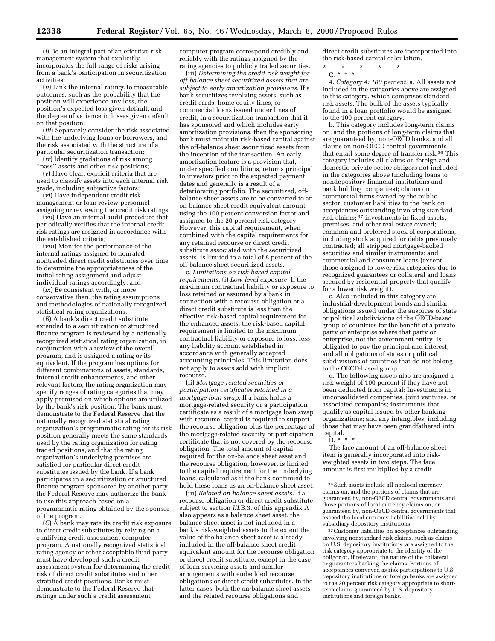(*i*) Be an integral part of an effective risk management system that explicitly incorporates the full range of risks arising from a bank's participation in securitization activities;

(*ii*) Link the internal ratings to measurable outcomes, such as the probability that the position will experience any loss, the position's expected loss given default, and the degree of variance in losses given default on that position;

(*iii*) Separately consider the risk associated with the underlying loans or borrowers, and the risk associated with the structure of a particular securitization transaction;

(*iv*) Identify gradations of risk among ''pass'' assets and other risk positions;

(*v*) Have clear, explicit criteria that are used to classify assets into each internal risk grade, including subjective factors;

(*vi*) Have independent credit risk management or loan review personnel assigning or reviewing the credit risk ratings;

(*vii*) Have an internal audit procedure that periodically verifies that the internal credit risk ratings are assigned in accordance with the established criteria;

(*viii*) Monitor the performance of the internal ratings assigned to nonrated nontraded direct credit substitutes over time to determine the appropriateness of the initial rating assignment and adjust individual ratings accordingly; and

(*ix*) Be consistent with, or more conservative than, the rating assumptions and methodologies of nationally recognized statistical rating organizations.

(*B*) A bank's direct credit substitute extended to a securitization or structured finance program is reviewed by a nationally recognized statistical rating organization, in conjunction with a review of the overall program, and is assigned a rating or its equivalent. If the program has options for different combinations of assets, standards, internal credit enhancements, and other relevant factors, the rating organization may specify ranges of rating categories that may apply premised on which options are utilized by the bank's risk position. The bank must demonstrate to the Federal Reserve that the nationally recognized statistical rating organization's programmatic rating for its risk position generally meets the same standards used by the rating organization for rating traded positions, and that the rating organization's underlying premises are satisfied for particular direct credit substitutes issued by the bank. If a bank participates in a securitization or structured finance program sponsored by another party, the Federal Reserve may authorize the bank to use this approach based on a programmatic rating obtained by the sponsor of the program.

(*C*) A bank may rate its credit risk exposure to direct credit substitutes by relying on a qualifying credit assessment computer program. A nationally recognized statistical rating agency or other acceptable third party must have developed such a credit assessment system for determining the credit risk of direct credit substitutes and other stratified credit positions. Banks must demonstrate to the Federal Reserve that ratings under such a credit assessment

computer program correspond credibly and reliably with the ratings assigned by the rating agencies to publicly traded securities.

(iii) *Determining the credit risk weight for off-balance sheet securitized assets that are subject to early amortization provisions.* If a bank securitizes revolving assets, such as credit cards, home equity lines, or commercial loans issued under lines of credit, in a securitization transaction that it has sponsored and which includes early amortization provisions, then the sponsoring bank must maintain risk-based capital against the off-balance sheet securitized assets from the inception of the transaction. An early amortization feature is a provision that, under specified conditions, returns principal to investors prior to the expected payment dates and generally is a result of a deteriorating portfolio. The securitized, offbalance sheet assets are to be converted to an on-balance sheet credit equivalent amount using the 100 percent conversion factor and assigned to the 20 percent risk category. However, this capital requirement, when combined with the capital requirements for any retained recourse or direct credit substitute associated with the securitized assets, is limited to a total of 8 percent of the off-balance sheet securitized assets.

c. *Limitations on risk-based capital requirements.* (i) *Low-level exposure.* If the maximum contractual liability or exposure to loss retained or assumed by a bank in connection with a recourse obligation or a direct credit substitute is less than the effective risk-based capital requirement for the enhanced assets, the risk-based capital requirement is limited to the maximum contractual liability or exposure to loss, less any liability account established in accordance with generally accepted accounting principles. This limitation does not apply to assets sold with implicit recourse.

(ii) *Mortgage-related securities or participation certificates retained in a mortgage loan swap.* If a bank holds a mortgage-related security or a participation certificate as a result of a mortgage loan swap with recourse, capital is required to support the recourse obligation plus the percentage of the mortgage-related security or participation certificate that is not covered by the recourse obligation. The total amount of capital required for the on-balance sheet asset and the recourse obligation, however, is limited to the capital requirement for the underlying loans, calculated as if the bank continued to hold these loans as an on-balance sheet asset.

(iii) *Related on-balance sheet assets.* If a recourse obligation or direct credit substitute subject to section *III*.B.3. of this appendix A also appears as a balance sheet asset, the balance sheet asset is not included in a bank's risk-weighted assets to the extent the value of the balance sheet asset is already included in the off-balance sheet credit equivalent amount for the recourse obligation or direct credit substitute, except in the case of loan servicing assets and similar arrangements with embedded recourse obligations or direct credit substitutes. In the latter cases, both the on-balance sheet assets and the related recourse obligations and

direct credit substitutes are incorporated into the risk-based capital calculation.

\* \* \* \* \*

C. \* \* \* 4. *Category 4: 100 percent.* a. All assets not included in the categories above are assigned to this category, which comprises standard risk assets. The bulk of the assets typically found in a loan portfolio would be assigned to the 100 percent category.

b. This category includes long-term claims on, and the portions of long-term claims that are guaranteed by, non-OECD banks, and all claims on non-OECD central governments that entail some degree of transfer risk.36 This category includes all claims on foreign and domestic private-sector obligors not included in the categories above (including loans to nondepository financial institutions and bank holding companies); claims on commercial firms owned by the public sector; customer liabilities to the bank on acceptances outstanding involving standard risk claims; 37 investments in fixed assets, premises, and other real estate owned; common and preferred stock of corporations, including stock acquired for debts previously contracted; all stripped mortgage-backed securities and similar instruments; and commercial and consumer loans (except those assigned to lower risk categories due to recognized guarantees or collateral and loans secured by residential property that qualify for a lower risk weight).

c. Also included in this category are industrial-development bonds and similar obligations issued under the auspices of state or political subdivisions of the OECD-based group of countries for the benefit of a private party or enterprise where that party or enterprise, not the government entity, is obligated to pay the principal and interest, and all obligations of states or political subdivisions of countries that do not belong to the OECD-based group.

d. The following assets also are assigned a risk weight of 100 percent if they have not been deducted from capital: Investments in unconsolidated companies, joint ventures, or associated companies; instruments that qualify as capital issued by other banking organizations; and any intangibles, including those that may have been grandfathered into capital.

The face amount of an off-balance sheet item is generally incorporated into riskweighted assets in two steps. The face amount is first multiplied by a credit

37Customer liabilities on acceptances outstanding involving nonstandard risk claims, such as claims on U.S. depository institutions, are assigned to the risk category appropriate to the identity of the obligor or, if relevant, the nature of the collateral or guarantees backing the claims. Portions of acceptances conveyed as risk participations to U.S. depository institutions or foreign banks are assigned to the 20 percent risk category appropriate to shortterm claims guaranteed by U.S. depository institutions and foreign banks.

D. \* \* \*

<sup>36</sup>Such assets include all nonlocal currency claims on, and the portions of claims that are guaranteed by, non-OECD central governments and those portions of local currency claims on, or guaranteed by, non-OECD central governments that exceed the local currency liabilities held by subsidiary depository institutions.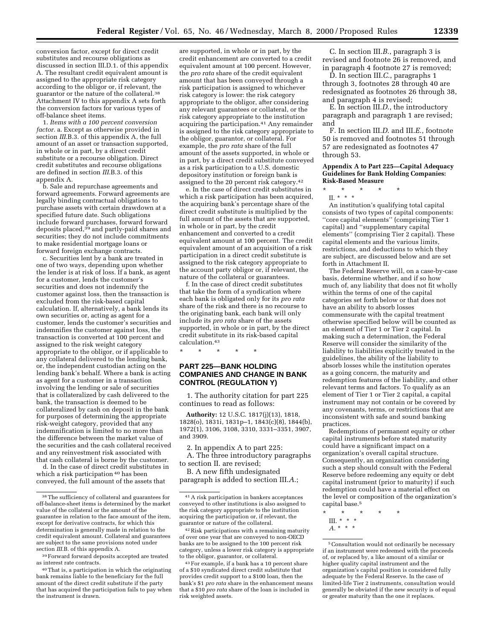conversion factor, except for direct credit substitutes and recourse obligations as discussed in section III.D.1. of this appendix A. The resultant credit equivalent amount is assigned to the appropriate risk category according to the obligor or, if relevant, the guarantor or the nature of the collateral.38 Attachment IV to this appendix A sets forth the conversion factors for various types of off-balance sheet items.

1. *Items with a 100 percent conversion factor.* a. Except as otherwise provided in section *III*.B.3. of this appendix A, the full amount of an asset or transaction supported, in whole or in part, by a direct credit substitute or a recourse obligation. Direct credit substitutes and recourse obligations are defined in section *III*.B.3. of this appendix A.

b. Sale and repurchase agreements and forward agreements. Forward agreements are legally binding contractual obligations to purchase assets with certain drawdown at a specified future date. Such obligations include forward purchases, forward forward deposits placed,<sup>39</sup> and partly-paid shares and securities; they do not include commitments to make residential mortgage loans or forward foreign exchange contracts.

c. Securities lent by a bank are treated in one of two ways, depending upon whether the lender is at risk of loss. If a bank, as agent for a customer, lends the customer's securities and does not indemnify the customer against loss, then the transaction is excluded from the risk-based capital calculation. If, alternatively, a bank lends its own securities or, acting as agent for a customer, lends the customer's securities and indemnifies the customer against loss, the transaction is converted at 100 percent and assigned to the risk weight category appropriate to the obligor, or if applicable to any collateral delivered to the lending bank, or, the independent custodian acting on the lending bank's behalf. Where a bank is acting as agent for a customer in a transaction involving the lending or sale of securities that is collateralized by cash delivered to the bank, the transaction is deemed to be collateralized by cash on deposit in the bank for purposes of determining the appropriate risk-weight category, provided that any indemnification is limited to no more than the difference between the market value of the securities and the cash collateral received and any reinvestment risk associated with that cash collateral is borne by the customer.

d. In the case of direct credit substitutes in which a risk participation 40 has been conveyed, the full amount of the assets that

39Forward forward deposits accepted are treated as interest rate contracts.

are supported, in whole or in part, by the credit enhancement are converted to a credit equivalent amount at 100 percent. However, the *pro rata* share of the credit equivalent amount that has been conveyed through a risk participation is assigned to whichever risk category is lower: the risk category appropriate to the obligor, after considering any relevant guarantees or collateral, or the risk category appropriate to the institution acquiring the participation.41 Any remainder is assigned to the risk category appropriate to the obligor, guarantor, or collateral. For example, the *pro rata* share of the full amount of the assets supported, in whole or in part, by a direct credit substitute conveyed as a risk participation to a U.S. domestic depository institution or foreign bank is assigned to the 20 percent risk category.42

e. In the case of direct credit substitutes in which a risk participation has been acquired. the acquiring bank's percentage share of the direct credit substitute is multiplied by the full amount of the assets that are supported, in whole or in part, by the credit enhancement and converted to a credit equivalent amount at 100 percent. The credit equivalent amount of an acquisition of a risk participation in a direct credit substitute is assigned to the risk category appropriate to the account party obligor or, if relevant, the nature of the collateral or guarantees.

f. In the case of direct credit substitutes that take the form of a syndication where each bank is obligated only for its *pro rata* share of the risk and there is no recourse to the originating bank, each bank will only include its *pro rata* share of the assets supported, in whole or in part, by the direct credit substitute in its risk-based capital calculation.43

\* \* \* \* \*

#### **PART 225—BANK HOLDING COMPANIES AND CHANGE IN BANK CONTROL (REGULATION Y)**

1. The authority citation for part 225 continues to read as follows:

**Authority:** 12 U.S.C. 1817(j)(13), 1818, 1828(o), 1831i, 1831p–1, 1843(c)(8), 1844(b), 1972(1), 3106, 3108, 3310, 3331–3351, 3907, and 3909.

2. In appendix A to part 225:

A. The three introductory paragraphs to section II. are revised;

B. A new fifth undesignated paragraph is added to section III.*A*.;

C. In section III.*B*., paragraph 3 is revised and footnote 26 is removed, and in paragraph 4 footnote 27 is removed;

D. In section III.*C.*, paragraphs 1 through 3, footnotes 28 through 40 are redesignated as footnotes 26 through 38, and paragraph 4 is revised;

E. In section III.*D*., the introductory paragraph and paragraph 1 are revised; and

F. In section III.*D*. and III.*E*., footnote 50 is removed and footnotes 51 through 57 are redesignated as footnotes 47 through 53.

#### **Appendix A to Part 225—Capital Adequacy Guidelines for Bank Holding Companies: Risk-Based Measure**

\* \* \* \* \*

II. \* \* \* An institution's qualifying total capital consists of two types of capital components: ''core capital elements'' (comprising Tier 1 capital) and ''supplementary capital elements'' (comprising Tier 2 capital). These capital elements and the various limits, restrictions, and deductions to which they are subject, are discussed below and are set forth in Attachment II.

The Federal Reserve will, on a case-by-case basis, determine whether, and if so how much of, any liability that does not fit wholly within the terms of one of the capital categories set forth below or that does not have an ability to absorb losses commensurate with the capital treatment otherwise specified below will be counted as an element of Tier 1 or Tier 2 capital. In making such a determination, the Federal Reserve will consider the similarity of the liability to liabilities explicitly treated in the guidelines, the ability of the liability to absorb losses while the institution operates as a going concern, the maturity and redemption features of the liability, and other relevant terms and factors. To qualify as an element of Tier 1 or Tier 2 capital, a capital instrument may not contain or be covered by any covenants, terms, or restrictions that are inconsistent with safe and sound banking practices.

Redemptions of permanent equity or other capital instruments before stated maturity could have a significant impact on a organization's overall capital structure. Consequently, an organization considering such a step should consult with the Federal Reserve before redeeming any equity or debt capital instrument (prior to maturity) if such redemption could have a material effect on the level or composition of the organization's capital base.5

- III. \* \* \*
- *A.* \*\*\*

<sup>38</sup>The sufficiency of collateral and guarantees for off-balance-sheet items is determined by the market value of the collateral or the amount of the guarantee in relation to the face amount of the item, except for derivative contracts, for which this determination is generally made in relation to the credit equivalent amount. Collateral and guarantees are subject to the same provisions noted under section *III*.B. of this appendix A.

<sup>40</sup>That is, a participation in which the originating bank remains liable to the beneficiary for the full amount of the direct credit substitute if the party that has acquired the participation fails to pay when the instrument is drawn.

<sup>41</sup>A risk participation in bankers acceptances conveyed to other institutions is also assigned to the risk category appropriate to the institution acquiring the participation or, if relevant, the guarantor or nature of the collateral.

<sup>42</sup>Risk participations with a remaining maturity of over one year that are conveyed to non-OECD banks are to be assigned to the 100 percent risk category, unless a lower risk category is appropriate to the obligor, guarantor, or collateral.

<sup>43</sup>For example, if a bank has a 10 percent share of a \$10 syndicated direct credit substitute that provides credit support to a \$100 loan, then the bank's \$1 *pro rata* share in the enhancement means that a \$10 *pro rata* share of the loan is included in risk weighted assets.

<sup>\* \* \* \* \*</sup>

<sup>5</sup>Consultation would not ordinarily be necessary if an instrument were redeemed with the proceeds of, or replaced by, a like amount of a similar or higher quality capital instrument and the organization's capital position is considered fully adequate by the Federal Reserve. In the case of limited-life Tier 2 instruments, consultation would generally be obviated if the new security is of equal or greater maturity than the one it replaces.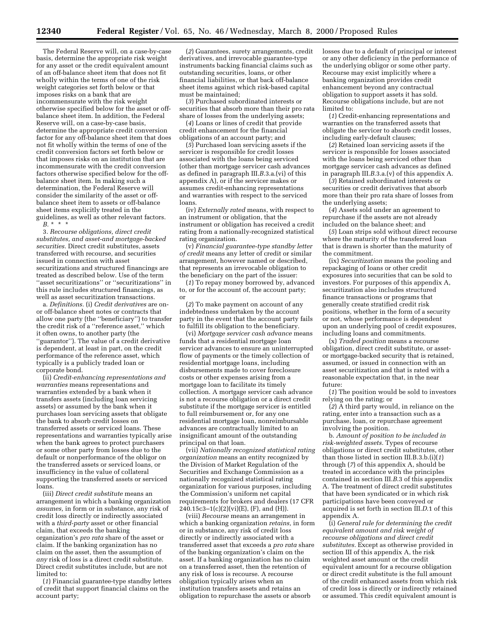The Federal Reserve will, on a case-by-case basis, determine the appropriate risk weight for any asset or the credit equivalent amount of an off-balance sheet item that does not fit wholly within the terms of one of the risk weight categories set forth below or that imposes risks on a bank that are incommensurate with the risk weight otherwise specified below for the asset or offbalance sheet item. In addition, the Federal Reserve will, on a case-by-case basis, determine the appropriate credit conversion factor for any off-balance sheet item that does not fit wholly within the terms of one of the credit conversion factors set forth below or that imposes risks on an institution that are incommensurate with the credit conversion factors otherwise specified below for the offbalance sheet item. In making such a determination, the Federal Reserve will consider the similarity of the asset or offbalance sheet item to assets or off-balance sheet items explicitly treated in the guidelines, as well as other relevant factors. *B.* \*\*\*

3. *Recourse obligations, direct credit substitutes, and asset-and mortgage-backed securities.* Direct credit substitutes, assets transferred with recourse, and securities issued in connection with asset securitizations and structured financings are treated as described below. Use of the term ''asset securitizations'' or ''securitizations'' in this rule includes structured financings, as well as asset securitization transactions.

a. *Definitions.* (i) *Credit derivatives* are onor off-balance sheet notes or contracts that allow one party (the ''beneficiary'') to transfer the credit risk of a ''reference asset,'' which it often owns, to another party (the ''guarantor''). The value of a credit derivative is dependent, at least in part, on the credit performance of the reference asset, which typically is a publicly traded loan or corporate bond.

(ii) *Credit-enhancing representations and warranties* means representations and warranties extended by a bank when it transfers assets (including loan servicing assets) or assumed by the bank when it purchases loan servicing assets that obligate the bank to absorb credit losses on transferred assets or serviced loans. These representations and warranties typically arise when the bank agrees to protect purchasers or some other party from losses due to the default or nonperformance of the obligor on the transferred assets or serviced loans, or insufficiency in the value of collateral supporting the transferred assets or serviced loans.

(iii) *Direct credit substitute* means an arrangement in which a banking organization *assumes,* in form or in substance, any risk of credit loss directly or indirectly associated with a *third-party* asset or other financial claim, that exceeds the banking organization's *pro rata* share of the asset or claim. If the banking organization has no claim on the asset, then the assumption of *any* risk of loss is a direct credit substitute. Direct credit substitutes include, but are not limited to:

(*1*) Financial guarantee-type standby letters of credit that support financial claims on the account party;

(*2*) Guarantees, surety arrangements, credit derivatives, and irrevocable guarantee-type instruments backing financial claims such as outstanding securities, loans, or other financial liabilities, or that back off-balance sheet items against which risk-based capital must be maintained;

(*3*) Purchased subordinated interests or securities that absorb more than their pro rata share of losses from the underlying assets;

(*4*) Loans or lines of credit that provide credit enhancement for the financial obligations of an account party; and

(*5*) Purchased loan servicing assets if the servicer is responsible for credit losses associated with the loans being serviced (other than mortgage servicer cash advances as defined in paragraph III.*B*.3.a.(vi) of this appendix A), or if the servicer makes or assumes credit-enhancing representations and warranties with respect to the serviced loans.

(iv) *Externally rated* means, with respect to an instrument or obligation, that the instrument or obligation has received a credit rating from a nationally-recognized statistical rating organization.

(v) *Financial guarantee-type standby letter of credit* means any letter of credit or similar arrangement, however named or described, that represents an irrevocable obligation to the beneficiary on the part of the issuer:

(*1*) To repay money borrowed by, advanced to, or for the account of, the account party; or

(*2*) To make payment on account of any indebtedness undertaken by the account party in the event that the account party fails to fulfill its obligation to the beneficiary.

(vi) *Mortgage servicer cash advance* means funds that a residential mortgage loan servicer advances to ensure an uninterrupted flow of payments or the timely collection of residential mortgage loans, including disbursements made to cover foreclosure costs or other expenses arising from a mortgage loan to facilitate its timely collection. A mortgage servicer cash advance is not a recourse obligation or a direct credit substitute if the mortgage servicer is entitled to full reimbursement or, for any one residential mortgage loan, nonreimbursable advances are contractually limited to an insignificant amount of the outstanding principal on that loan.

(vii) *Nationally recognized statistical rating organization* means an entity recognized by the Division of Market Regulation of the Securities and Exchange Commission as a nationally recognized statistical rating organization for various purposes, including the Commission's uniform net capital requirements for brokers and dealers (17 CFR  $240.15c3 - 1(c)(2)(vi)(E)$ , (F), and (H)).

(viii) *Recourse* means an arrangement in which a banking organization *retains,* in form or in substance, any risk of credit loss directly or indirectly associated with a transferred asset that exceeds a *pro rata* share of the banking organization's claim on the asset. If a banking organization has no claim on a transferred asset, then the retention of any risk of loss is recourse. A recourse obligation typically arises when an institution transfers assets and retains an obligation to repurchase the assets or absorb

losses due to a default of principal or interest or any other deficiency in the performance of the underlying obligor or some other party. Recourse may exist implicitly where a banking organization provides credit enhancement beyond any contractual obligation to support assets it has sold. Recourse obligations include, but are not limited to:

(*1*) Credit-enhancing representations and warranties on the transferred assets that obligate the servicer to absorb credit losses, including early-default clauses;

(*2*) Retained loan servicing assets if the servicer is responsible for losses associated with the loans being serviced other than mortgage servicer cash advances as defined in paragraph III.*B*.3.a.(v) of this appendix A.

(*3*) Retained subordinated interests or securities or credit derivatives that absorb more than their pro rata share of losses from the underlying assets;

(*4*) Assets sold under an agreement to repurchase if the assets are not already included on the balance sheet; and

(*5*) Loan strips sold without direct recourse where the maturity of the transferred loan that is drawn is shorter than the maturity of the commitment.

(ix) *Securitization* means the pooling and repackaging of loans or other credit exposures into securities that can be sold to investors. For purposes of this appendix A, securitization also includes structured finance transactions or programs that generally create stratified credit risk positions, whether in the form of a security or not, whose performance is dependent upon an underlying pool of credit exposures, including loans and commitments.

(x) *Traded position* means a recourse obligation, direct credit substitute, or assetor mortgage-backed security that is retained, assumed, or issued in connection with an asset securitization and that is rated with a reasonable expectation that, in the near future:

(*1*) The position would be sold to investors relying on the rating; or

(*2*) A third party would, in reliance on the rating, enter into a transaction such as a purchase, loan, or repurchase agreement involving the position.

b. *Amount of position to be included in risk-weighted assets.* Types of recourse obligations or direct credit substitutes, other than those listed in section III.B.3.b.(i)(*1*) through (*7*) of this appendix A, should be treated in accordance with the principles contained in section III.*B*.3 of this appendix A. The treatment of direct credit substitutes that have been syndicated or in which risk participations have been conveyed or acquired is set forth in section III.*D*.1 of this appendix A.

(i) *General rule for determining the credit equivalent amount and risk weight of recourse obligations and direct credit substitutes.* Except as otherwise provided in section III of this appendix A, the risk weighted asset amount or the credit equivalent amount for a recourse obligation or direct credit substitute is the full amount of the credit enhanced assets from which risk of credit loss is directly or indirectly retained or assumed. This credit equivalent amount is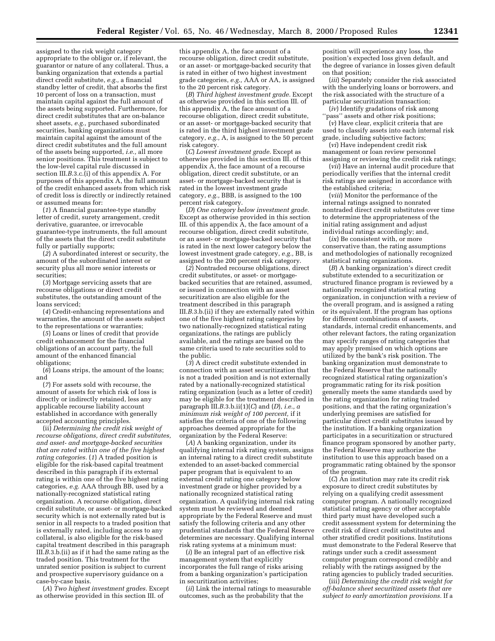assigned to the risk weight category appropriate to the obligor or, if relevant, the guarantor or nature of any collateral. Thus, a banking organization that extends a partial direct credit substitute, *e.g.,* a financial standby letter of credit, that absorbs the first 10 percent of loss on a transaction, must maintain capital against the full amount of the assets being supported. Furthermore, for direct credit substitutes that are on-balance sheet assets, *e.g.,* purchased subordinated securities, banking organizations must maintain capital against the amount of the direct credit substitutes and the full amount of the assets being supported, *i.e.,* all more senior positions. This treatment is subject to the low-level capital rule discussed in section III.*B*.3.c.(i) of this appendix A. For purposes of this appendix A, the full amount of the credit enhanced assets from which risk of credit loss is directly or indirectly retained or assumed means for:

(*1*) A financial guarantee-type standby letter of credit, surety arrangement, credit derivative, guarantee, or irrevocable guarantee-type instruments, the full amount of the assets that the direct credit substitute fully or partially supports;

(*2*) A subordinated interest or security, the amount of the subordinated interest or security plus all more senior interests or securities;

(*3*) Mortgage servicing assets that are recourse obligations or direct credit substitutes, the outstanding amount of the loans serviced;

(*4*) Credit-enhancing representations and warranties, the amount of the assets subject to the representations or warranties;

(*5*) Loans or lines of credit that provide credit enhancement for the financial obligations of an account party, the full amount of the enhanced financial obligations;

(*6*) Loans strips, the amount of the loans; and

(*7*) For assets sold with recourse, the amount of assets for which risk of loss is directly or indirectly retained, less any applicable recourse liability account established in accordance with generally accepted accounting principles.

(ii) *Determining the credit risk weight of recourse obligations, direct credit substitutes, and asset- and mortgage-backed securities that are rated within one of the five highest rating categories.* (*1*) A traded position is eligible for the risk-based capital treatment described in this paragraph if its external rating is within one of the five highest rating categories, *e.g.* AAA through BB, used by a nationally-recognized statistical rating organization. A recourse obligation, direct credit substitute, or asset- or mortgage-backed security which is not externally rated but is senior in all respects to a traded position that is externally rated, including access to any collateral, is also eligible for the risk-based capital treatment described in this paragraph III.*B*.3.b.(ii) as if it had the same rating as the traded position. This treatment for the unrated senior position is subject to current and prospective supervisory guidance on a case-by-case basis.

(*A*) *Two highest investment grades.* Except as otherwise provided in this section III. of

this appendix A, the face amount of a recourse obligation, direct credit substitute, or an asset- or mortgage-backed security that is rated in either of two highest investment grade categories, *e.g.,* AAA or AA, is assigned to the 20 percent risk category.

(*B*) *Third highest investment grade.* Except as otherwise provided in this section III. of this appendix A, the face amount of a recourse obligation, direct credit substitute, or an asset- or mortgage-backed security that is rated in the third highest investment grade category, *e.g.,* A, is assigned to the 50 percent risk category.

(*C*) *Lowest investment grade.* Except as otherwise provided in this section III. of this appendix A, the face amount of a recourse obligation, direct credit substitute, or an asset- or mortgage-backed security that is rated in the lowest investment grade category, *e.g.,* BBB, is assigned to the 100 percent risk category.

(*D*) *One category below investment grade.* Except as otherwise provided in this section III. of this appendix A, the face amount of a recourse obligation, direct credit substitute, or an asset- or mortgage-backed security that is rated in the next lower category below the lowest investment grade category, *e.g.,* BB, is assigned to the 200 percent risk category.

(*2*) Nontraded recourse obligations, direct credit substitutes, or asset- or mortgagebacked securities that are retained, assumed, or issued in connection with an asset securitization are also eligible for the treatment described in this paragraph III.*B*.3.b.(ii) if they are externally rated within one of the five highest rating categories by two nationally-recognized statistical rating organizations, the ratings are publicly available, and the ratings are based on the same criteria used to rate securities sold to the public.

(*3*) A direct credit substitute extended in connection with an asset securitization that is not a traded position and is not externally rated by a nationally-recognized statistical rating organization (such as a letter of credit) may be eligible for the treatment described in paragraph III.*B*.3.b.ii(1)(*C*) and (*D*), *i.e., a minimum risk weight of 100 percent,* if it satisfies the criteria of one of the following approaches deemed appropriate for the organization by the Federal Reserve:

(*A*) A banking organization, under its qualifying internal risk rating system, assigns an internal rating to a direct credit substitute extended to an asset-backed commercial paper program that is equivalent to an external credit rating one category below investment grade or higher provided by a nationally recognized statistical rating organization. A qualifying internal risk rating system must be reviewed and deemed appropriate by the Federal Reserve and must satisfy the following criteria and any other prudential standards that the Federal Reserve determines are necessary. Qualifying internal risk rating systems at a minimum must:

(*i*) Be an integral part of an effective risk management system that explicitly incorporates the full range of risks arising from a banking organization's participation in securitization activities;

(*ii*) Link the internal ratings to measurable outcomes, such as the probability that the

position will experience any loss, the position's expected loss given default, and the degree of variance in losses given default on that position;

(*iii*) Separately consider the risk associated with the underlying loans or borrowers, and the risk associated with the structure of a particular securitization transaction; (*iv*) Identify gradations of risk among

"pass" assets and other risk positions;

(*v*) Have clear, explicit criteria that are used to classify assets into each internal risk grade, including subjective factors;

(*vi*) Have independent credit risk management or loan review personnel assigning or reviewing the credit risk ratings;

(*vii*) Have an internal audit procedure that periodically verifies that the internal credit risk ratings are assigned in accordance with the established criteria;

(*viii*) Monitor the performance of the internal ratings assigned to nonrated nontraded direct credit substitutes over time to determine the appropriateness of the initial rating assignment and adjust individual ratings accordingly; and,

(*ix*) Be consistent with, or more conservative than, the rating assumptions and methodologies of nationally recognized statistical rating organizations.

(*B*) A banking organization's direct credit substitute extended to a securitization or structured finance program is reviewed by a nationally recognized statistical rating organization, in conjunction with a review of the overall program, and is assigned a rating or its equivalent. If the program has options for different combinations of assets standards, internal credit enhancements, and other relevant factors, the rating organization may specify ranges of rating categories that may apply premised on which options are utilized by the bank's risk position. The banking organization must demonstrate to the Federal Reserve that the nationally recognized statistical rating organization's programmatic rating for its risk position generally meets the same standards used by the rating organization for rating traded positions, and that the rating organization's underlying premises are satisfied for particular direct credit substitutes issued by the institution. If a banking organization participates in a securitization or structured finance program sponsored by another party, the Federal Reserve may authorize the institution to use this approach based on a programmatic rating obtained by the sponsor of the program.

(*C*) An institution may rate its credit risk exposure to direct credit substitutes by relying on a qualifying credit assessment computer program. A nationally recognized statistical rating agency or other acceptable third party must have developed such a credit assessment system for determining the credit risk of direct credit substitutes and other stratified credit positions. Institutions must demonstrate to the Federal Reserve that ratings under such a credit assessment computer program correspond credibly and reliably with the ratings assigned by the rating agencies to publicly traded securities.

(iii) *Determining the credit risk weight for off-balance sheet securitized assets that are subject to early amortization provisions.* If a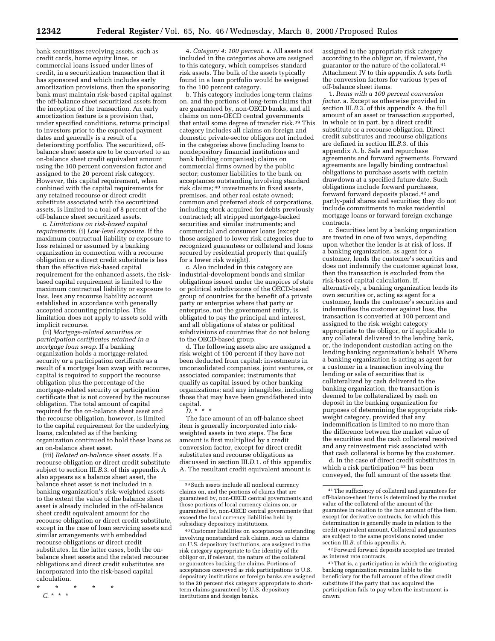bank securitizes revolving assets, such as credit cards, home equity lines, or commercial loans issued under lines of credit, in a securitization transaction that it has sponsored and which includes early amortization provisions, then the sponsoring bank must maintain risk-based capital against the off-balance sheet securitized assets from the inception of the transaction. An early amortization feature is a provision that, under specified conditions, returns principal to investors prior to the expected payment dates and generally is a result of a deteriorating portfolio. The securitized, offbalance sheet assets are to be converted to an on-balance sheet credit equivalent amount using the 100 percent conversion factor and assigned to the 20 percent risk category. However, this capital requirement, when conbined with the capital requirements for any retained recourse or direct credit substitute associated with the securitized assets, is limited to a toal of 8 percent of the off-balance sheet securitized assets.

c. *Limitations on risk-based capital requirements.* (i) *Low-level exposure.* If the maximum contractual liability or exposure to loss retained or assumed by a banking organization in connection with a recourse obligation or a direct credit substitute is less than the effective risk-based capital requirement for the enhanced assets, the riskbased capital requirement is limited to the maximum contractual liability or exposure to loss, less any recourse liability account established in accordance with generally accepted accounting principles. This limitation does not apply to assets sold with implicit recourse.

(ii) *Mortgage-related securities or participation certificates retained in a mortgage loan swap.* If a banking organization holds a mortgage-related security or a participation certificate as a result of a mortgage loan swap with recourse, capital is required to support the recourse obligation plus the percentage of the mortgage-related security or participation certificate that is not covered by the recourse obligation. The total amount of capital required for the on-balance sheet asset and the recourse obligation, however, is limited to the capital requirement for the underlying loans, calculated as if the banking organization continued to hold these loans as an on-balance sheet asset.

(iii) *Related on-balance sheet assets.* If a recourse obligation or direct credit substitute subject to section III.*B*.3. of this appendix A also appears as a balance sheet asset, the balance sheet asset is not included in a banking organization's risk-weighted assets to the extent the value of the balance sheet asset is already included in the off-balance sheet credit equivalent amount for the recourse obligation or direct credit substitute, except in the case of loan servicing assets and similar arrangements with embedded recourse obligations or direct credit substitutes. In the latter cases, both the onbalance sheet assets and the related recourse obligations and direct credit substitutes are incorporated into the risk-based capital calculation.

\* \* \* \* \* *C.* \*\*\*

4. *Category 4: 100 percent.* a. All assets not included in the categories above are assigned to this category, which comprises standard risk assets. The bulk of the assets typically found in a loan portfolio would be assigned to the 100 percent category.

b. This category includes long-term claims on, and the portions of long-term claims that are guaranteed by, non-OECD banks, and all claims on non-OECD central governments that entail some degree of transfer risk.39 This category includes all claims on foreign and domestic private-sector obligors not included in the categories above (including loans to nondepository financial institutions and bank holding companies); claims on commercial firms owned by the public sector; customer liabilities to the bank on acceptances outstanding involving standard risk claims; 40 investments in fixed assets, premises, and other real estate owned; common and preferred stock of corporations, including stock acquired for debts previously contracted; all stripped mortgage-backed securities and similar instruments; and commercial and consumer loans (except those assigned to lower risk categories due to recognized guarantees or collateral and loans secured by residential property that qualify for a lower risk weight).

c. Also included in this category are industrial-development bonds and similar obligations issued under the auspices of state or political subdivisions of the OECD-based group of countries for the benefit of a private party or enterprise where that party or enterprise, not the government entity, is obligated to pay the principal and interest, and all obligations of states or political subdivisions of countries that do not belong to the OECD-based group.

d. The following assets also are assigned a risk weight of 100 percent if they have not been deducted from capital: investments in unconsolidated companies, joint ventures, or associated companies; instruments that qualify as capital issued by other banking organizations; and any intangibles, including those that may have been grandfathered into capital. *D.* \*\*\*

The face amount of an off-balance sheet item is generally incorporated into riskweighted assets in two steps. The face amount is first multiplied by a credit conversion factor, except for direct credit substitutes and recourse obligations as discussed in section III.*D*.1. of this appendix A. The resultant credit equivalent amount is

assigned to the appropriate risk category according to the obligor or, if relevant, the guarantor or the nature of the collateral.41 Attachment IV to this appendix A sets forth the conversion factors for various types of off-balance sheet items.

1. *Items with a 100 percent conversion factor.* a. Except as otherwise provided in section III.*B.*3. of this appendix A, the full amount of an asset or transaction supported, in whole or in part, by a direct credit substitute or a recourse obligation. Direct credit substitutes and recourse obligations are defined in section III.*B.*3. of this appendix A. b. Sale and repurchase agreements and forward agreements. Forward agreements are legally binding contractual obligations to purchase assets with certain drawdown at a specified future date. Such obligations include forward purchases, forward forward deposits placed,42 and partly-paid shares and securities; they do not include commitments to make residential mortgage loans or forward foreign exchange contracts.

c. Securities lent by a banking organization are treated in one of two ways, depending upon whether the lender is at risk of loss. If a banking organization, as agent for a customer, lends the customer's securities and does not indemnify the customer against loss, then the transaction is excluded from the risk-based capital calculation. If, alternatively, a banking organization lends its own securities or, acting as agent for a customer, lends the customer's securities and indemnifies the customer against loss, the transaction is converted at 100 percent and assigned to the risk weight category appropriate to the obligor, or if applicable to any collateral delivered to the lending bank, or, the independent custodian acting on the lending banking organization's behalf. Where a banking organization is acting as agent for a customer in a transaction involving the lending or sale of securities that is collateralized by cash delivered to the banking organization, the transaction is deemed to be collateralized by cash on deposit in the banking organization for purposes of determining the appropriate riskweight category, provided that any indemnification is limited to no more than the difference between the market value of the securities and the cash collateral received and any reinvestment risk associated with that cash collateral is borne by the customer.

d. In the case of direct credit substitutes in which a risk participation 43 has been conveyed, the full amount of the assets that

42Forward forward deposits accepted are treated as interest rate contracts.

<sup>39</sup>Such assets include all nonlocal currency claims on, and the portions of claims that are guaranteed by, non-OECD central governments and those portions of local currency claims on, or guaranteed by, non-OECD central governments that exceed the local currency liabilities held by subsidiary depository institutions.

<sup>40</sup>Customer liabilities on acceptances outstanding involving nonstandard risk claims, such as claims on U.S. depository institutions, are assigned to the risk category appropriate to the identity of the obligor or, if relevant, the nature of the collateral or guarantees backing the claims. Portions of acceptances conveyed as risk participations to U.S. depository institutions or foreign banks are assigned to the 20 percent risk category appropriate to shortterm claims guaranteed by U.S. depository institutions and foreign banks.

<sup>41</sup>The sufficiency of collateral and guarantees for off-balance-sheet items is determined by the market value of the collateral of the amount of the guarantee in relation to the face amount of the item, except for derivative contracts, for which this determination is generally made in relation to the credit equivalent amount. Collateral and guarantees are subject to the same provisions noted under section III.*B*. of this appendix A.

<sup>43</sup>That is, a participation in which the originating banking organization remains liable to the beneficiary for the full amount of the direct credit substitute if the party that has acquired the participation fails to pay when the instrument is drawn.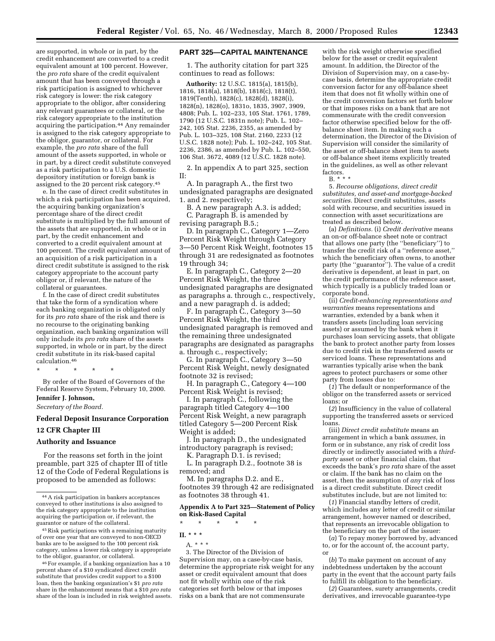are supported, in whole or in part, by the credit enhancement are converted to a credit equivalent amount at 100 percent. However, the *pro rata* share of the credit equivalent amount that has been conveyed through a risk participation is assigned to whichever risk category is lower: the risk category

appropriate to the obligor, after considering any relevant guarantees or collateral, or the risk category appropriate to the institution acquiring the participation.44 Any remainder is assigned to the risk category appropriate to the obligor, guarantor, or collateral. For example, the *pro rata* share of the full amount of the assets supported, in whole or in part, by a direct credit substitute conveyed as a risk participation to a U.S. domestic depository institution or foreign bank is assigned to the 20 percent risk category.45

e. In the case of direct credit substitutes in which a risk participation has been acquired, the acquiring banking organization's percentage share of the direct credit substitute is multiplied by the full amount of the assets that are supported, in whole or in part, by the credit enhancement and converted to a credit equivalent amount at 100 percent. The credit equivalent amount of an acquisition of a risk participation in a direct credit substitute is assigned to the risk category appropriate to the account party obligor or, if relevant, the nature of the collateral or guarantees.

f. In the case of direct credit substitutes that take the form of a syndication where each banking organization is obligated only for its *pro rata* share of the risk and there is no recourse to the originating banking organization, each banking organization will only include its *pro rata* share of the assets supported, in whole or in part, by the direct credit substitute in its risk-based capital calculation.46

\* \* \* \* \*

By order of the Board of Governors of the Federal Reserve System, February 10, 2000.

### **Jennifer J. Johnson,**

*Secretary of the Board.*

#### **Federal Deposit Insurance Corporation**

#### **12 CFR Chapter III**

#### **Authority and Issuance**

For the reasons set forth in the joint preamble, part 325 of chapter III of title 12 of the Code of Federal Regulations is proposed to be amended as follows:

45Risk participations with a remaining maturity of over one year that are conveyed to non-OECD banks are to be assigned to the 100 percent risk category, unless a lower risk category is appropriate to the obligor, guarantor, or collateral.

46For example, if a banking organization has a 10 percent share of a \$10 syndicated direct credit substitute that provides credit support to a \$100 loan, then the banking organization's \$1 *pro rata* share in the enhancement means that a \$10 *pro rata* share of the loan is included in risk weighted assets.

#### **PART 325—CAPITAL MAINTENANCE**

1. The authority citation for part 325 continues to read as follows:

**Authority:** 12 U.S.C. 1815(a), 1815(b), 1816, 1818(a), 1818(b), 1818(c), 1818(t), 1819(Tenth), 1828(c), 1828(d), 1828(i), 1828(n), 1828(o), 1831o, 1835, 3907, 3909, 4808; Pub. L. 102–233, 105 Stat. 1761, 1789, 1790 (12 U.S.C. 1831n note); Pub. L. 102– 242, 105 Stat. 2236, 2355, as amended by Pub. L. 103–325, 108 Stat. 2160, 2233 (12 U.S.C. 1828 note); Pub. L. 102–242, 105 Stat. 2236, 2386, as amended by Pub. L. 102–550, 106 Stat. 3672, 4089 (12 U.S.C. 1828 note).

2. In appendix A to part 325, section II:

A. In paragraph A., the first two undesignated paragraphs are designated 1. and 2. respectively;

B. A new paragraph A.3. is added; C. Paragraph B. is amended by revising paragraph B.5.;

D. In paragraph C., Category 1—Zero Percent Risk Weight through Category 3—50 Percent Risk Weight, footnotes 15 through 31 are redesignated as footnotes 19 through 34;

E. In paragraph C., Category 2—20 Percent Risk Weight, the three undesignated paragraphs are designated as paragraphs a. through c., respectively, and a new paragraph d. is added;

F. In paragraph C., Category 3—50 Percent Risk Weight, the third undesignated paragraph is removed and the remaining three undesignated paragraphs are designated as paragraphs a. through c., respectively;

G. In paragraph C., Category 3—50 Percent Risk Weight, newly designated footnote 32 is revised;

H. In paragraph C., Category 4—100 Percent Risk Weight is revised;

I. In paragraph C., following the paragraph titled Category 4—100 Percent Risk Weight, a new paragraph titled Category 5—200 Percent Risk Weight is added;

J. In paragraph D., the undesignated introductory paragraph is revised;

K. Paragraph D.1. is revised;

L. In paragraph D.2., footnote 38 is removed; and

M. In paragraphs D.2. and E., footnotes 39 through 42 are redisignated as footnotes 38 through 41.

#### **Appendix A to Part 325—Statement of Policy on Risk-Based Capital**

\* \* \* \* \*

**II. \* \* \*** A. \* \* \*

3. The Director of the Division of Supervision may, on a case-by-case basis, determine the appropriate risk weight for any asset or credit equivalent amount that does not fit wholly within one of the risk categories set forth below or that imposes risks on a bank that are not commensurate

with the risk weight otherwise specified below for the asset or credit equivalent amount. In addition, the Director of the Division of Supervision may, on a case-bycase basis, determine the appropriate credit conversion factor for any off-balance sheet item that does not fit wholly within one of the credit conversion factors set forth below or that imposes risks on a bank that are not commensurate with the credit conversion factor otherwise specified below for the offbalance sheet item. In making such a determination, the Director of the Division of Supervision will consider the similarity of the asset or off-balance sheet item to assets or off-balance sheet items explicitly treated in the guidelines, as well as other relevant factors. B. \* \* \*

5. *Recourse obligations, direct credit substitutes, and asset-and mortgage-backed securities.* Direct credit substitutes, assets sold with recourse, and securities issued in connection with asset securitizations are

treated as described below. (a) *Definitions.* (i) *Credit derivative* means an on-or off-balance sheet note or contract that allows one party (the ''beneficiary'') to transfer the credit risk of a ''reference asset,'' which the beneficiary often owns, to another party (the ''guarantor''). The value of a credit derivative is dependent, at least in part, on the credit performance of the reference asset, which typically is a publicly traded loan or corporate bond.

(ii) *Credit-enhancing representations and warranties* means representations and warranties, extended by a bank when it transfers assets (including loan servicing assets) or assumed by the bank when it purchases loan servicing assets, that obligate the bank to protect another party from losses due to credit risk in the transferred assets or serviced loans. These representations and warranties typically arise when the bank agrees to protect purchasers or some other party from losses due to:

(*1*) The default or nonperformance of the obligor on the transferred assets or serviced loans; or

(*2*) Insufficiency in the value of collateral supporting the transferred assets or serviced loans.

(iii) *Direct credit substitute* means an arrangement in which a bank *assumes,* in form or in substance, any risk of credit loss directly or indirectly associated with a *thirdparty* asset or other financial claim, that exceeds the bank's *pro rata* share of the asset or claim. If the bank has no claim on the asset, then the assumption of *any* risk of loss is a direct credit substitute. Direct credit substitutes include, but are not limited to:

(*1*) Financial standby letters of credit, which includes any letter of credit or similar arrangement, however named or described, that represents an irrevocable obligation to the beneficiary on the part of the issuer:

(*a*) To repay money borrowed by, advanced to, or for the account of, the account party, or

(*b*) To make payment on account of any indebtedness undertaken by the account party in the event that the account party fails to fulfill its obligation to the beneficiary.

(*2*) Guarantees, surety arrangements, credit derivatives, and irrevocable guarantee-type

<sup>44</sup>A risk participation in bankers acceptances conveyed to other institutions is also assigned to the risk category appropriate to the institution acquiring the participation or, if relevant, the guarantor or nature of the collateral.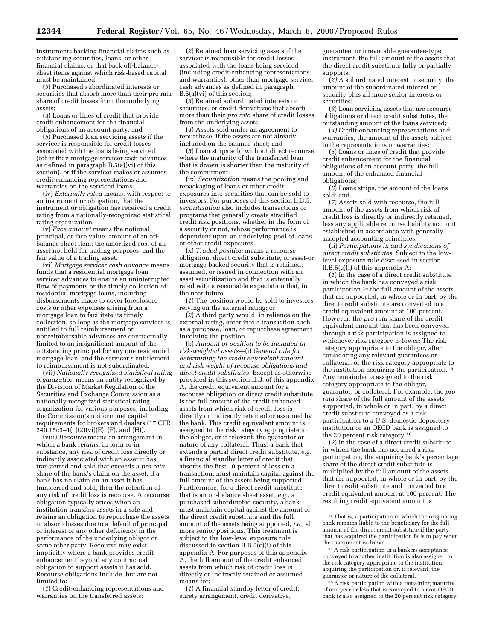instruments backing financial claims such as outstanding securities, loans, or other financial claims, or that back off-balancesheet items against which risk-based capital must be maintained;

(*3*) Purchased subordinated interests or securities that absorb more than their pro rata share of credit losses from the underlying assets;

(*4*) Loans or lines of credit that provide credit enhancement for the financial obligations of an account party; and

(*5*) Purchased loan servicing assets if the servicer is responsible for credit losses associated with the loans being serviced (other than mortgage servicer cash advances as defined in paragraph B.5(a)(vi) of this section), or if the servicer makes or assumes credit-enhancing representations and warranties on the serviced loans.

(iv) *Externally rated* means, with respect to an instrument or obligation, that the instrument or obligation has received a credit rating from a nationally-recognized statistical rating organization.

(v) *Face amount* means the notional principal, or face value, amount of an offbalance sheet item; the amortized cost of an asset not held for trading purposes; and the fair value of a trading asset.

(vi) *Mortgage servicer cash advance* means funds that a residential mortgage loan servicer advances to ensure an uninterrupted flow of payments or the timely collection of residential mortgage loans, including disbursements made to cover foreclosure costs or other expenses arising from a mortgage loan to facilitate its timely collection, so long as the mortgage servicer is entitled to full reimbursement or nonreimbursable advances are contractually limited to an insignificant amount of the outstanding principal for any one residential mortgage loan, and the servicer's entitlement to reimbursement is not subordinated.

(vii) *Nationally recognized statistical rating organization* means an entity recognized by the Division of Market Regulation of the Securities and Exchange Commission as a nationally recognized statistical rating organization for various purposes, including the Commission's uniform net capital requirements for brokers and dealers (17 CFR  $240.15c3 - 1(c)(2)(vi)(E)$ , (F), and (H)).

(viii) *Recourse* means an arrangement in which a bank *retains*, in form or in substance, any risk of credit loss directly or indirectly associated with an asset it has transferred and sold that exceeds a *pro rata* share of the bank's claim on the asset. If a bank has no claim on an asset it has transferred and sold, then the retention of any risk of credit loss is recourse. A recourse obligation typically arises when an institution transfers assets in a sale and retains an obligation to repurchase the assets or absorb losses due to a default of principal or interest or any other deficiency in the performance of the underlying obligor or some other party. Recourse may exist implicitly where a bank provides credit enhancement beyond any contractual obligation to support assets it has sold. Recourse obligations include, but are not limited to:

(*1*) Credit-enhancing representations and warranties on the transferred assets;

(*2*) Retained loan servicing assets if the servicer is responsible for credit losses associated with the loans being serviced (including credit-enhancing representations and warranties), other than mortgage servicer cash advances as defined in paragraph B.5(a)(vi) of this section;

(*3*) Retained subordinated interests or securities, or credit derivatives that absorb more than their *pro rata* share of credit losses from the underlying assets;

(*4*) Assets sold under an agreement to repurchase, if the assets are not already included on the balance sheet; and

(*5*) Loan strips sold without direct recourse where the maturity of the transferred loan that is drawn is shorter than the maturity of the commitment.

(ix) *Securitization* means the pooling and repackaging of loans or other credit exposures into securities that can be sold to investors. For purposes of this section II.B.5, *securitization* also includes transactions or programs that generally create stratified credit risk positions, whether in the form of a security or not, whose performance is dependent upon an underlying pool of loans or other credit exposures.

(x) *Traded position* means a recourse obligation, direct credit substitute, or asset-or mortgage-backed security that is retained, assumed, or issued in connection with an asset securitization and that is externally rated with a reasonable expectation that, in the near future:

(*1*) The position would be sold to investors relying on the external rating; or

(*2*) A third party would, in reliance on the external rating, enter into a transaction such as a purchase, loan, or repurchase agreement involving the position.

(b) *Amount of position to be included in risk-weighted assets*—(i) *General rule for determining the credit equivalent amount and risk weight of recourse obligations and direct credit substitutes.* Except as otherwise provided in this section II.B. of this appendix A, the credit equivalent amount for a recourse obligation or direct credit substitute is the full amount of the credit enhanced assets from which risk of credit loss is directly or indirectly retained or assumed by the bank. This credit equivalent amount is assigned to the risk category appropriate to the obligor, or if relevant, the guarantor or nature of any collateral. Thus, a bank that extends a partial direct credit substitute, *e.g.,* a financial standby letter of credit that absorbs the first 10 percent of loss on a transaction, must maintain capital against the full amount of the assets being supported. Furthermore, for a direct credit substitute that is an on-balance sheet asset, *e.g.,* a purchased subordinated security, a bank must maintain capital against the amount of the direct credit substitute and the full amount of the assets being supported, *i.e.,* all more senior positions. This treatment is subject to the low-level exposure rule discussed in section II.B. $\overline{5(c)}$ (i) of this appendix A. For purposes of this appendix A, the full amount of the credit enhanced assets from which risk of credit loss is directly or indirectly retained or assumed means for:

(*1*) A financial standby letter of credit, surety arrangement, credit derivative,

guarantee, or irrevocable guarantee-type instrument, the full amount of the assets that the direct credit substitute fully or partially supports;

(*2)* A subordinated interest or security, the amount of the subordinated interest or security plus all more senior interests or securities;

(*3*) Loan servicing assets that are recourse obligations or direct credit substitutes, the outstanding amount of the loans serviced;

(*4)* Credit-enhancing representations and warranties, the amount of the assets subject to the representations or warranties;

(*5*) Loans or lines of credit that provide credit enhancement for the financial obligations of an account party, the full amount of the enhanced financial obligations;

(*6*) Loans strips, the amount of the loans sold; and

(*7*) Assets sold with recourse, the full amount of the assets from which risk of credit loss is directly or indirectly retained, less any applicable recourse liability account established in accordance with generally accepted accounting principles.

(ii) *Participations in and syndications of direct credit substitutes.* Subject to the lowlevel exposure rule discussed in section II.B.5(c)(i) of this appendix A:

(*1*) In the case of a direct credit substitute in which the bank has conveyed a risk participation,14 the full amount of the assets that are supported, in whole or in part, by the direct credit substitute are converted to a credit equivalent amount at 100 percent. However, the *pro rata* share of the credit equivalent amount that has been conveyed through a risk participation is assigned to whichever risk category is lower: The risk category appropriate to the obligor, after considering any relevant guarantees or collateral, or the risk category appropriate to the institution acquiring the participation.15 Any remainder is assigned to the risk category appropriate to the obligor, guarantor, or collateral. For example, the *pro rata* share of the full amount of the assets supported, in whole or in part, by a direct credit substitute conveyed as a risk participation to a U.S. domestic depository institution or an OECD bank is assigned to the 20 percent risk category.16

(*2*) In the case of a direct credit substitute in which the bank has acquired a risk participation, the acquiring bank's percentage share of the direct credit substitute is multiplied by the full amount of the assets that are supported, in whole or in part, by the direct credit substitute and converted to a credit equivalent amount at 100 percent. The resulting credit equivalent amount is

16A risk participation with a remaining maturity of one year or less that is conveyed to a non-OECD bank is also assigned to the 20 percent risk category.

<sup>14</sup>That is, a participation in which the originating bank remains liable to the beneficiary for the full amount of the direct credit substitute if the party that has acquired the participation fails to pay when the instrument is drawn.

<sup>15</sup>A risk participation in a bankers acceptance conveyed to another institution is also assigned to the risk category appropriate to the institution acquiring the participation or, if relevant, the guarantor or nature of the collateral.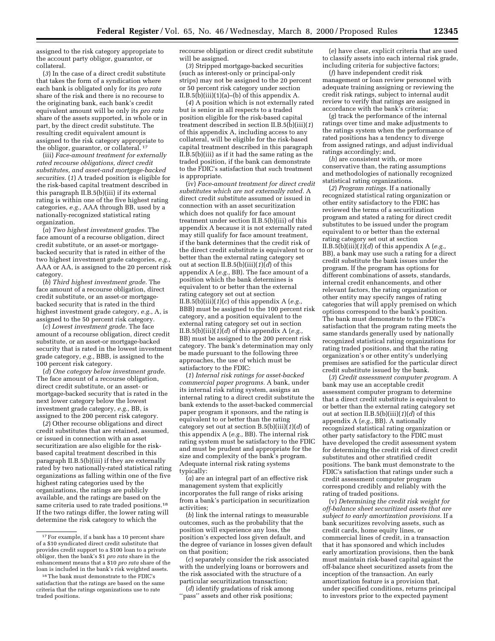assigned to the risk category appropriate to the account party obligor, guarantor, or collateral.

(*3*) In the case of a direct credit substitute that takes the form of a syndication where each bank is obligated only for its *pro rata* share of the risk and there is no recourse to the originating bank, each bank's credit equivalent amount will be only its *pro rata* share of the assets supported, in whole or in part, by the direct credit substitute. The resulting credit equivalent amount is assigned to the risk category appropriate to the obligor, guarantor, or collateral. 17

(iii) *Face-amount treatment for externally rated recourse obligations, direct credit substitutes, and asset-and mortgage-backed securities.* (*1*) A traded position is eligible for the risk-based capital treatment described in this paragraph II.B.5(b)(iii) if its external rating is within one of the five highest rating categories, *e.g.,* AAA through BB, used by a nationally-recognized statistical rating organization.

(*a*) *Two highest investment grades.* The face amount of a recourse obligation, direct credit substitute, or an asset-or mortgagebacked security that is rated in either of the two highest investment grade categories, *e.g.,* AAA or AA, is assigned to the 20 percent risk category.

(*b*) *Third highest investment grade.* The face amount of a recourse obligation, direct credit substitute, or an asset-or mortgagebacked security that is rated in the third highest investment grade category, *e.g.,* A, is assigned to the 50 percent risk category.

(*c*) *Lowest investment grade.* The face amount of a recourse obligation, direct credit substitute, or an asset-or mortgage-backed security that is rated in the lowest investment grade category, *e.g.,* BBB, is assigned to the 100 percent risk category.

(*d*) *One category below investment grade.* The face amount of a recourse obligation, direct credit substitute, or an asset- or mortgage-backed security that is rated in the next lower category below the lowest investment grade category, *e.g.,* BB, is assigned to the 200 percent risk category.

(*2*) Other recourse obligations and direct credit substitutes that are retained, assumed, or issued in connection with an asset securitization are also eligible for the riskbased capital treatment described in this paragraph II.B.5(b)(iii) if they are externally rated by two nationally-rated statistical rating organizations as falling within one of the five highest rating categories used by the organizations, the ratings are publicly available, and the ratings are based on the same criteria used to rate traded positions.18 If the two ratings differ, the lower rating will determine the risk category to which the

recourse obligation or direct credit substitute will be assigned.

(*3*) Stripped mortgage-backed securities (such as interest-only or principal-only strips) may not be assigned to the 20 percent or 50 percent risk category under section II.B.5(b)(iii)(1)(a)–(b) of this appendix A.

(*4*) A position which is not externally rated but is senior in all respects to a traded position eligible for the risk-based capital treatment described in section II.B.5(b)(iii)(*1*) of this appendix A, including access to any collateral, will be eligible for the risk-based capital treatment described in this paragraph II.B.5(b)(iii) as if it had the same rating as the traded position, if the bank can demonstrate to the FDIC's satisfaction that such treatment is appropriate.

(iv) *Face-amount treatment for direct credit substitutes which are not externally rated.* A direct credit substitute assumed or issued in connection with an asset securitization which does not qualify for face amount treatment under section II.B.5(b)(iii) of this appendix A because it is not externally rated may still qualify for face amount treatment, if the bank determines that the credit risk of the direct credit substitute is equivalent to or better than the external rating category set out at section II.B.5(b)(iii)(*1*)(*d*) of this appendix A (*e.g.,* BB). The face amount of a position which the bank determines is equivalent to or better than the external rating category set out at section II.B.5(b)(iii)(*1*)(*c*) of this appendix A (*e.g.,* BBB) must be assigned to the 100 percent risk category, and a position equivalent to the external rating category set out in section II.B.5(b)(iii)( $1$ )(*d*) of this appendix A (*e.g.*, BB) must be assigned to the 200 percent risk category. The bank's determination may only be made pursuant to the following three approaches, the use of which must be satisfactory to the FDIC:

(*1*) *Internal risk ratings for asset-backed commercial paper programs.* A bank, under its internal risk rating system, assigns an internal rating to a direct credit substitute the bank extends to the asset-backed commercial paper program it sponsors, and the rating is equivalent to or better than the rating category set out at section B.5(b)(iii)(*1*)(*d*) of this appendix A (*e.g.,* BB). The internal risk rating system must be satisfactory to the FDIC and must be prudent and appropriate for the size and complexity of the bank's program. Adequate internal risk rating systems typically:

(*a*) are an integral part of an effective risk management system that explicitly incorporates the full range of risks arising from a bank's participation in securitization activities;

(*b*) link the internal ratings to measurable outcomes, such as the probability that the position will experience any loss, the position's expected loss given default, and the degree of variance in losses given default on that position;

(*c*) separately consider the risk associated with the underlying loans or borrowers and the risk associated with the structure of a particular securitization transaction;

(*d*) identify gradations of risk among ''pass'' assets and other risk positions;

(*e*) have clear, explicit criteria that are used to classify assets into each internal risk grade, including criteria for subjective factors;

(*f*) have independent credit risk management or loan review personnel with adequate training assigning or reviewing the credit risk ratings, subject to internal audit review to verify that ratings are assigned in accordance with the bank's criteria;

(*g*) track the performance of the internal ratings over time and make adjustments to the ratings system when the performance of rated positions has a tendency to diverge from assigned ratings, and adjust individual ratings accordingly; and,

(*h*) are consistent with, or more conservative than, the rating assumptions and methodologies of nationally recognized statistical rating organizations.

(*2*) *Program ratings.* If a nationally recognized statistical rating organization or other entity satisfactory to the FDIC has reviewed the terms of a securitization program and stated a rating for direct credit substitutes to be issued under the program equivalent to or better than the external rating category set out at section II.B.5(b)(iii)(*1*)(*d*) of this appendix A (*e.g.,* BB), a bank may use such a rating for a direct credit substitute the bank issues under the program. If the program has options for different combinations of assets, standards, internal credit enhancements, and other relevant factors, the rating organization or other entity may specify ranges of rating categories that will apply premised on which options correspond to the bank's position. The bank must demonstrate to the FDIC's satisfaction that the program rating meets the same standards generally used by nationally recognized statistical rating organizations for rating traded positions, and that the rating organization's or other entity's underlying premises are satisfied for the particular direct credit substitute issued by the bank.

(*3*) *Credit assessment computer program.* A bank may use an acceptable credit assessment computer program to determine that a direct credit substitute is equivalent to or better than the external rating category set out at section II.B.5(b)(iii)(*1*)(*d*) of this appendix A (*e.g.,* BB). A nationally recognized statistical rating organization or other party satisfactory to the FDIC must have developed the credit assessment system for determining the credit risk of direct credit substitutes and other stratified credit positions. The bank must demonstrate to the FDIC's satisfaction that ratings under such a credit assessment computer program correspond credibly and reliably with the rating of traded positions.

(v) *Determining the credit risk weight for off-balance sheet securitized assets that are subject to early amortization provisions.* If a bank securitizes revolving assets, such as credit cards, home equity lines, or commercial lines of credit, in a transaction that it has sponsored and which includes early amortization provisions, then the bank must maintain risk-based capital against the off-balance sheet securitized assets from the inception of the transaction. An early amortization feature is a provision that, under specified conditions, returns principal to investors prior to the expected payment

<sup>&</sup>lt;sup>17</sup> For example, if a bank has a 10 percent share of a \$10 syndicated direct credit substitute that provides credit support to a \$100 loan to a private obligor, then the bank's \$1 *pro rata* share in the enhancement means that a \$10 *pro rata* share of the loan is included in the bank's risk weighted assets.

<sup>18</sup>The bank must demonstrate to the FDIC's satisfaction that the ratings are based on the same criteria that the ratings organizations use to rate traded positions.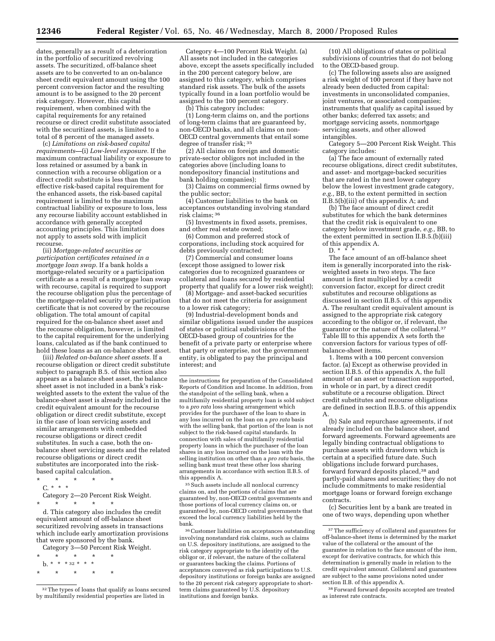dates, generally as a result of a deterioration in the portfolio of securitized revolving assets. The securitized, off-balance sheet assets are to be converted to an on-balance sheet credit equivalent amount using the 100 percent conversion factor and the resulting amount is to be assigned to the 20 percent risk category. However, this capital requirement, when combined with the capital requirements for any retained recourse or direct credit substitute associated with the securitized assets, is limited to a total of 8 percent of the managed assets.

(c) *Limitations on risk-based capital requirements—*(i) *Low-level exposure.* If the maximum contractual liability or exposure to loss retained or assumed by a bank in connection with a recourse obligation or a direct credit substitute is less than the effective risk-based capital requirement for the enhanced assets, the risk-based capital requirement is limited to the maximum contractual liability or exposure to loss, less any recourse liability account established in accordance with generally accepted accounting principles. This limitation does not apply to assets sold with implicit recourse.

(ii) *Mortgage-related securities or participation certificates retained in a mortgage loan swap.* If a bank holds a mortgage-related security or a participation certificate as a result of a mortgage loan swap with recourse, capital is required to support the recourse obligation plus the percentage of the mortgage-related security or participation certificate that is not covered by the recourse obligation. The total amount of capital required for the on-balance sheet asset and the recourse obligation, however, is limited to the capital requirement for the underlying loans, calculated as if the bank continued to hold these loans as an on-balance sheet asset.

(iii) *Related on-balance sheet assets.* If a recourse obligation or direct credit substitute subject to paragraph B.5. of this section also appears as a balance sheet asset, the balance sheet asset is not included in a bank's riskweighted assets to the extent the value of the balance-sheet asset is already included in the credit equivalent amount for the recourse obligation or direct credit substitute, except in the case of loan servicing assets and similar arrangements with embedded recourse obligations or direct credit substitutes. In such a case, both the onbalance sheet servicing assets and the related recourse obligations or direct credit substitutes are incorporated into the riskbased capital calculation.

\* \* \* \* \* C. \* \* \* Category 2—20 Percent Risk Weight. \* \* \* \* \*

d. This category also includes the credit equivalent amount of off-balance sheet securitized revolving assets in transactions which include early amortization provisions that were sponsored by the bank.

Category 3—50 Percent Risk Weight.

\* \* \* \* \*  ${\rm b.}$  \* \* \* 32 \* \* \* \* \* \* \* \*

Category 4—100 Percent Risk Weight. (a) All assets not included in the categories above, except the assets specifically included in the 200 percent category below, are assigned to this category, which comprises standard risk assets. The bulk of the assets typically found in a loan portfolio would be assigned to the 100 percent category.

(b) This category includes:

(1) Long-term claims on, and the portions of long-term claims that are guaranteed by, non-OECD banks, and all claims on non-OECD central governments that entail some degree of transfer risk; 35

(2) All claims on foreign and domestic private-sector obligors not included in the categories above (including loans to nondepository financial institutions and bank holding companies);

(3) Claims on commercial firms owned by the public sector;

(4) Customer liabilities to the bank on acceptances outstanding involving standard risk claims; 36

(5) Investments in fixed assets, premises, and other real estate owned;

(6) Common and preferred stock of corporations, including stock acquired for debts previously contracted;

(7) Commercial and consumer loans (except those assigned to lower risk categories due to recognized guarantees or collateral and loans secured by residential property that qualify for a lower risk weight);

(8) Mortgage- and asset-backed securities that do not meet the criteria for assignment to a lower risk category;

(9) Industrial-development bonds and similar obligations issued under the auspices of states or political subdivisions of the OECD-based group of countries for the benefit of a private party or enterprise where that party or enterprise, not the government entity, is obligated to pay the principal and interest; and

the instructions for preparation of the Consolidated Reports of Condition and Income. In addition, from the standpoint of the selling bank, when a multifamily residential property loan is sold subject to a *pro rata* loss sharing arrangement which provides for the purchaser of the loan to share in any loss incurred on the loan on a *pro rata* basis with the selling bank, that portion of the loan is not subject to the risk-based capital standards. In connection with sales of multifamily residential property loans in which the purchaser of the loan shares in any loss incurred on the loan with the selling institution on other than a *pro rata* basis, the selling bank must treat these other loss sharing arrangements in accordance with section II.B.5. of this appendix A.

35Such assets include all nonlocal currency claims on, and the portions of claims that are guaranteed by, non-OECD central governments and those portions of local currency claims on, or guaranteed by, non-OECD central governments that exceed the local currency liabilities held by the bank.

36Customer liabilities on acceptances outstanding involving nonstandard risk claims, such as claims on U.S. depository institutions, are assigned to the risk category appropriate to the identity of the obligor or, if relevant, the nature of the collateral or guarantees backing the claims. Portions of acceptances conveyed as risk participations to U.S. depository institutions or foreign banks are assigned to the 20 percent risk category appropriate to shortterm claims guaranteed by U.S. depository institutions and foreign banks.

(10) All obligations of states or political subdivisions of countries that do not belong to the OECD-based group.

(c) The following assets also are assigned a risk weight of 100 percent if they have not already been deducted from capital: investments in unconsolidated companies, joint ventures, or associated companies; instruments that qualify as capital issued by other banks; deferred tax assets; and mortgage servicing assets, nonmortgage servicing assets, and other allowed intangibles.

Category 5—200 Percent Risk Weight. This category includes:

(a) The face amount of externally rated recourse obligations, direct credit substitutes, and asset- and mortgage-backed securities that are rated in the next lower category below the lowest investment grade category, *e.g.,* BB, to the extent permitted in section II.B.5(b)(iii) of this appendix A; and

(b) The face amount of direct credit substitutes for which the bank determines that the credit risk is equivalent to one category below investment grade, *e.g.,* BB, to the extent permitted in section II.B.5.(b)(iii) of this appendix A. D.  $*$   $*$ 

The face amount of an off-balance sheet item is generally incorporated into the riskweighted assets in two steps. The face amount is first multiplied by a credit conversion factor, except for direct credit substitutes and recourse obligations as discussed in section II.B.5. of this appendix A. The resultant credit equivalent amount is assigned to the appropriate risk category according to the obligor or, if relevant, the guarantor or the nature of the collateral.37 Table III to this appendix A sets forth the conversion factors for various types of off-

balance-sheet items. 1. Items with a 100 percent conversion factor. (a) Except as otherwise provided in section II.B.5. of this appendix A, the full amount of an asset or transaction supported, in whole or in part, by a direct credit substitute or a recourse obligation. Direct

credit substitutes and recourse obligations are defined in section II.B.5. of this appendix A. (b) Sale and repurchase agreements, if not

already included on the balance sheet, and forward agreements. Forward agreements are legally binding contractual obligations to purchase assets with drawdown which is certain at a specified future date. Such obligations include forward purchases, forward forward deposits placed,<sup>38</sup> and partly-paid shares and securities; they do not include commitments to make residential mortgage loans or forward foreign exchange contracts.

(c) Securities lent by a bank are treated in one of two ways, depending upon whether

<sup>32</sup>The types of loans that qualify as loans secured by multifamily residential properties are listed in

<sup>37</sup>The sufficiency of collateral and guarantees for off-balance-sheet items is determined by the market value of the collateral or the amount of the guarantee in relation to the face amount of the item, except for derivative contracts, for which this determination is generally made in relation to the credit equivalent amount. Collateral and guarantees are subject to the same provisions noted under section II.B. of this appendix A.

<sup>38</sup>Forward forward deposits accepted are treated as interest rate contracts.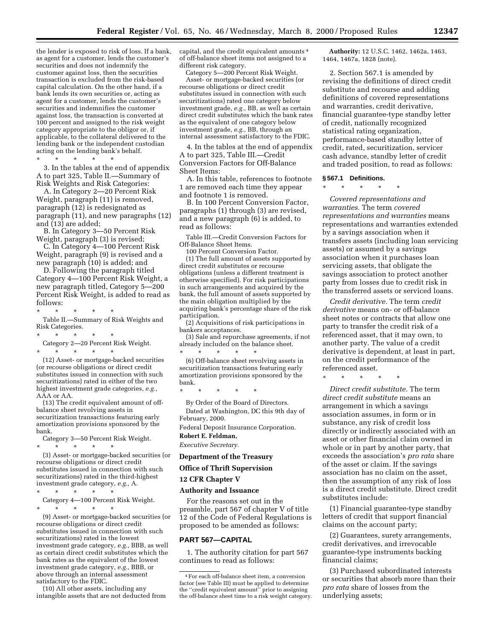the lender is exposed to risk of loss. If a bank, as agent for a customer, lends the customer's securities and does not indemnify the customer against loss, then the securities transaction is excluded from the risk-based capital calculation. On the other hand, if a bank lends its own securities or, acting as agent for a customer, lends the customer's securities and indemnifies the customer against loss, the transaction is converted at 100 percent and assigned to the risk weight category appropriate to the obligor or, if applicable, to the collateral delivered to the lending bank or the independent custodian acting on the lending bank's behalf.

\* \* \* \* \* 3. In the tables at the end of appendix A to part 325, Table II.—Summary of Risk Weights and Risk Categories:

A. In Category 2—20 Percent Risk Weight, paragraph (11) is removed, paragraph (12) is redesignated as paragraph (11), and new paragraphs (12) and (13) are added;

B. In Category 3—50 Percent Risk Weight, paragraph (3) is revised;

C. In Category 4—100 Percent Risk Weight, paragraph (9) is revised and a new paragraph (10) is added; and

D. Following the paragraph titled Category 4—100 Percent Risk Weight, a new paragraph titled, Category 5—200 Percent Risk Weight, is added to read as follows:

\* \* \* \* \* Table II.—Summary of Risk Weights and Risk Categories.

- \* \* \* \* \*
- Category 2—20 Percent Risk Weight. \* \* \* \* \*

(12) Asset- or mortgage-backed securities (or recourse obligations or direct credit substitutes issued in connection with such securitizations) rated in either of the two highest investment grade categories, *e.g.,* AAA or AA.

(13) The credit equivalent amount of offbalance sheet revolving assets in securitization transactions featuring early amortization provisions sponsored by the bank.

Category 3—50 Percent Risk Weight.

- \* \* \* \* \* (3) Asset- or mortgage-backed securities (or recourse obligations or direct credit substitutes issued in connection with such securitizations) rated in the third-highest
- investment grade category, *e.g.,* A. \* \* \* \* \* Category 4—100 Percent Risk Weight.

\* \* \* \* \*

(9) Asset- or mortgage-backed securities (or recourse obligations or direct credit substitutes issued in connection with such securitizations) rated in the lowest investment grade category, *e.g.,* BBB, as well as certain direct credit substitutes which the bank rates as the equivalent of the lowest investment grade category, *e.g.,* BBB, or above through an internal assessment satisfactory to the FDIC.

(10) All other assets, including any intangible assets that are not deducted from capital, and the credit equivalent amounts 4 of off-balance sheet items not assigned to a different risk category.

Category 5—200 Percent Risk Weight. Asset- or mortgage-backed securities (or recourse obligations or direct credit substitutes issued in connection with such securitizations) rated one category below investment grade, *e.g.,* BB, as well as certain direct credit substitutes which the bank rates as the equivalent of one category below investment grade, *e.g.,* BB, through an internal assessment satisfactory to the FDIC.

4. In the tables at the end of appendix A to part 325, Table III.—Credit Conversion Factors for Off-Balance Sheet Items:

A. In this table, references to footnote 1 are removed each time they appear and footnote 1 is removed.

B. In 100 Percent Conversion Factor, paragraphs (1) through (3) are revised, and a new paragraph (6) is added, to read as follows:

Table III.—Credit Conversion Factors for Off-Balance Sheet Items.

100 Percent Conversion Factor.

(1) The full amount of assets supported by direct credit substitutes or recourse obligations (unless a different treatment is otherwise specified). For risk participations in such arrangements and acquired by the bank, the full amount of assets supported by the main obligation multiplied by the acquiring bank's percentage share of the risk participation.

(2) Acquisitions of risk participations in bankers acceptances.

(3) Sale and repurchase agreements, if not already included on the balance sheet. \* \* \* \* \*

(6) Off-balance sheet revolving assets in securitization transactions featuring early amortization provisions sponsored by the bank.

\* \* \* \* \*

By Order of the Board of Directors. Dated at Washington, DC this 9th day of February, 2000.

Federal Deposit Insurance Corporation.

**Robert E. Feldman,** *Executive Secretary.*

#### **Department of the Treasury**

**Office of Thrift Supervision**

#### **12 CFR Chapter V**

#### **Authority and Issuance**

For the reasons set out in the preamble, part 567 of chapter V of title 12 of the Code of Federal Regulations is proposed to be amended as follows:

#### **PART 567—CAPITAL**

1. The authority citation for part 567 continues to read as follows:

**Authority:** 12 U.S.C. 1462, 1462a, 1463, 1464, 1467a, 1828 (note).

2. Section 567.1 is amended by revising the definitions of direct credit substitute and recourse and adding definitions of covered representations and warranties, credit derivative, financial guarantee-type standby letter of credit, nationally recognized statistical rating organization, performance-based standby letter of credit, rated, securitization, servicer cash advance, standby letter of credit and traded position, to read as follows:

#### **§ 567.1 Definitions.**

\* \* \* \* \*

*Covered representations and warranties.* The term *covered representations and warranties* means representations and warranties extended by a savings association when it transfers assets (including loan servicing assets) or assumed by a savings association when it purchases loan servicing assets, that obligate the savings association to protect another party from losses due to credit risk in the transferred assets or serviced loans.

*Credit derivative.* The term *credit derivative* means on- or off-balance sheet notes or contracts that allow one party to transfer the credit risk of a referenced asset, that it may own, to another party. The value of a credit derivative is dependent, at least in part, on the credit performance of the referenced asset.

\* \* \* \* \*

*Direct credit substitute.* The term *direct credit substitute* means an arrangement in which a savings association assumes, in form or in substance, any risk of credit loss directly or indirectly associated with an asset or other financial claim owned in whole or in part by another party, that exceeds the association's *pro rata* share of the asset or claim. If the savings association has no claim on the asset, then the assumption of any risk of loss is a direct credit substitute. Direct credit substitutes include:

(1) Financial guarantee-type standby letters of credit that support financial claims on the account party;

(2) Guarantees, surety arrangements, credit derivatives, and irrevocable guarantee-type instruments backing financial claims;

(3) Purchased subordinated interests or securities that absorb more than their *pro rata* share of losses from the underlying assets;

<sup>4</sup>For each off-balance sheet item, a conversion factor (see Table III) must be applied to determine the ''credit equivalent amount'' prior to assigning the off-balance sheet time to a risk weight category.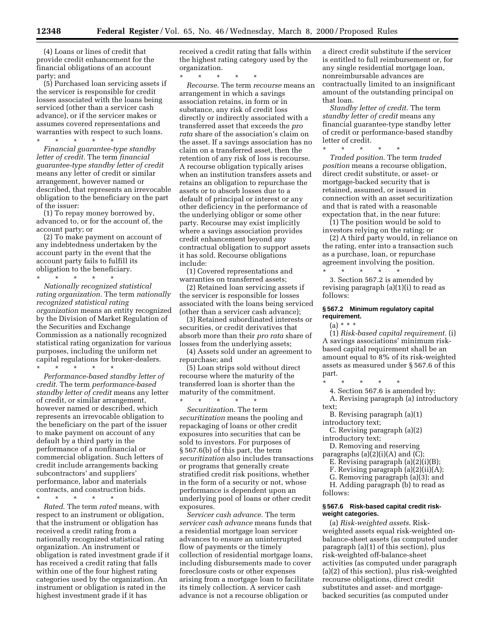(4) Loans or lines of credit that provide credit enhancement for the financial obligations of an account party; and

(5) Purchased loan servicing assets if the servicer is responsible for credit losses associated with the loans being serviced (other than a servicer cash advance), or if the servicer makes or assumes covered representations and warranties with respect to such loans. \* \* \* \* \*

*Financial guarantee-type standby letter of credit.* The term *financial guarantee-type standby letter of credit* means any letter of credit or similar arrangement, however named or described, that represents an irrevocable obligation to the beneficiary on the part of the issuer:

(1) To repay money borrowed by, advanced to, or for the account of, the account party; or

(2) To make payment on account of any indebtedness undertaken by the account party in the event that the account party fails to fulfill its obligation to the beneficiary. \* \* \* \* \*

*Nationally recognized statistical rating organization.* The term *nationally recognized statistical rating organization* means an entity recognized by the Division of Market Regulation of the Securities and Exchange Commission as a nationally recognized statistical rating organization for various purposes, including the uniform net capital regulations for broker-dealers.

\* \* \* \* \* *Performance-based standby letter of credit.* The term *performance-based standby letter of credit* means any letter of credit, or similar arrangement, however named or described, which represents an irrevocable obligation to the beneficiary on the part of the issuer to make payment on account of any default by a third party in the performance of a nonfinancial or commercial obligation. Such letters of credit include arrangements backing subcontractors' and suppliers' performance, labor and materials contracts, and construction bids.

\* \* \* \* \*

*Rated*. The term *rated* means, with respect to an instrument or obligation, that the instrument or obligation has received a credit rating from a nationally recognized statistical rating organization. An instrument or obligation is rated investment grade if it has received a credit rating that falls within one of the four highest rating categories used by the organization. An instrument or obligation is rated in the highest investment grade if it has

received a credit rating that falls within the highest rating category used by the organization.

\* \* \* \* \* *Recourse*. The term *recourse* means an arrangement in which a savings association retains, in form or in substance, any risk of credit loss directly or indirectly associated with a transferred asset that exceeds the *pro rata* share of the association's claim on the asset. If a savings association has no claim on a transferred asset, then the retention of any risk of loss is recourse. A recourse obligation typically arises when an institution transfers assets and retains an obligation to repurchase the assets or to absorb losses due to a default of principal or interest or any other deficiency in the performance of the underlying obligor or some other party. Recourse may exist implicitly where a savings association provides credit enhancement beyond any contractual obligation to support assets it has sold. Recourse obligations include:

(1) Covered representations and warranties on transferred assets;

(2) Retained loan servicing assets if the servicer is responsible for losses associated with the loans being serviced (other than a servicer cash advance);

(3) Retained subordinated interests or securities, or credit derivatives that absorb more than their *pro rata* share of losses from the underlying assets;

(4) Assets sold under an agreement to repurchase; and

(5) Loan strips sold without direct recourse where the maturity of the transferred loan is shorter than the maturity of the commitment. \* \* \* \* \*

*Securitization*. The term *securitization* means the pooling and repackaging of loans or other credit exposures into securities that can be sold to investors. For purposes of § 567.6(b) of this part, the term *securitization* also includes transactions or programs that generally create stratified credit risk positions, whether in the form of a security or not, whose performance is dependent upon an underlying pool of loans or other credit exposures.

*Servicer cash advance*. The term *servicer cash advance* means funds that a residential mortgage loan servicer advances to ensure an uninterrupted flow of payments or the timely collection of residential mortgage loans, including disbursements made to cover foreclosure costs or other expenses arising from a mortgage loan to facilitate its timely collection. A servicer cash advance is not a recourse obligation or

a direct credit substitute if the servicer is entitled to full reimbursement or, for any single residential mortgage loan, nonreimbursable advances are contractually limited to an insignificant amount of the outstanding principal on that loan.

*Standby letter of credit*. The term *standby letter of credit* means any financial guarantee-type standby letter of credit or performance-based standby letter of credit.

 $*$  \*

*Traded position*. The term *traded position* means a recourse obligation, direct credit substitute, or asset- or mortgage-backed security that is retained, assumed, or issued in connection with an asset securitization and that is rated with a reasonable expectation that, in the near future:

(1) The position would be sold to investors relying on the rating; or

(2) A third party would, in reliance on the rating, enter into a transaction such as a purchase, loan, or repurchase agreement involving the position.

\* \* \* \* \* 3. Section 567.2 is amended by revising paragraph (a)(1)(i) to read as follows:

#### **§ 567.2 Minimum regulatory capital requirement.**

 $(a) * * *$ 

(1) *Risk-based capital requirement.* (i) A savings associations' minimum riskbased capital requirement shall be an amount equal to 8% of its risk-weighted assets as measured under § 567.6 of this part.

\* \* \* \* \*

4. Section 567.6 is amended by:

A. Revising paragraph (a) introductory text;

- B. Revising paragraph (a)(1) introductory text;
- C. Revising paragraph (a)(2) introductory text;

D. Removing and reserving paragraphs  $(a)(2)(i)(A)$  and  $(C)$ ;

- E. Revising paragraph (a)(2)(i)(B);
- F. Revising paragraph (a)(2)(ii)(A);
- G. Removing paragraph (a)(3); and

H. Adding paragraph (b) to read as follows:

#### **§ 567.6 Risk-based capital credit riskweight categories.**

(a) *Risk-weighted assets*. Riskweighted assets equal risk-weighted onbalance-sheet assets (as computed under paragraph (a)(1) of this section), plus risk-weighted off-balance-sheet activities (as computed under paragraph (a)(2) of this section), plus risk-weighted recourse obligations, direct credit substitutes and asset- and mortgagebacked securities (as computed under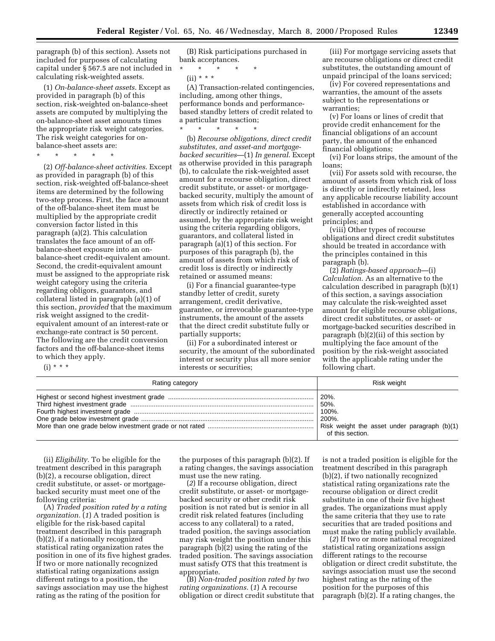paragraph (b) of this section). Assets not included for purposes of calculating capital under § 567.5 are not included in calculating risk-weighted assets.

(1) *On-balance-sheet assets*. Except as provided in paragraph (b) of this section, risk-weighted on-balance-sheet assets are computed by multiplying the on-balance-sheet asset amounts times the appropriate risk weight categories. The risk weight categories for onbalance-sheet assets are:

\* \* \* \* \*

(2) *Off-balance-sheet activities*. Except as provided in paragraph (b) of this section, risk-weighted off-balance-sheet items are determined by the following two-step process. First, the face amount of the off-balance-sheet item must be multiplied by the appropriate credit conversion factor listed in this paragraph (a)(2). This calculation translates the face amount of an offbalance-sheet exposure into an onbalance-sheet credit-equivalent amount. Second, the credit-equivalent amount must be assigned to the appropriate risk weight category using the criteria regarding obligors, guarantors, and collateral listed in paragraph (a)(1) of this section, *provided* that the maximum risk weight assigned to the creditequivalent amount of an interest-rate or exchange-rate contract is 50 percent. The following are the credit conversion factors and the off-balance-sheet items to which they apply.

(i) \* \* \*

(B) Risk participations purchased in bank acceptances.

\* \* \* \* \*

 $(ii) * * * *$ 

(A) Transaction-related contingencies, including, among other things, performance bonds and performancebased standby letters of credit related to a particular transaction;

\* \* \* \* \* (b) *Recourse obligations, direct credit substitutes, and asset-and mortgagebacked securities*—(1) *In general*. Except as otherwise provided in this paragraph (b), to calculate the risk-weighted asset amount for a recourse obligation, direct credit substitute, or asset- or mortgagebacked security, multiply the amount of assets from which risk of credit loss is directly or indirectly retained or assumed, by the appropriate risk weight using the criteria regarding obligors, guarantors, and collateral listed in paragraph (a)(1) of this section. For purposes of this paragraph (b), the amount of assets from which risk of credit loss is directly or indirectly retained or assumed means:

(i) For a financial guarantee-type standby letter of credit, surety arrangement, credit derivative, guarantee, or irrevocable guarantee-type instruments, the amount of the assets that the direct credit substitute fully or partially supports;

(ii) For a subordinated interest or security, the amount of the subordinated interest or security plus all more senior interests or securities;

(iii) For mortgage servicing assets that are recourse obligations or direct credit substitutes, the outstanding amount of unpaid principal of the loans serviced;

(iv) For covered representations and warranties, the amount of the assets subject to the representations or warranties;

(v) For loans or lines of credit that provide credit enhancement for the financial obligations of an account party, the amount of the enhanced financial obligations;

(vi) For loans strips, the amount of the loans;

(vii) For assets sold with recourse, the amount of assets from which risk of loss is directly or indirectly retained, less any applicable recourse liability account established in accordance with generally accepted accounting principles; and

(viii) Other types of recourse obligations and direct credit substitutes should be treated in accordance with the principles contained in this paragraph (b).

(2) *Ratings-based approach*—(i) *Calculation.* As an alternative to the calculation described in paragraph (b)(1) of this section, a savings association may calculate the risk-weighted asset amount for eligible recourse obligations, direct credit substitutes, or asset- or mortgage-backed securities described in paragraph (b)(2)(ii) of this section by multiplying the face amount of the position by the risk-weight associated with the applicable rating under the following chart.

| Rating category | Risk weight                                  |
|-----------------|----------------------------------------------|
|                 | 50%.                                         |
|                 | $100\%$ .                                    |
|                 | $ 200\%$ .                                   |
|                 | Risk weight the asset under paragraph (b)(1) |
|                 | of this section.                             |

(ii) *Eligibility.* To be eligible for the treatment described in this paragraph (b)(2), a recourse obligation, direct credit substitute, or asset- or mortgagebacked security must meet one of the following criteria:

(A) *Traded position rated by a rating organization.* (*1*) A traded position is eligible for the risk-based capital treatment described in this paragraph (b)(2), if a nationally recognized statistical rating organization rates the position in one of its five highest grades. If two or more nationally recognized statistical rating organizations assign different ratings to a position, the savings association may use the highest rating as the rating of the position for

the purposes of this paragraph (b)(2). If a rating changes, the savings association must use the new rating.

(*2*) If a recourse obligation, direct credit substitute, or asset- or mortgagebacked security or other credit risk position is not rated but is senior in all credit risk related features (including access to any collateral) to a rated, traded position, the savings association may risk weight the position under this paragraph (b)(2) using the rating of the traded position. The savings association must satisfy OTS that this treatment is appropriate.

(B) *Non-traded position rated by two rating organizations.* (*1*) A recourse obligation or direct credit substitute that is not a traded position is eligible for the treatment described in this paragraph (b)(2), if two nationally recognized statistical rating organizations rate the recourse obligation or direct credit substitute in one of their five highest grades. The organizations must apply the same criteria that they use to rate securities that are traded positions and must make the rating publicly available.

(*2*) If two or more national recognized statistical rating organizations assign different ratings to the recourse obligation or direct credit substitute, the savings association must use the second highest rating as the rating of the position for the purposes of this paragraph (b)(2). If a rating changes, the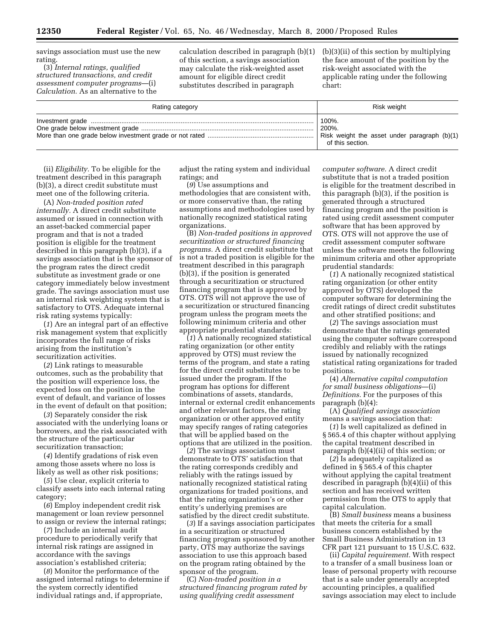savings association must use the new rating.

(3) *Internal ratings, qualified structured transactions, and credit assessment computer programs*—(i) *Calculation.* As an alternative to the

calculation described in paragraph (b)(1) of this section, a savings association may calculate the risk-weighted asset amount for eligible direct credit substitutes described in paragraph

(b)(3)(ii) of this section by multiplying the face amount of the position by the risk-weight associated with the applicable rating under the following chart:

| Rating category | Risk weight                                                                        |
|-----------------|------------------------------------------------------------------------------------|
|                 | 100%.<br>200%.<br>Risk weight the asset under paragraph (b)(1)<br>of this section. |

(ii) *Eligibility.* To be eligible for the treatment described in this paragraph (b)(3), a direct credit substitute must meet one of the following criteria.

(A) *Non-traded position rated internally.* A direct credit substitute assumed or issued in connection with an asset-backed commercial paper program and that is not a traded position is eligible for the treatment described in this paragraph (b)(3), if a savings association that is the sponsor of the program rates the direct credit substitute as investment grade or one category immediately below investment grade. The savings association must use an internal risk weighting system that is satisfactory to OTS. Adequate internal risk rating systems typically:

(*1*) Are an integral part of an effective risk management system that explicitly incorporates the full range of risks arising from the institution's securitization activities.

(*2*) Link ratings to measurable outcomes, such as the probability that the position will experience loss, the expected loss on the position in the event of default, and variance of losses in the event of default on that position;

(*3*) Separately consider the risk associated with the underlying loans or borrowers, and the risk associated with the structure of the particular securitization transaction;

(*4*) Identify gradations of risk even among those assets where no loss is likely as well as other risk positions;

(*5*) Use clear, explicit criteria to classify assets into each internal rating category;

(*6*) Employ independent credit risk management or loan review personnel to assign or review the internal ratings;

(*7*) Include an internal audit procedure to periodically verify that internal risk ratings are assigned in accordance with the savings association's established criteria;

(*8*) Monitor the performance of the assigned internal ratings to determine if the system correctly identified individual ratings and, if appropriate,

adjust the rating system and individual ratings; and

(*9*) Use assumptions and methodologies that are consistent with, or more conservative than, the rating assumptions and methodologies used by nationally recognized statistical rating organizations.

(B) *Non-traded positions in approved securitization or structured financing programs.* A direct credit substitute that is not a traded position is eligible for the treatment described in this paragraph (b)(3), if the position is generated through a securitization or structured financing program that is approved by OTS. OTS will not approve the use of a securitization or structured financing program unless the program meets the following minimum criteria and other appropriate prudential standards:

(*1*) A nationally recognized statistical rating organization (or other entity approved by OTS) must review the terms of the program, and state a rating for the direct credit substitutes to be issued under the program. If the program has options for different combinations of assets, standards, internal or external credit enhancements and other relevant factors, the rating organization or other approved entity may specify ranges of rating categories that will be applied based on the options that are utilized in the position.

(*2*) The savings association must demonstrate to OTS' satisfaction that the rating corresponds credibly and reliably with the ratings issued by nationally recognized statistical rating organizations for traded positions, and that the rating organization's or other entity's underlying premises are satisfied by the direct credit substitute.

(*3*) If a savings association participates in a securitization or structured financing program sponsored by another party, OTS may authorize the savings association to use this approach based on the program rating obtained by the sponsor of the program.

(C) *Non-traded position in a structured financing program rated by using qualifying credit assessment*

*computer software.* A direct credit substitute that is not a traded position is eligible for the treatment described in this paragraph (b)(3), if the position is generated through a structured financing program and the position is rated using credit assessment computer software that has been approved by OTS. OTS will not approve the use of credit assessment computer software unless the software meets the following minimum criteria and other appropriate prudential standards:

(*1*) A nationally recognized statistical rating organization (or other entity approved by OTS) developed the computer software for determining the credit ratings of direct credit substitutes and other stratified positions; and

(*2*) The savings association must demonstrate that the ratings generated using the computer software correspond credibly and reliably with the ratings issued by nationally recognized statistical rating organizations for traded positions.

(4) *Alternative capital computation for small business obligations*—(i) *Definitions.* For the purposes of this paragraph (b)(4):

(A) *Qualified savings association* means a savings association that:

(*1*) Is well capitalized as defined in § 565.4 of this chapter without applying the capital treatment described in paragraph (b)(4)(ii) of this section; or

(*2*) Is adequately capitalized as defined in § 565.4 of this chapter without applying the capital treatment described in paragraph (b)(4)(ii) of this section and has received written permission from the OTS to apply that capital calculation.

(B) *Small business* means a business that meets the criteria for a small business concern established by the Small Business Administration in 13 CFR part 121 pursuant to 15 U.S.C. 632.

(ii) *Capital requirement.* With respect to a transfer of a small business loan or lease of personal property with recourse that is a sale under generally accepted accounting principles, a qualified savings association may elect to include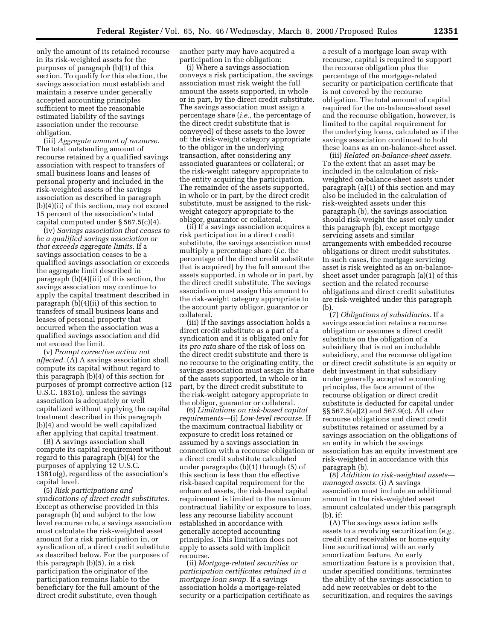only the amount of its retained recourse in its risk-weighted assets for the purposes of paragraph (b)(1) of this section. To qualify for this election, the savings association must establish and maintain a reserve under generally accepted accounting principles sufficient to meet the reasonable estimated liability of the savings association under the recourse obligation.

(iii) *Aggregate amount of recourse.* The total outstanding amount of recourse retained by a qualified savings association with respect to transfers of small business loans and leases of personal property and included in the risk-weighted assets of the savings association as described in paragraph (b)(4)(ii) of this section, may not exceed 15 percent of the association's total capital computed under § 567.5(c)(4).

(iv) *Savings association that ceases to be a qualified savings association or that exceeds aggregate limits.* If a savings association ceases to be a qualified savings association or exceeds the aggregate limit described in paragraph (b)(4)(iii) of this section, the savings association may continue to apply the capital treatment described in paragraph (b)(4)(ii) of this section to transfers of small business loans and leases of personal property that occurred when the association was a qualified savings association and did not exceed the limit.

(v) *Prompt corrective action not affected.* (A) A savings association shall compute its capital without regard to this paragraph (b)(4) of this section for purposes of prompt corrective action (12 U.S.C. 1831o), unless the savings association is adequately or well capitalized without applying the capital treatment described in this paragraph (b)(4) and would be well capitalized after applying that capital treatment.

(B) A savings association shall compute its capital requirement without regard to this paragraph (b)(4) for the purposes of applying 12 U.S.C. 1381o(g), regardless of the association's capital level.

(5) *Risk participations and syndications of direct credit substitutes.* Except as otherwise provided in this paragraph (b) and subject to the low level recourse rule, a savings association must calculate the risk-weighted asset amount for a risk participation in, or syndication of, a direct credit substitute as described below. For the purposes of this paragraph (b)(5), in a risk participation the originator of the participation remains liable to the beneficiary for the full amount of the direct credit substitute, even though

another party may have acquired a participation in the obligation:

(i) Where a savings association conveys a risk participation, the savings association must risk weight the full amount the assets supported, in whole or in part, by the direct credit substitute. The savings association must assign a percentage share (*i.e.*, the percentage of the direct credit substitute that is conveyed) of these assets to the lower of: the risk-weight category appropriate to the obligor in the underlying transaction, after considering any associated guarantees or collateral; or the risk-weight category appropriate to the entity acquiring the participation. The remainder of the assets supported, in whole or in part, by the direct credit substitute, must be assigned to the riskweight category appropriate to the obligor, guarantor or collateral.

(ii) If a savings association acquires a risk participation in a direct credit substitute, the savings association must multiply a percentage share (*i.e.* the percentage of the direct credit substitute that is acquired) by the full amount the assets supported, in whole or in part, by the direct credit substitute. The savings association must assign this amount to the risk-weight category appropriate to the account party obligor, guarantor or collateral.

(iii) If the savings association holds a direct credit substitute as a part of a syndication and it is obligated only for its *pro rata* share of the risk of loss on the direct credit substitute and there is no recourse to the originating entity, the savings association must assign its share of the assets supported, in whole or in part, by the direct credit substitute to the risk-weight category appropriate to the obligor, guarantor or collateral.

(6) *Limitations on risk-based capital requirements—*(i) *Low-level recourse.* If the maximum contractual liability or exposure to credit loss retained or assumed by a savings association in connection with a recourse obligation or a direct credit substitute calculated under paragraphs (b)(1) through (5) of this section is less than the effective risk-based capital requirement for the enhanced assets, the risk-based capital requirement is limited to the maximum contractual liability or exposure to loss, less any recourse liability account established in accordance with generally accepted accounting principles. This limitation does not apply to assets sold with implicit recourse.

(ii) *Mortgage-related securities or participation certificates retained in a mortgage loan swap.* If a savings association holds a mortgage-related security or a participation certificate as a result of a mortgage loan swap with recourse, capital is required to support the recourse obligation plus the percentage of the mortgage-related security or participation certificate that is not covered by the recourse obligation. The total amount of capital required for the on-balance-sheet asset and the recourse obligation, however, is limited to the capital requirement for the underlying loans, calculated as if the savings association continued to hold these loans as an on-balance-sheet asset.

(iii) *Related on-balance-sheet assets.* To the extent that an asset may be included in the calculation of riskweighted on-balance-sheet assets under paragraph (a)(1) of this section and may also be included in the calculation of risk-weighted assets under this paragraph (b), the savings association should risk-weight the asset only under this paragraph (b), except mortgage servicing assets and similar arrangements with embedded recourse obligations or direct credit substitutes. In such cases, the mortgage servicing asset is risk weighted as an on-balancesheet asset under paragraph (a)(1) of this section and the related recourse obligations and direct credit substitutes are risk-weighted under this paragraph (b).

(7) *Obligations of subsidiaries.* If a savings association retains a recourse obligation or assumes a direct credit substitute on the obligation of a subsidiary that is not an includable subsidiary, and the recourse obligation or direct credit substitute is an equity or debt investment in that subsidiary under generally accepted accounting principles, the face amount of the recourse obligation or direct credit substitute is deducted for capital under §§ 567.5(a)(2) and 567.9(c). All other recourse obligations and direct credit substitutes retained or assumed by a savings association on the obligations of an entity in which the savings association has an equity investment are risk-weighted in accordance with this paragraph (b).

(8) *Addition to risk-weighted assets managed assets.* (i) A savings association must include an additional amount in the risk-weighted asset amount calculated under this paragraph (b), if:

(A) The savings association sells assets to a revolving securitization (*e.g.,* credit card receivables or home equity line securitizations) with an early amortization feature. An early amortization feature is a provision that, under specified conditions, terminates the ability of the savings association to add new receivables or debt to the securitization, and requires the savings